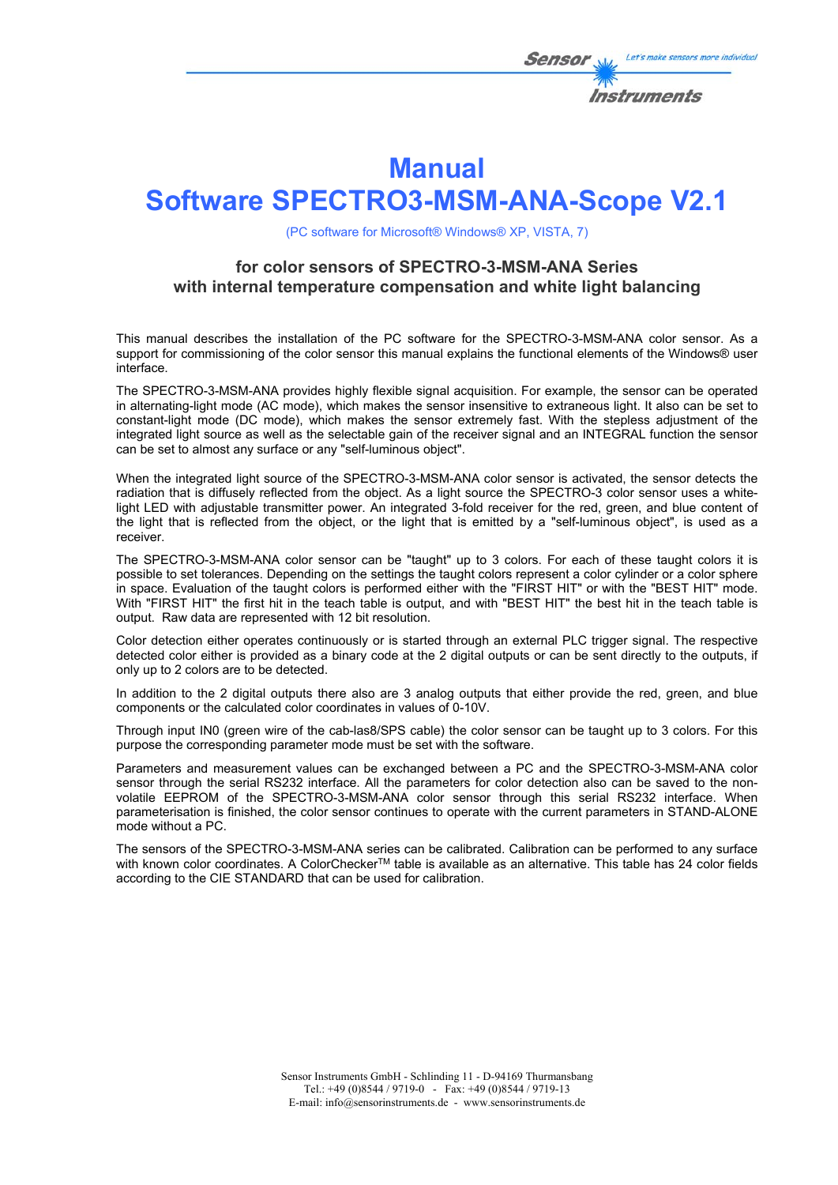

# **Manual**

# **Software SPECTRO3-MSM-ANA-Scope V2.1**

(PC software for Microsoft® Windows® XP, VISTA, 7)

## **for color sensors of SPECTRO-3-MSM-ANA Series with internal temperature compensation and white light balancing**

This manual describes the installation of the PC software for the SPECTRO-3-MSM-ANA color sensor. As a support for commissioning of the color sensor this manual explains the functional elements of the Windows® user interface.

The SPECTRO-3-MSM-ANA provides highly flexible signal acquisition. For example, the sensor can be operated in alternating-light mode (AC mode), which makes the sensor insensitive to extraneous light. It also can be set to constant-light mode (DC mode), which makes the sensor extremely fast. With the stepless adjustment of the integrated light source as well as the selectable gain of the receiver signal and an INTEGRAL function the sensor can be set to almost any surface or any "self-luminous object".

When the integrated light source of the SPECTRO-3-MSM-ANA color sensor is activated, the sensor detects the radiation that is diffusely reflected from the object. As a light source the SPECTRO-3 color sensor uses a whitelight LED with adjustable transmitter power. An integrated 3-fold receiver for the red, green, and blue content of the light that is reflected from the object, or the light that is emitted by a "self-luminous object", is used as a receiver.

The SPECTRO-3-MSM-ANA color sensor can be "taught" up to 3 colors. For each of these taught colors it is possible to set tolerances. Depending on the settings the taught colors represent a color cylinder or a color sphere in space. Evaluation of the taught colors is performed either with the "FIRST HIT" or with the "BEST HIT" mode. With "FIRST HIT" the first hit in the teach table is output, and with "BEST HIT" the best hit in the teach table is output. Raw data are represented with 12 bit resolution.

Color detection either operates continuously or is started through an external PLC trigger signal. The respective detected color either is provided as a binary code at the 2 digital outputs or can be sent directly to the outputs, if only up to 2 colors are to be detected.

In addition to the 2 digital outputs there also are 3 analog outputs that either provide the red, green, and blue components or the calculated color coordinates in values of 0-10V.

Through input IN0 (green wire of the cab-las8/SPS cable) the color sensor can be taught up to 3 colors. For this purpose the corresponding parameter mode must be set with the software.

Parameters and measurement values can be exchanged between a PC and the SPECTRO-3-MSM-ANA color sensor through the serial RS232 interface. All the parameters for color detection also can be saved to the nonvolatile EEPROM of the SPECTRO-3-MSM-ANA color sensor through this serial RS232 interface. When parameterisation is finished, the color sensor continues to operate with the current parameters in STAND-ALONE mode without a PC.

The sensors of the SPECTRO-3-MSM-ANA series can be calibrated. Calibration can be performed to any surface with known color coordinates. A ColorCheckerTM table is available as an alternative. This table has 24 color fields according to the CIE STANDARD that can be used for calibration.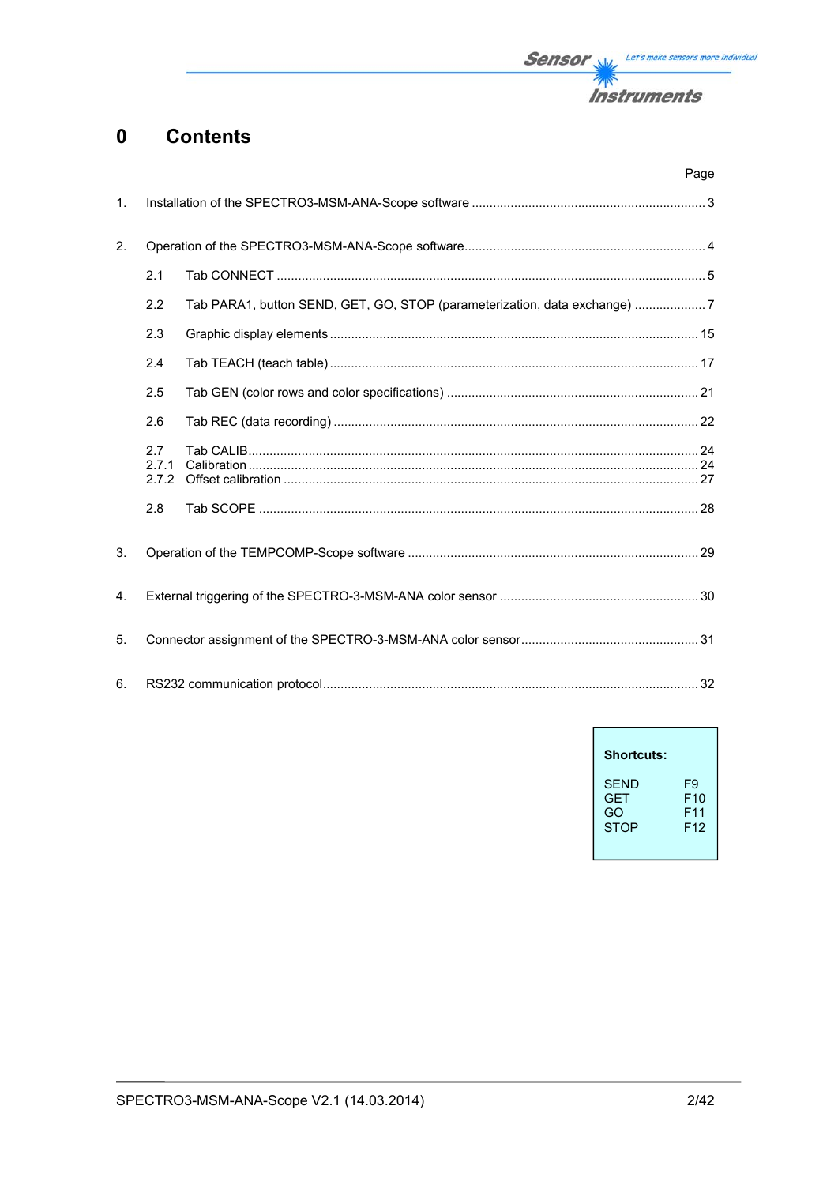

#### **Contents**  $\mathbf 0$

|                |                       | Page                                                                      |  |
|----------------|-----------------------|---------------------------------------------------------------------------|--|
| $\mathbf{1}$ . |                       |                                                                           |  |
| 2.             |                       |                                                                           |  |
|                | 2.1                   |                                                                           |  |
|                | 2.2                   | Tab PARA1, button SEND, GET, GO, STOP (parameterization, data exchange) 7 |  |
|                | 2.3                   |                                                                           |  |
|                | 2.4                   |                                                                           |  |
|                | 2.5                   |                                                                           |  |
|                | 2.6                   |                                                                           |  |
|                | 2.7<br>2.7.1<br>2.7.2 |                                                                           |  |
|                | 2.8                   |                                                                           |  |
| 3.             |                       |                                                                           |  |
| 4.             |                       |                                                                           |  |
| 5.             |                       |                                                                           |  |
| 6.             |                       |                                                                           |  |

| <b>Shortcuts:</b> |                 |
|-------------------|-----------------|
| SFND              | F9              |
| <b>GFT</b>        | F10             |
| GO                | F11             |
| <b>STOP</b>       | F <sub>12</sub> |

 $\overline{1}$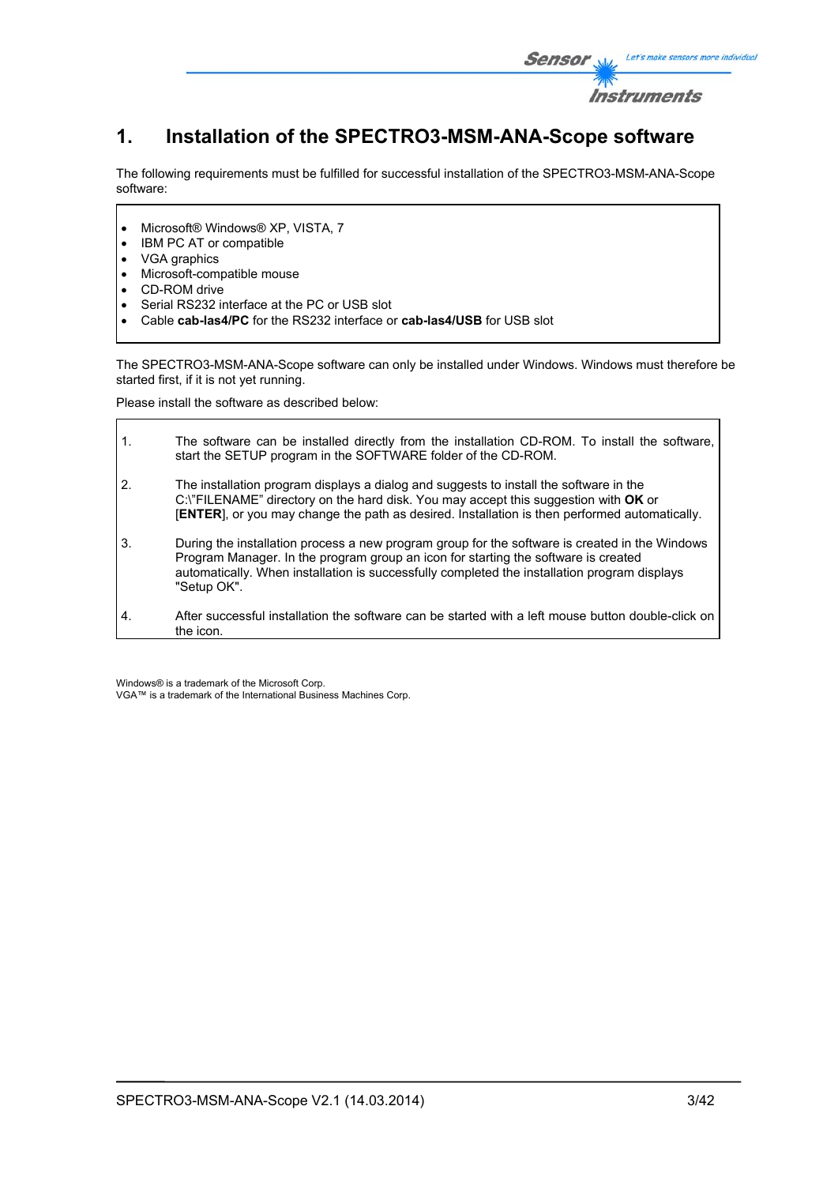

## **1. Installation of the SPECTRO3-MSM-ANA-Scope software**

The following requirements must be fulfilled for successful installation of the SPECTRO3-MSM-ANA-Scope software:

- Microsoft® Windows® XP, VISTA, 7
- IBM PC AT or compatible
- VGA graphics
- Microsoft-compatible mouse
- CD-ROM drive
- Serial RS232 interface at the PC or USB slot
- Cable **cab-las4/PC** for the RS232 interface or **cab-las4/USB** for USB slot

The SPECTRO3-MSM-ANA-Scope software can only be installed under Windows. Windows must therefore be started first, if it is not yet running.

Please install the software as described below:

| $\mathbf{1}$ . | The software can be installed directly from the installation CD-ROM. To install the software,<br>start the SETUP program in the SOFTWARE folder of the CD-ROM.                                                                                                                                      |
|----------------|-----------------------------------------------------------------------------------------------------------------------------------------------------------------------------------------------------------------------------------------------------------------------------------------------------|
| 2.             | The installation program displays a dialog and suggests to install the software in the<br>C:\"FILENAME" directory on the hard disk. You may accept this suggestion with OK or<br>[ENTER], or you may change the path as desired. Installation is then performed automatically.                      |
| 3.             | During the installation process a new program group for the software is created in the Windows<br>Program Manager. In the program group an icon for starting the software is created<br>automatically. When installation is successfully completed the installation program displays<br>"Setup OK". |
| 4.             | After successful installation the software can be started with a left mouse button double-click on<br>the icon.                                                                                                                                                                                     |

Windows® is a trademark of the Microsoft Corp. VGA™ is a trademark of the International Business Machines Corp.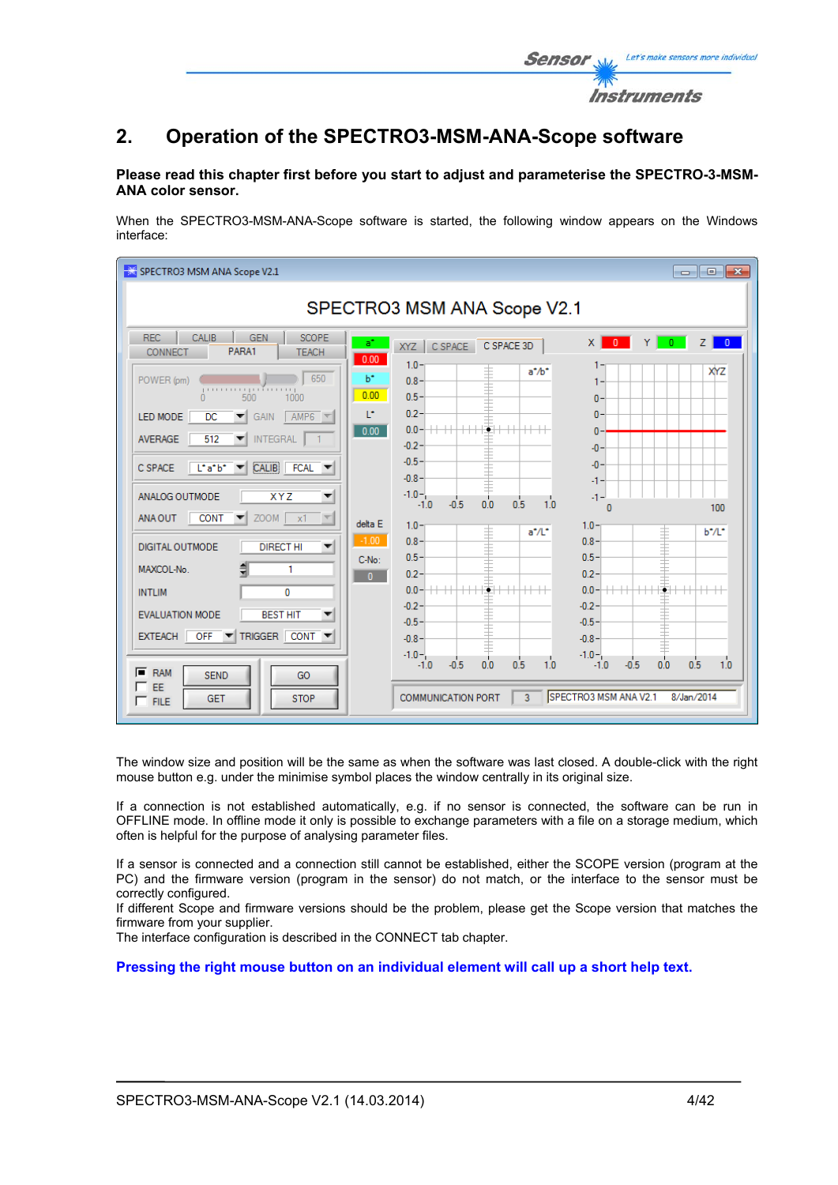

### **Please read this chapter first before you start to adjust and parameterise the SPECTRO-3-MSM-ANA color sensor.**

When the SPECTRO3-MSM-ANA-Scope software is started, the following window appears on the Windows interface:

| SPECTRO3 MSM ANA Scope V2.1                                                                                                                                                                                                                                                                                                                                                                               |                                                                                                                                                                                                                                                                                              | $\begin{array}{c c c c c c} \hline \multicolumn{3}{c }{\mathbf{C}} & \multicolumn{3}{c }{\mathbf{S}} & \multicolumn{3}{c }{\mathbf{X}} \end{array}$                                                                                    |
|-----------------------------------------------------------------------------------------------------------------------------------------------------------------------------------------------------------------------------------------------------------------------------------------------------------------------------------------------------------------------------------------------------------|----------------------------------------------------------------------------------------------------------------------------------------------------------------------------------------------------------------------------------------------------------------------------------------------|----------------------------------------------------------------------------------------------------------------------------------------------------------------------------------------------------------------------------------------|
|                                                                                                                                                                                                                                                                                                                                                                                                           | SPECTRO3 MSM ANA Scope V2.1                                                                                                                                                                                                                                                                  |                                                                                                                                                                                                                                        |
| <b>REC</b><br><b>CALIB</b><br><b>SCOPE</b><br><b>GEN</b><br>PARA1<br><b>CONNECT</b><br><b>TEACH</b><br>650<br>POWER (pm)<br>1000000000<br>500<br>1000<br>$\mathbf{0}$<br>LED MODE<br>AMP <sub>6</sub><br>DC<br>GAIN<br>▼<br>512<br><b>INTEGRAL</b><br>AVERAGE<br><b>CALIB</b><br><b>FCAL</b><br>C SPACE<br>L'atb*<br>▼<br>ANALOG OUTMODE<br><b>XYZ</b><br>▼<br>$ZOOM$ $x1$<br><b>CONT</b><br>ANA OUT<br>▼ | a*<br>C SPACE<br>C SPACE 3D<br>XYZ<br>0.00<br>$1.0 -$<br>$a^*$ / $b^*$<br>$b^*$<br>$0.8 -$<br>0.00<br>$0.5 -$<br>$0.2 -$<br>T*<br>$0.00 -$<br>$-0.2 -$<br>$-0.5 -$<br>$-0.8 -$<br>$-1.0 -$<br>1.0<br>0.5<br>0.0<br>$-0.5$<br>$-1.0$<br>delta E<br>$1.0 -$<br>$a^*/L^*$<br>$-1.00$<br>$0.8 -$ | $\times$<br>$\bullet$<br>Y<br>$\sim$ 0<br>$Z \mid$<br>$\overline{0}$<br>1.<br>XYZ<br>1.<br>$\mathbf{0}$<br>$\mathbf{0}$<br>$\mathbf{0}$<br>$-0$<br>$\cdot$ <sub>0</sub><br>-1-<br>$-1-$<br>100<br>n<br>$1.0 -$<br>$b^*/l^*$<br>$0.8 -$ |
| <b>DIGITAL OUTMODE</b><br><b>DIRECT HI</b><br>▼<br>MAXCOL-No.<br>1<br><b>INTLIM</b><br>$\Omega$<br><b>BEST HIT</b><br><b>EVALUATION MODE</b><br>TRIGGER CONT ▼<br>$OFF$ $\blacktriangledown$<br><b>EXTEACH</b><br>$F$ RAM<br><b>SEND</b><br>GO<br>EE<br><b>STOP</b><br><b>GET</b><br>$\Gamma$ FILE                                                                                                        | $0.5 -$<br>C-No:<br>$0.2 -$<br>$\overline{0}$<br>++++++++ <b>++</b><br>$0.0 -$<br>$++$<br>$-0.2 -$<br>$-0.5 -$<br>$-0.8 -$<br>$-1.0 -$<br>0.0<br>0.5<br>1.0<br>$-1.0$<br>$-0.5$<br>$\overline{3}$<br><b>COMMUNICATION PORT</b>                                                               | $0.5 -$<br>$0.2 -$<br>$0.0 - + + + + + + + + + + + + + + +$<br>$++$<br>$-0.2 -$<br>$-0.5 -$<br>$-0.8 -$<br>$-1.0 -$<br>1.0<br>0.5<br>0.0<br>$-0.5$<br>$-1.0$<br>SPECTRO3 MSM ANA V2.1<br>8/Jan/2014                                    |

The window size and position will be the same as when the software was last closed. A double-click with the right mouse button e.g. under the minimise symbol places the window centrally in its original size.

If a connection is not established automatically, e.g. if no sensor is connected, the software can be run in OFFLINE mode. In offline mode it only is possible to exchange parameters with a file on a storage medium, which often is helpful for the purpose of analysing parameter files.

If a sensor is connected and a connection still cannot be established, either the SCOPE version (program at the PC) and the firmware version (program in the sensor) do not match, or the interface to the sensor must be correctly configured.

If different Scope and firmware versions should be the problem, please get the Scope version that matches the firmware from your supplier.

The interface configuration is described in the CONNECT tab chapter.

**Pressing the right mouse button on an individual element will call up a short help text.** 

Let's make sensors more individual

Instruments

Sensor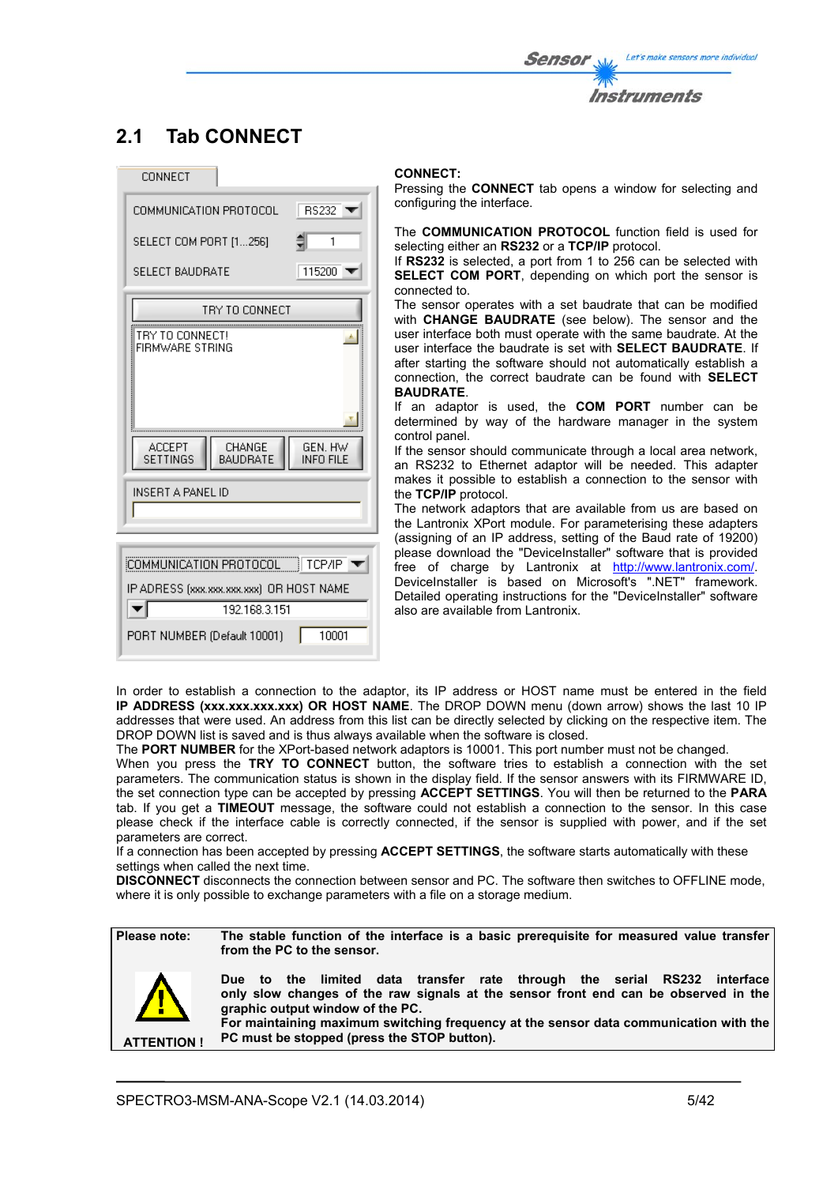# **2.1 Tab CONNECT**

| CONNECT                                                                        |
|--------------------------------------------------------------------------------|
| COMMUNICATION PROTOCOL<br><b>RS232</b><br>ш                                    |
| SELECT COM PORT [1256]<br>1                                                    |
| 115200<br><b>SELECT BAUDRATE</b>                                               |
| TRY TO CONNECT                                                                 |
| TRY TO CONNECT!<br>FIRMWARE STRING                                             |
| <b>ACCEPT</b><br>CHANGE<br>GEN, HW<br>BAUDRATE<br>SETTINGS<br><b>INFO FILE</b> |
| INSERT A PANEL ID                                                              |
| COMMUNICATION PROTOCOL   TCP/IP                                                |
| IP ADRESS (xxx.xxx.xxx.xxx) OR HOST NAME<br>192.168.3.151                      |
| 10001<br>PORT NUMBER (Default 10001)                                           |

#### **CONNECT:**

Pressing the **CONNECT** tab opens a window for selecting and configuring the interface.

The **COMMUNICATION PROTOCOL** function field is used for selecting either an **RS232** or a **TCP/IP** protocol.

If **RS232** is selected, a port from 1 to 256 can be selected with **SELECT COM PORT**, depending on which port the sensor is connected to.

The sensor operates with a set baudrate that can be modified with **CHANGE BAUDRATE** (see below). The sensor and the user interface both must operate with the same baudrate. At the user interface the baudrate is set with **SELECT BAUDRATE**. If after starting the software should not automatically establish a connection, the correct baudrate can be found with **SELECT BAUDRATE**.

If an adaptor is used, the **COM PORT** number can be determined by way of the hardware manager in the system control panel.

If the sensor should communicate through a local area network, an RS232 to Ethernet adaptor will be needed. This adapter makes it possible to establish a connection to the sensor with the **TCP/IP** protocol.

The network adaptors that are available from us are based on the Lantronix XPort module. For parameterising these adapters (assigning of an IP address, setting of the Baud rate of 19200) please download the "DeviceInstaller" software that is provided free of charge by Lantronix at http://www.lantronix.com/. DeviceInstaller is based on Microsoft's ".NET" framework. Detailed operating instructions for the "DeviceInstaller" software also are available from Lantronix.

In order to establish a connection to the adaptor, its IP address or HOST name must be entered in the field **IP ADDRESS (xxx.xxx.xxx.xxx) OR HOST NAME**. The DROP DOWN menu (down arrow) shows the last 10 IP addresses that were used. An address from this list can be directly selected by clicking on the respective item. The DROP DOWN list is saved and is thus always available when the software is closed.

The **PORT NUMBER** for the XPort-based network adaptors is 10001. This port number must not be changed.

When you press the **TRY TO CONNECT** button, the software tries to establish a connection with the set parameters. The communication status is shown in the display field. If the sensor answers with its FIRMWARE ID, the set connection type can be accepted by pressing **ACCEPT SETTINGS**. You will then be returned to the **PARA** tab. If you get a **TIMEOUT** message, the software could not establish a connection to the sensor. In this case please check if the interface cable is correctly connected, if the sensor is supplied with power, and if the set parameters are correct.

If a connection has been accepted by pressing **ACCEPT SETTINGS**, the software starts automatically with these settings when called the next time.

**DISCONNECT** disconnects the connection between sensor and PC. The software then switches to OFFLINE mode, where it is only possible to exchange parameters with a file on a storage medium.



**ATTENTION !**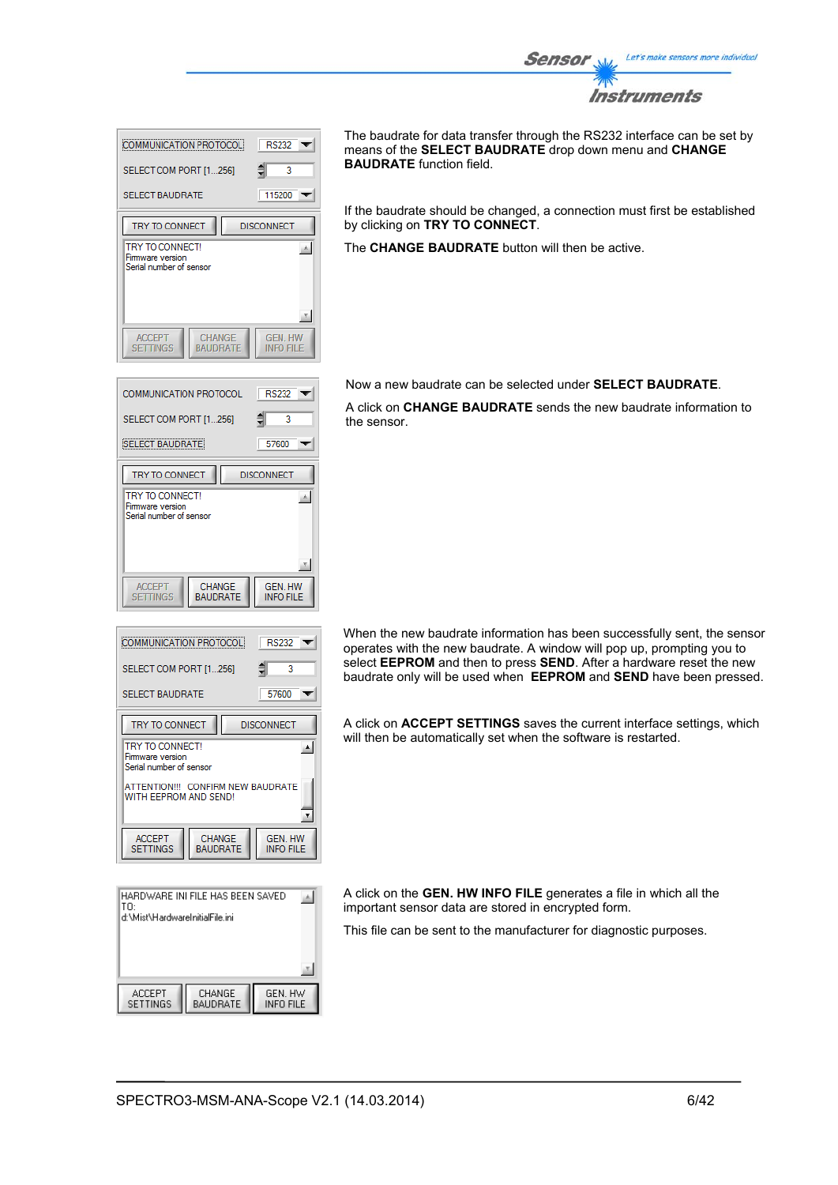

| <b>COMMUNICATION PROTOCOL</b><br>SELECT COM PORT [1256]                          | RS232<br>칇<br>3            |
|----------------------------------------------------------------------------------|----------------------------|
| <b>SELECT BAUDRATE</b>                                                           | 115200                     |
| TRY TO CONNECT<br>TRY TO CONNECT!<br>Firmware version<br>Serial number of sensor | <b>DISCONNECT</b>          |
| <b>CHANGE</b><br><b>ACCEPT</b><br><b>SETTINGS</b><br><b>BAUDRATE</b>             | <b>GEN HW</b><br>INFO FILE |

**RS232** 

57600

**GEN. HW<br>INFO FILE** 

 $RS232$ 

Ŕ

 $\overline{\phantom{0}}$ 

 $\blacktriangle$ 

 $\pmb{\mathrm{v}}$ 

GEN. HW

**INFO FILE** 

57600

**DISCONNECT** 

**DISCONNECT** 

₿ 3  $\overline{\phantom{a}}$ 

 $\overline{\phantom{a}}$ 

画

COMMUNICATION PROTOCOL

SELECT COM PORT [1...256]

**SELECT BAUDRATE** 

TRY TO CONNECT

**TRY TO CONNECT!** 

Firmware version Serial number of sensor

ACCEPT<br>SETTINGS

**COMMUNICATION PROTOCOL** 

SELECT COM PORT [1...256]

SELECT BALIDRATE

TRY TO CONNECT **TRY TO CONNECT** 

Firmware version erial number of sensor

**ACCEPT** 

**SETTINGS** 

CHANGE BAUDRATE The baudrate for data transfer through the RS232 interface can be set by means of the **SELECT BAUDRATE** drop down menu and **CHANGE BAUDRATE** function field.

If the baudrate should be changed, a connection must first be established by clicking on **TRY TO CONNECT**.

The **CHANGE BAUDRATE** button will then be active.

Now a new baudrate can be selected under **SELECT BAUDRATE**.

A click on **CHANGE BAUDRATE** sends the new baudrate information to the sensor.

When the new baudrate information has been successfully sent, the sensor operates with the new baudrate. A window will pop up, prompting you to select **EEPROM** and then to press **SEND**. After a hardware reset the new baudrate only will be used when **EEPROM** and **SEND** have been pressed.

A click on **ACCEPT SETTINGS** saves the current interface settings, which will then be automatically set when the software is restarted.

HARDWARE INI FILE HAS BEEN SAVED  $\mathbb{A}$ lтn d:\Mist\HardwareInitialFile.ini **ACCEPT** CHANGE<br>BAUDRATE GEN. HW<br>INFO FILE SETTINGS

ATTENTION !!! CONFIRM NEW BAUDRATE

CHANGE

**BAUDRATE** 

A click on the **GEN. HW INFO FILE** generates a file in which all the important sensor data are stored in encrypted form.

This file can be sent to the manufacturer for diagnostic purposes.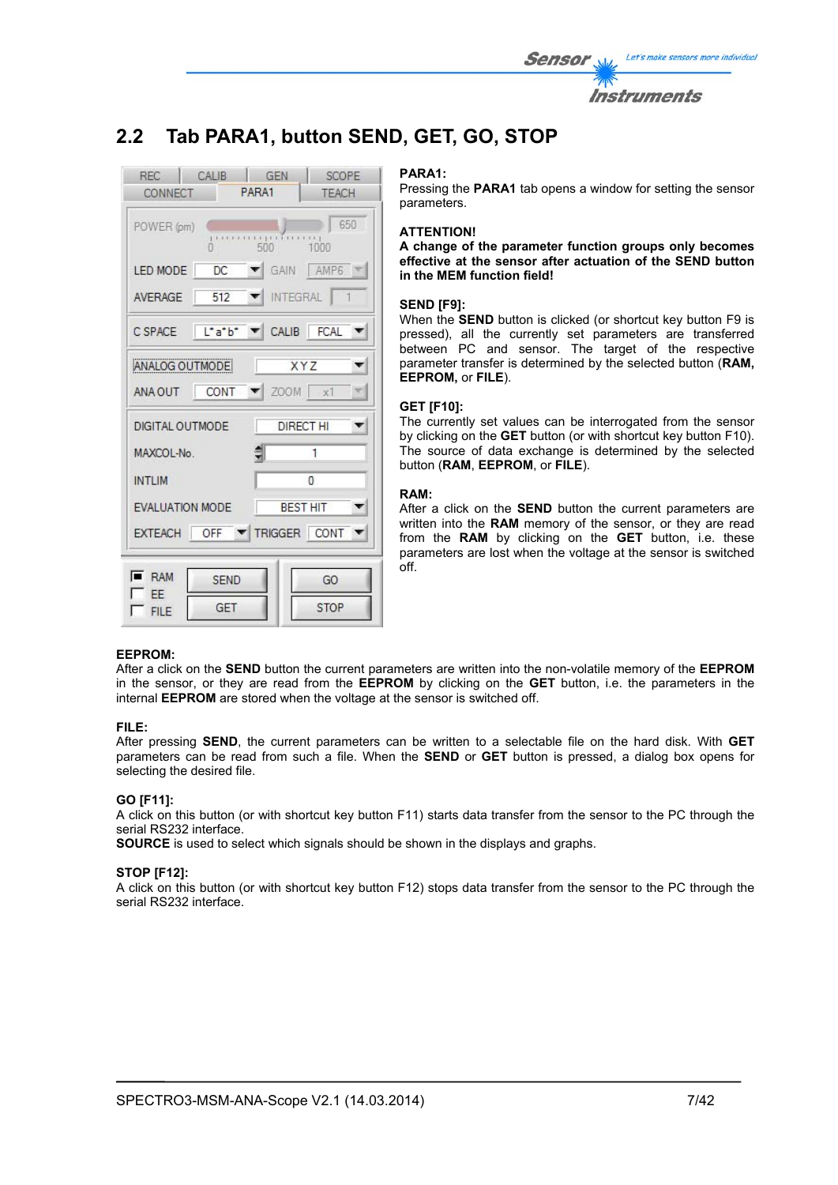

# **2.2 Tab PARA1, button SEND, GET, GO, STOP**



#### **PARA1:**

Pressing the **PARA1** tab opens a window for setting the sensor parameters.

#### **ATTENTION!**

**A change of the parameter function groups only becomes effective at the sensor after actuation of the SEND button in the MEM function field!** 

#### **SEND [F9]:**

When the **SEND** button is clicked (or shortcut key button F9 is pressed), all the currently set parameters are transferred between PC and sensor. The target of the respective parameter transfer is determined by the selected button (**RAM, EEPROM,** or **FILE**).

#### **GET [F10]:**

The currently set values can be interrogated from the sensor by clicking on the **GET** button (or with shortcut key button F10). The source of data exchange is determined by the selected button (**RAM**, **EEPROM**, or **FILE**).

#### **RAM:**

After a click on the **SEND** button the current parameters are written into the **RAM** memory of the sensor, or they are read from the **RAM** by clicking on the **GET** button, i.e. these parameters are lost when the voltage at the sensor is switched off.

#### **EEPROM:**

After a click on the **SEND** button the current parameters are written into the non-volatile memory of the **EEPROM** in the sensor, or they are read from the **EEPROM** by clicking on the **GET** button, i.e. the parameters in the internal **EEPROM** are stored when the voltage at the sensor is switched off.

#### **FILE:**

After pressing **SEND**, the current parameters can be written to a selectable file on the hard disk. With **GET** parameters can be read from such a file. When the **SEND** or **GET** button is pressed, a dialog box opens for selecting the desired file.

#### **GO [F11]:**

A click on this button (or with shortcut key button F11) starts data transfer from the sensor to the PC through the serial RS232 interface.

**SOURCE** is used to select which signals should be shown in the displays and graphs.

#### **STOP [F12]:**

A click on this button (or with shortcut key button F12) stops data transfer from the sensor to the PC through the serial RS232 interface.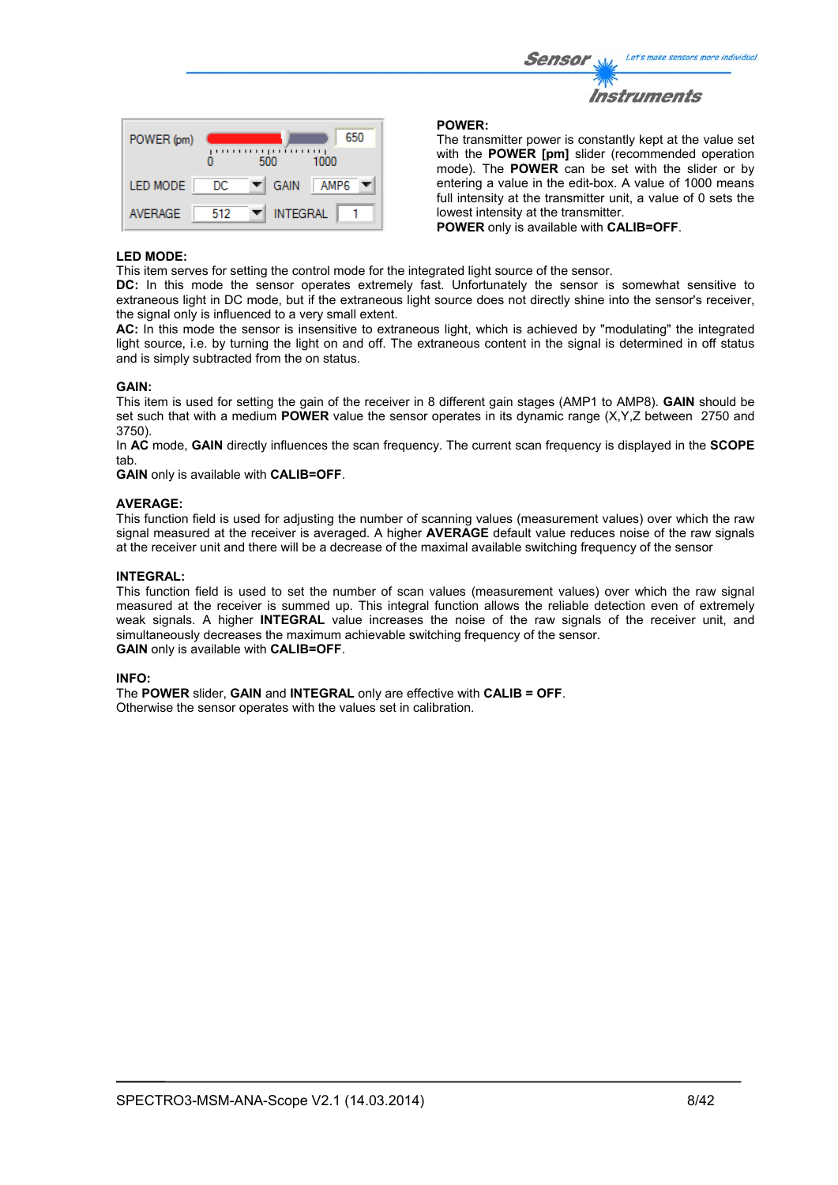| <b>Sensor</b> | Let's make sensors more individual |
|---------------|------------------------------------|
| $\mathcal{W}$ |                                    |
|               | Instruments                        |

| POWER (pm)      |     | ,,,,,,<br>500    | 650<br>,,,,,,<br>1000 |
|-----------------|-----|------------------|-----------------------|
| <b>LED MODE</b> | DC  | <b>GAIN</b><br>▼ | AMP <sub>6</sub>      |
| <b>AVERAGE</b>  | 512 | <b>INTEGRAL</b>  |                       |

#### **POWER:**

The transmitter power is constantly kept at the value set with the **POWER [pm]** slider (recommended operation mode). The **POWER** can be set with the slider or by entering a value in the edit-box. A value of 1000 means full intensity at the transmitter unit, a value of 0 sets the lowest intensity at the transmitter.

**POWER** only is available with **CALIB=OFF**.

#### **LED MODE:**

This item serves for setting the control mode for the integrated light source of the sensor.

**DC:** In this mode the sensor operates extremely fast. Unfortunately the sensor is somewhat sensitive to extraneous light in DC mode, but if the extraneous light source does not directly shine into the sensor's receiver, the signal only is influenced to a very small extent.

**AC:** In this mode the sensor is insensitive to extraneous light, which is achieved by "modulating" the integrated light source, i.e. by turning the light on and off. The extraneous content in the signal is determined in off status and is simply subtracted from the on status.

#### **GAIN:**

This item is used for setting the gain of the receiver in 8 different gain stages (AMP1 to AMP8). **GAIN** should be set such that with a medium **POWER** value the sensor operates in its dynamic range (X,Y,Z between 2750 and 3750).

In **AC** mode, **GAIN** directly influences the scan frequency. The current scan frequency is displayed in the **SCOPE** tab.

**GAIN** only is available with **CALIB=OFF**.

#### **AVERAGE:**

This function field is used for adjusting the number of scanning values (measurement values) over which the raw signal measured at the receiver is averaged. A higher **AVERAGE** default value reduces noise of the raw signals at the receiver unit and there will be a decrease of the maximal available switching frequency of the sensor

#### **INTEGRAL:**

This function field is used to set the number of scan values (measurement values) over which the raw signal measured at the receiver is summed up. This integral function allows the reliable detection even of extremely weak signals. A higher **INTEGRAL** value increases the noise of the raw signals of the receiver unit, and simultaneously decreases the maximum achievable switching frequency of the sensor. **GAIN** only is available with **CALIB=OFF**.

#### **INFO:**

The **POWER** slider, **GAIN** and **INTEGRAL** only are effective with **CALIB = OFF**. Otherwise the sensor operates with the values set in calibration.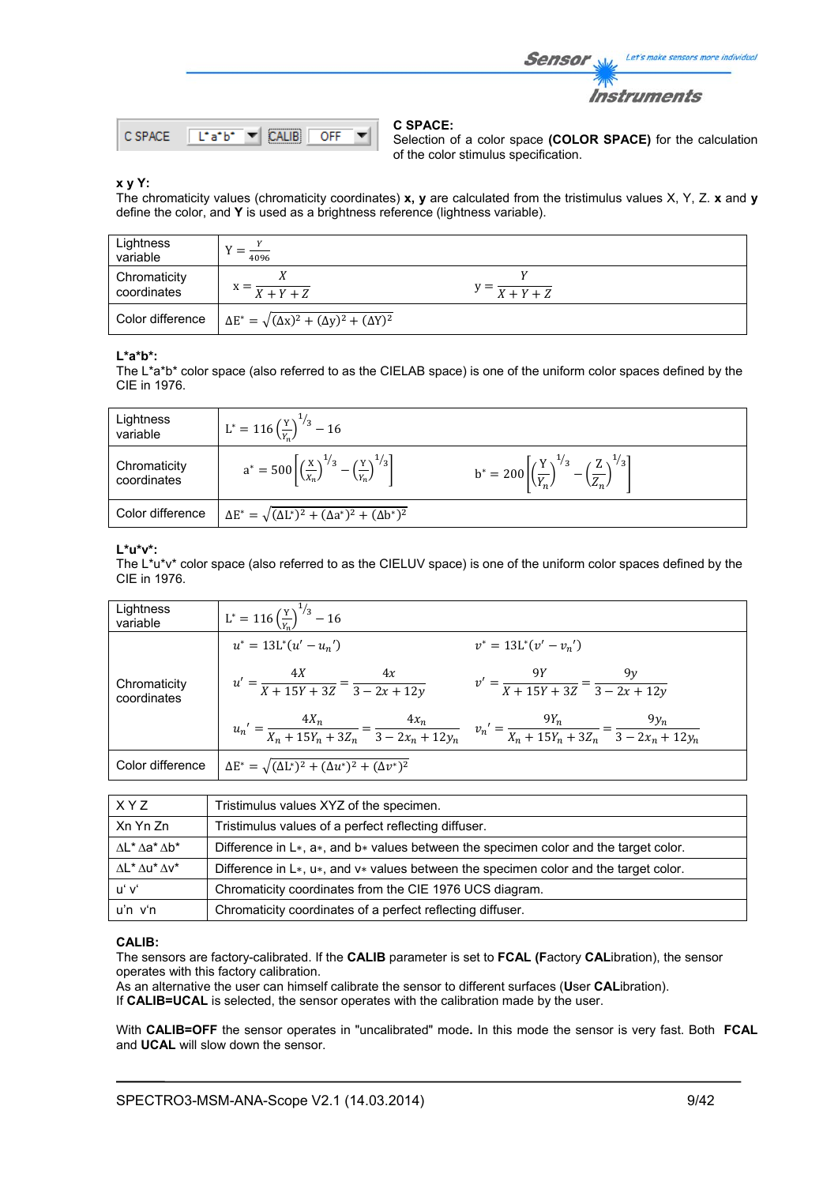



### **C SPACE:**

Selection of a color space **(COLOR SPACE)** for the calculation of the color stimulus specification.

## **x y Y:**

The chromaticity values (chromaticity coordinates) **x, y** are calculated from the tristimulus values X, Y, Z. **x** and **y** define the color, and **Y** is used as a brightness reference (lightness variable).

| Lightness<br>variable       | 4096                                                             |                                   |  |
|-----------------------------|------------------------------------------------------------------|-----------------------------------|--|
| Chromaticity<br>coordinates | $X+Y+Z$                                                          | $y = \frac{X + Y + Z}{X + Y + Z}$ |  |
| Color difference            | $\Delta E^* = \sqrt{(\Delta x)^2 + (\Delta y)^2 + (\Delta Y)^2}$ |                                   |  |

#### **L\*a\*b\*:**

The L\*a\*b\* color space (also referred to as the CIELAB space) is one of the uniform color spaces defined by the CIE in 1976.

| Lightness<br>variable       | $L^* = 116 \left(\frac{Y}{Y_r}\right)^{1/3} - 16$                                                  |                                                                                                    |
|-----------------------------|----------------------------------------------------------------------------------------------------|----------------------------------------------------------------------------------------------------|
| Chromaticity<br>coordinates | $a^* = 500 \left[ \left( \frac{x}{x_n} \right)^{1/3} - \left( \frac{y}{x_n} \right)^{1/3} \right]$ | $b^* = 200 \left[ \left( \frac{Y}{Y_n} \right)^{1/3} - \left( \frac{Z}{Z_n} \right)^{1/3} \right]$ |
| Color difference            | $\Delta E^* = \sqrt{(\Delta L^*)^2 + (\Delta a^*)^2 + (\Delta b^*)^2}$                             |                                                                                                    |

#### **L\*u\*v\*:**

The L\*u\*v\* color space (also referred to as the CIELUV space) is one of the uniform color spaces defined by the CIE in 1976.

| Lightness<br>variable       | $L^* = 116 \left(\frac{Y}{V}\right)^{1/3} - 16$                        |                                                                                                                                                                       |
|-----------------------------|------------------------------------------------------------------------|-----------------------------------------------------------------------------------------------------------------------------------------------------------------------|
|                             | $u^* = 13L^*(u' - u_n')$                                               | $v^* = 13L^*(v'-v_n')$                                                                                                                                                |
| Chromaticity<br>coordinates | $u' = \frac{4X}{X + 15Y + 3Z} = \frac{4x}{3 - 2x + 12y}$               | $v' = \frac{9Y}{X + 15Y + 3Z} = \frac{9y}{3 - 2x + 12y}$                                                                                                              |
|                             |                                                                        | $u_{n}^{\prime} = \frac{4X_n}{X_n + 15Y_n + 3Z_n} = \frac{4x_n}{3 - 2x_n + 12y_n}$ $v_{n}^{\prime} = \frac{9Y_n}{X_n + 15Y_n + 3Z_n} = \frac{9y_n}{3 - 2x_n + 12y_n}$ |
| Color difference            | $\Delta E^* = \sqrt{(\Delta L^*)^2 + (\Delta u^*)^2 + (\Delta v^*)^2}$ |                                                                                                                                                                       |

| XYZ                                   | Tristimulus values XYZ of the specimen.                                                         |
|---------------------------------------|-------------------------------------------------------------------------------------------------|
| Xn Yn Zn                              | Tristimulus values of a perfect reflecting diffuser.                                            |
| $\Lambda L^* \Lambda a^* \Lambda b^*$ | Difference in $L^*$ , $a^*$ , and $b^*$ values between the specimen color and the target color. |
| $\Lambda L^* \Lambda u^* \Lambda v^*$ | Difference in $L^*$ , $u^*$ , and $v^*$ values between the specimen color and the target color. |
| uʻ vʻ                                 | Chromaticity coordinates from the CIE 1976 UCS diagram.                                         |
| u'n v'n                               | Chromaticity coordinates of a perfect reflecting diffuser.                                      |

#### **CALIB:**

The sensors are factory-calibrated. If the **CALIB** parameter is set to **FCAL (F**actory **CAL**ibration), the sensor operates with this factory calibration.

As an alternative the user can himself calibrate the sensor to different surfaces (**U**ser **CAL**ibration). If **CALIB=UCAL** is selected, the sensor operates with the calibration made by the user.

With **CALIB=OFF** the sensor operates in "uncalibrated" mode**.** In this mode the sensor is very fast. Both **FCAL** and **UCAL** will slow down the sensor.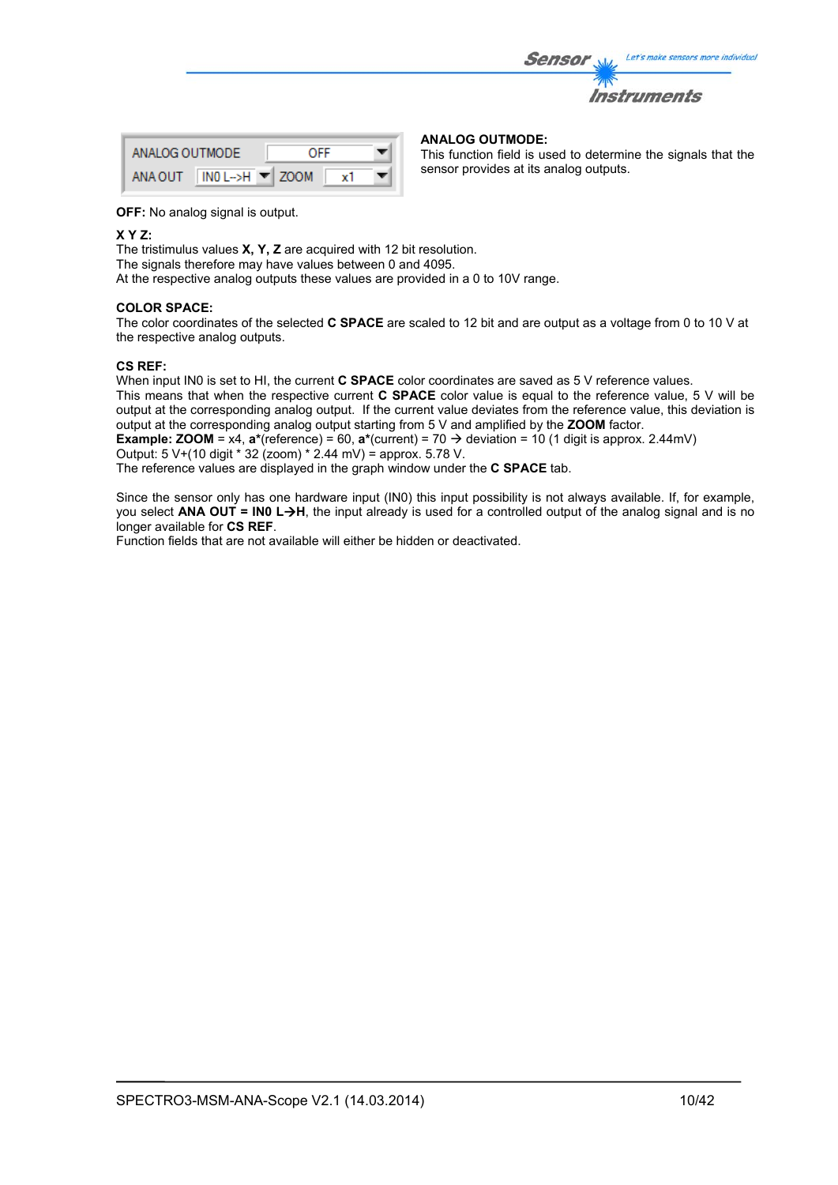| Sensor Will | Let's make sensors more individual |
|-------------|------------------------------------|
|             | <i><b>Instruments</b></i>          |

| ANALOG OUTMODE |                                       | OFF |  |
|----------------|---------------------------------------|-----|--|
| ANA OUT        | $IN0$ L->H $\blacktriangleright$ ZOOM |     |  |

## **ANALOG OUTMODE:**

This function field is used to determine the signals that the sensor provides at its analog outputs.

**OFF:** No analog signal is output.

#### **X Y Z:**

The tristimulus values **X, Y, Z** are acquired with 12 bit resolution. The signals therefore may have values between 0 and 4095. At the respective analog outputs these values are provided in a 0 to 10V range.

#### **COLOR SPACE:**

The color coordinates of the selected **C SPACE** are scaled to 12 bit and are output as a voltage from 0 to 10 V at the respective analog outputs.

#### **CS REF:**

When input IN0 is set to HI, the current **C SPACE** color coordinates are saved as 5 V reference values. This means that when the respective current **C SPACE** color value is equal to the reference value, 5 V will be output at the corresponding analog output. If the current value deviates from the reference value, this deviation is output at the corresponding analog output starting from 5 V and amplified by the **ZOOM** factor. **Example: <b>ZOOM** = x4,  $\mathbf{a}^*$ (reference) = 60,  $\mathbf{a}^*$ (current) = 70  $\rightarrow$  deviation = 10 (1 digit is approx. 2.44mV) Output: 5 V+(10 digit \* 32 (zoom) \* 2.44 mV) = approx. 5.78 V.

The reference values are displayed in the graph window under the **C SPACE** tab.

Since the sensor only has one hardware input (IN0) this input possibility is not always available. If, for example, you select **ANA OUT = IN0 LH**, the input already is used for a controlled output of the analog signal and is no longer available for **CS REF**.

Function fields that are not available will either be hidden or deactivated.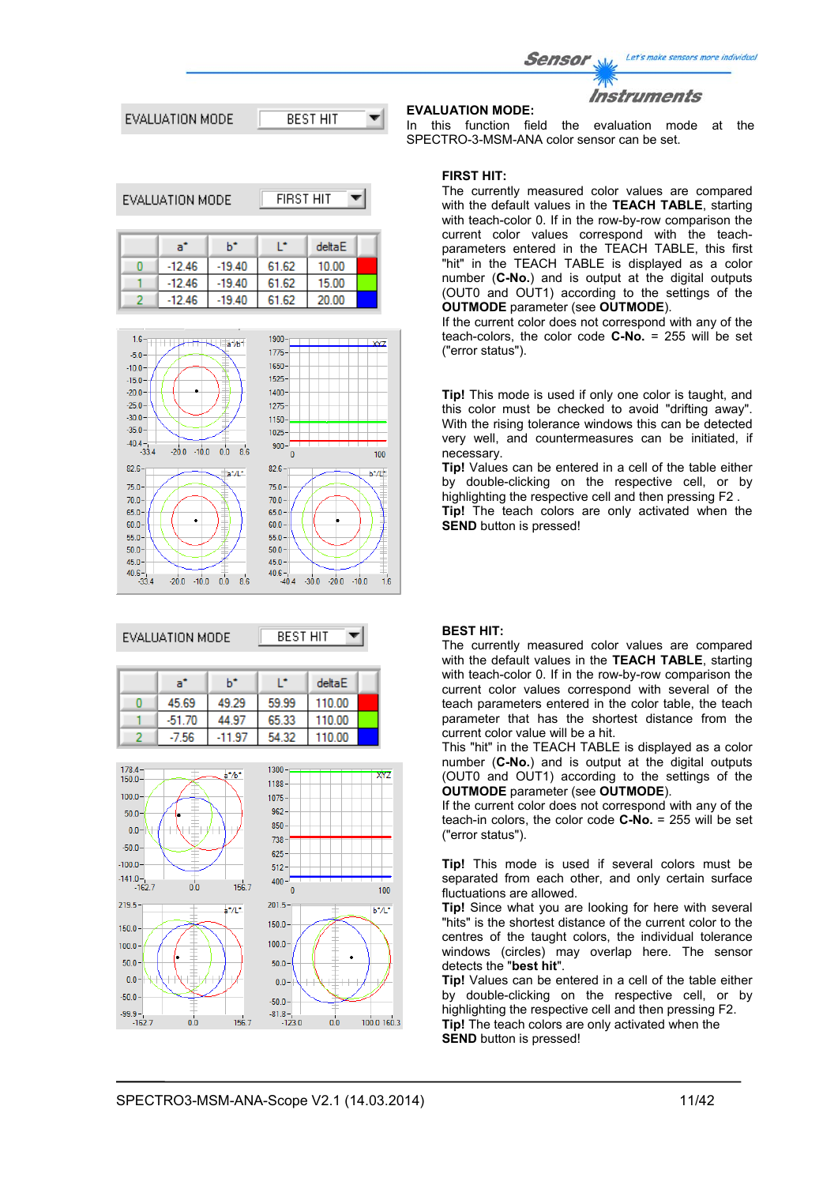Let's make sensors more individual Sensor Instruments **EVALUATION MODE:** In this function field the evaluation mode at the



EVALUATION MO

$$
DE \qquad \boxed{\text{FIRST HIT} \quad \blacktriangleright}
$$



## EVALUATION MODE

**BEST HIT** ▼

| a"       | h*    |        | deltaE |  |
|----------|-------|--------|--------|--|
| 45.69    | 49.29 | 59.99  | 110.00 |  |
| $-51.70$ | 44.97 | 65.33  | 110.00 |  |
| -7.56    | -11   | 54 R.O | 110.00 |  |



## SPECTRO-3-MSM-ANA color sensor can be set.

### **FIRST HIT:**

The currently measured color values are compared with the default values in the **TEACH TABLE**, starting with teach-color 0. If in the row-by-row comparison the current color values correspond with the teachparameters entered in the TEACH TABLE, this first "hit" in the TEACH TABLE is displayed as a color number (**C-No.**) and is output at the digital outputs (OUT0 and OUT1) according to the settings of the **OUTMODE** parameter (see **OUTMODE**).

If the current color does not correspond with any of the teach-colors, the color code **C-No.** = 255 will be set ("error status").

**Tip!** This mode is used if only one color is taught, and this color must be checked to avoid "drifting away". With the rising tolerance windows this can be detected very well, and countermeasures can be initiated, if necessary.

**Tip!** Values can be entered in a cell of the table either by double-clicking on the respective cell, or by highlighting the respective cell and then pressing F2 . **Tip!** The teach colors are only activated when the **SEND** button is pressed!

#### **BEST HIT:**

The currently measured color values are compared with the default values in the **TEACH TABLE**, starting with teach-color 0. If in the row-by-row comparison the current color values correspond with several of the teach parameters entered in the color table, the teach parameter that has the shortest distance from the current color value will be a hit.

This "hit" in the TEACH TABLE is displayed as a color number (**C-No.**) and is output at the digital outputs (OUT0 and OUT1) according to the settings of the **OUTMODE** parameter (see **OUTMODE**).

If the current color does not correspond with any of the teach-in colors, the color code **C-No.** = 255 will be set ("error status").

**Tip!** This mode is used if several colors must be separated from each other, and only certain surface fluctuations are allowed.

**Tip!** Since what you are looking for here with several "hits" is the shortest distance of the current color to the centres of the taught colors, the individual tolerance windows (circles) may overlap here. The sensor detects the "**best hit**".

**Tip!** Values can be entered in a cell of the table either by double-clicking on the respective cell, or by highlighting the respective cell and then pressing F2. **Tip!** The teach colors are only activated when the **SEND** button is pressed!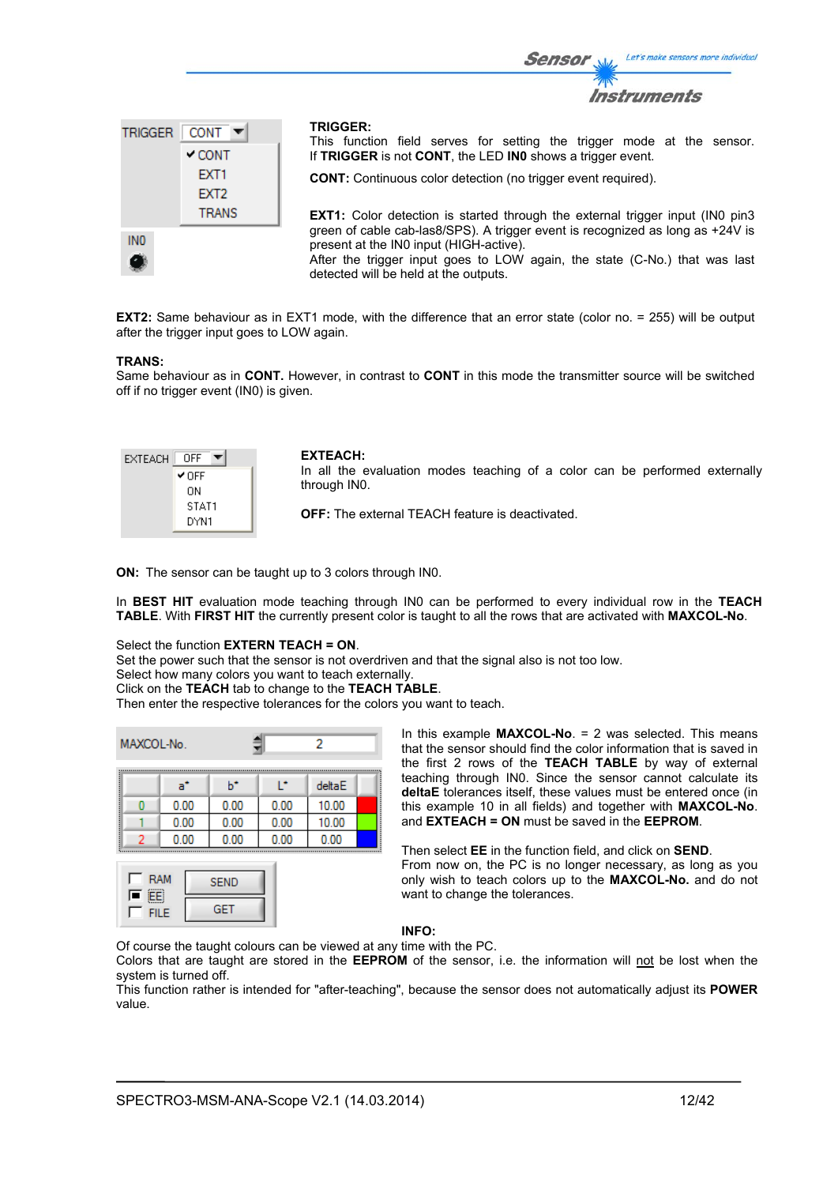

**EXT2:** Same behaviour as in EXT1 mode, with the difference that an error state (color no. = 255) will be output after the trigger input goes to LOW again.

#### **TRANS:**

Same behaviour as in **CONT.** However, in contrast to **CONT** in this mode the transmitter source will be switched off if no trigger event (IN0) is given.

| EXTEACH | OFF   |
|---------|-------|
|         | ✔ OFF |
|         | ΩN    |
|         | STAT1 |
|         | DYN1  |

#### **EXTEACH:**

In all the evaluation modes teaching of a color can be performed externally through IN0.

Sensor

**OFF:** The external TEACH feature is deactivated.

**ON:** The sensor can be taught up to 3 colors through IN0.

In **BEST HIT** evaluation mode teaching through IN0 can be performed to every individual row in the **TEACH TABLE**. With **FIRST HIT** the currently present color is taught to all the rows that are activated with **MAXCOL-No**.

### Select the function **EXTERN TEACH = ON**.

Set the power such that the sensor is not overdriven and that the signal also is not too low.

Select how many colors you want to teach externally.

Click on the **TEACH** tab to change to the **TEACH TABLE**.

Then enter the respective tolerances for the colors you want to teach.

| MAXCOL-No. |      |      |      |        |  |  |  |
|------------|------|------|------|--------|--|--|--|
|            | a°   | h*   | r    | deltaE |  |  |  |
|            | 0.00 | 0.00 | 0.00 | 10.00  |  |  |  |
|            | 0.00 | 0.00 | 0.00 | 10.00  |  |  |  |
|            | 0.00 | 0.00 | 0.00 | 0.00   |  |  |  |

| <b>RAM</b><br>r. | <b>SEND</b> |
|------------------|-------------|
| FILE             | GET         |

In this example **MAXCOL-No**. = 2 was selected. This means that the sensor should find the color information that is saved in the first 2 rows of the **TEACH TABLE** by way of external teaching through IN0. Since the sensor cannot calculate its **deltaE** tolerances itself, these values must be entered once (in this example 10 in all fields) and together with **MAXCOL-No**. and **EXTEACH = ON** must be saved in the **EEPROM**.

Then select **EE** in the function field, and click on **SEND**. From now on, the PC is no longer necessary, as long as you only wish to teach colors up to the **MAXCOL-No.** and do not want to change the tolerances.

#### **INFO:**

Of course the taught colours can be viewed at any time with the PC.

Colors that are taught are stored in the **EEPROM** of the sensor, i.e. the information will not be lost when the system is turned off.

This function rather is intended for "after-teaching", because the sensor does not automatically adjust its **POWER** value.

Let's make sensors more individual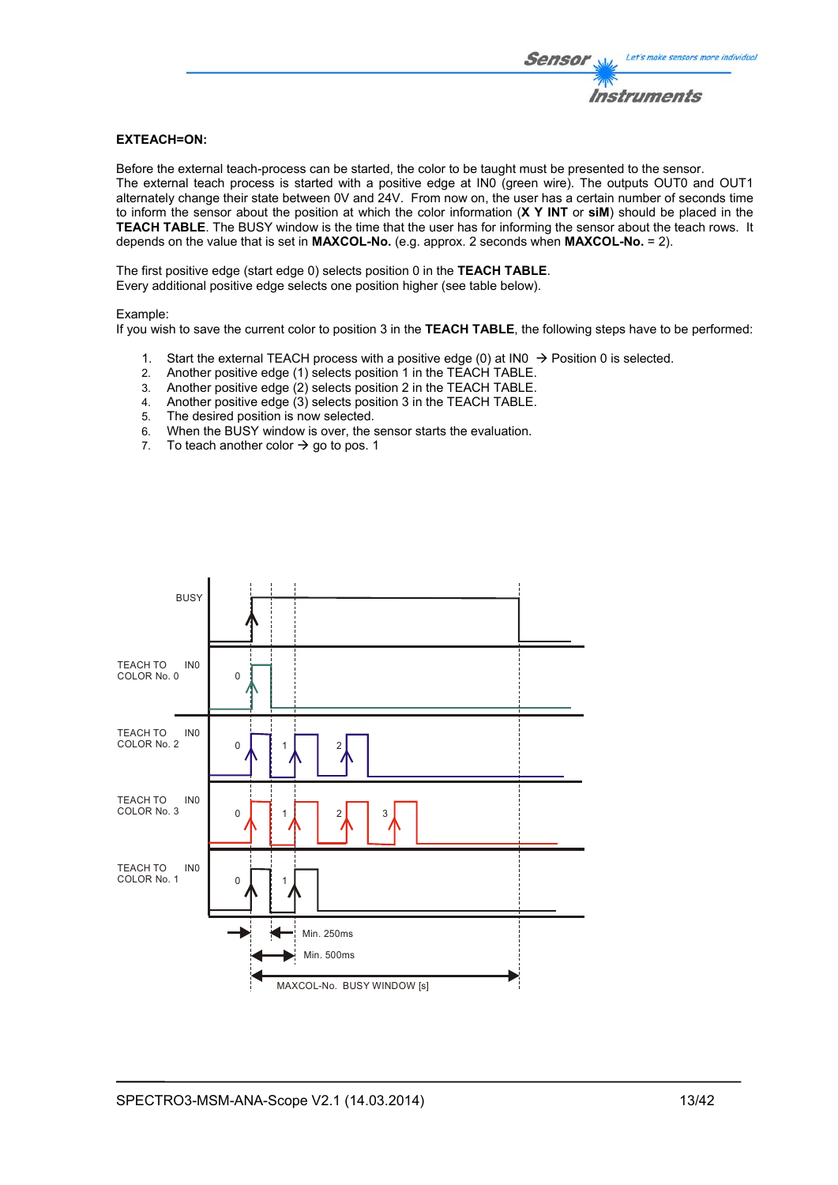### **EXTEACH=ON:**

Before the external teach-process can be started, the color to be taught must be presented to the sensor. The external teach process is started with a positive edge at IN0 (green wire). The outputs OUT0 and OUT1 alternately change their state between 0V and 24V. From now on, the user has a certain number of seconds time to inform the sensor about the position at which the color information (**X Y INT** or **siM**) should be placed in the **TEACH TABLE**. The BUSY window is the time that the user has for informing the sensor about the teach rows. It depends on the value that is set in **MAXCOL-No.** (e.g. approx. 2 seconds when **MAXCOL-No.** = 2).

The first positive edge (start edge 0) selects position 0 in the **TEACH TABLE**. Every additional positive edge selects one position higher (see table below).

#### Example:

If you wish to save the current color to position 3 in the **TEACH TABLE**, the following steps have to be performed:

- 1. Start the external TEACH process with a positive edge (0) at INO  $\rightarrow$  Position 0 is selected.
- 2. Another positive edge (1) selects position 1 in the TEACH TABLE.
- 3. Another positive edge (2) selects position 2 in the TEACH TABLE.
- 4. Another positive edge (3) selects position 3 in the TEACH TABLE.
- 5. The desired position is now selected.
- 6. When the BUSY window is over, the sensor starts the evaluation.
- 7. To teach another color  $\rightarrow$  go to pos. 1

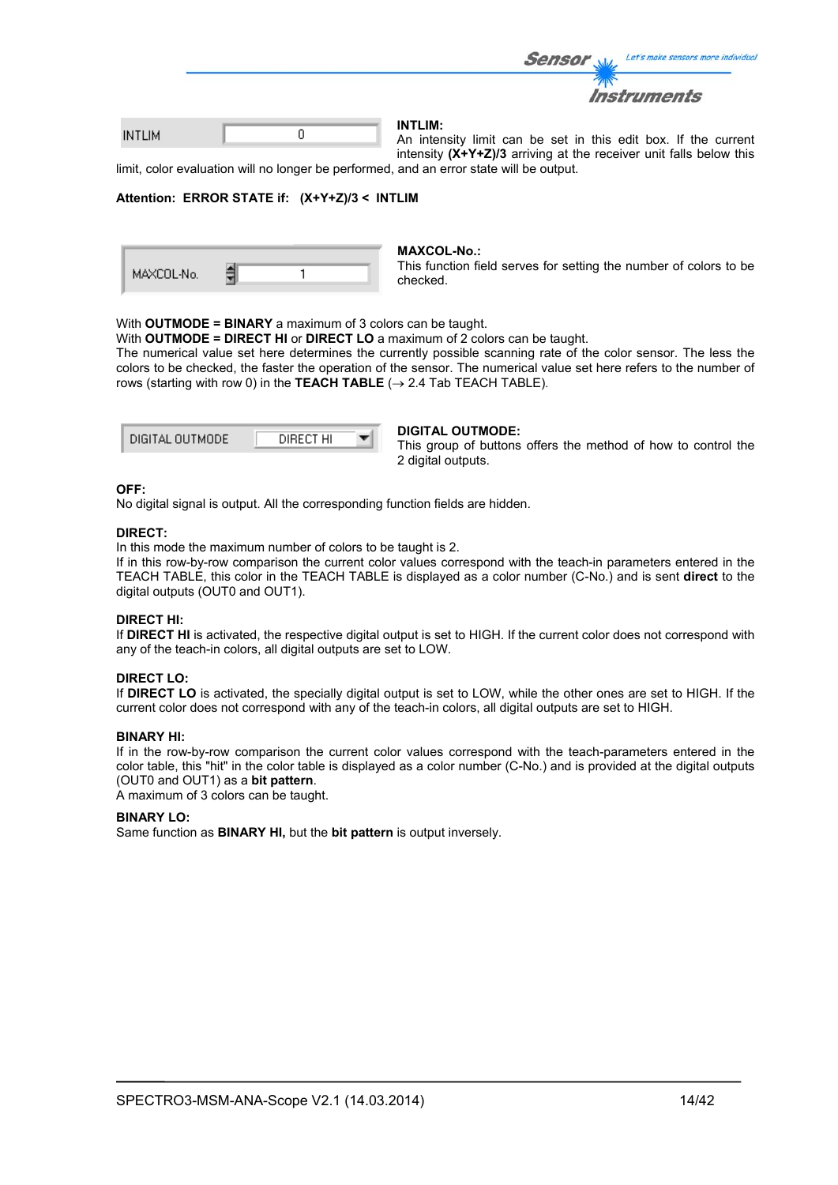|               |  | Let's make sensors more individue<br><b>Sensor</b>                                           |
|---------------|--|----------------------------------------------------------------------------------------------|
|               |  | <b>Instruments</b>                                                                           |
| <b>INTLIM</b> |  | <b>INTLIM:</b><br>And internative limits again has got in this walls have 16 that accounting |

An intensity limit can be set in this edit box. If the current a d intensity **(X+Y+Z)/3** arriving at the receiver unit falls below this

limit, color evaluation will no longer be performed, and an error state will be output.

#### **Attention: ERROR STATE if: (X+Y+Z)/3 < INTLIM**

| MAXCOL-No. |  |  |
|------------|--|--|
|------------|--|--|

#### **MAXCOL-No.:**

This function field serves for setting the number of colors to be checked.

#### With **OUTMODE = BINARY** a maximum of 3 colors can be taught.

With **OUTMODE = DIRECT HI** or **DIRECT LO** a maximum of 2 colors can be taught.

The numerical value set here determines the currently possible scanning rate of the color sensor. The less the colors to be checked, the faster the operation of the sensor. The numerical value set here refers to the number of rows (starting with row 0) in the **TEACH TABLE**  $(\rightarrow 2.4$  Tab TEACH TABLE).

| DIGITAL OUTMODE | DIRECT HI |  |
|-----------------|-----------|--|
|                 |           |  |

#### **DIGITAL OUTMODE:**

This group of buttons offers the method of how to control the 2 digital outputs.

#### **OFF:**

No digital signal is output. All the corresponding function fields are hidden.

#### **DIRECT:**

In this mode the maximum number of colors to be taught is 2.

If in this row-by-row comparison the current color values correspond with the teach-in parameters entered in the TEACH TABLE, this color in the TEACH TABLE is displayed as a color number (C-No.) and is sent **direct** to the digital outputs (OUT0 and OUT1).

#### **DIRECT HI:**

If **DIRECT HI** is activated, the respective digital output is set to HIGH. If the current color does not correspond with any of the teach-in colors, all digital outputs are set to LOW.

### **DIRECT LO:**

If **DIRECT LO** is activated, the specially digital output is set to LOW, while the other ones are set to HIGH. If the current color does not correspond with any of the teach-in colors, all digital outputs are set to HIGH.

### **BINARY HI:**

If in the row-by-row comparison the current color values correspond with the teach-parameters entered in the color table, this "hit" in the color table is displayed as a color number (C-No.) and is provided at the digital outputs (OUT0 and OUT1) as a **bit pattern**.

A maximum of 3 colors can be taught.

#### **BINARY LO:**

Same function as **BINARY HI,** but the **bit pattern** is output inversely.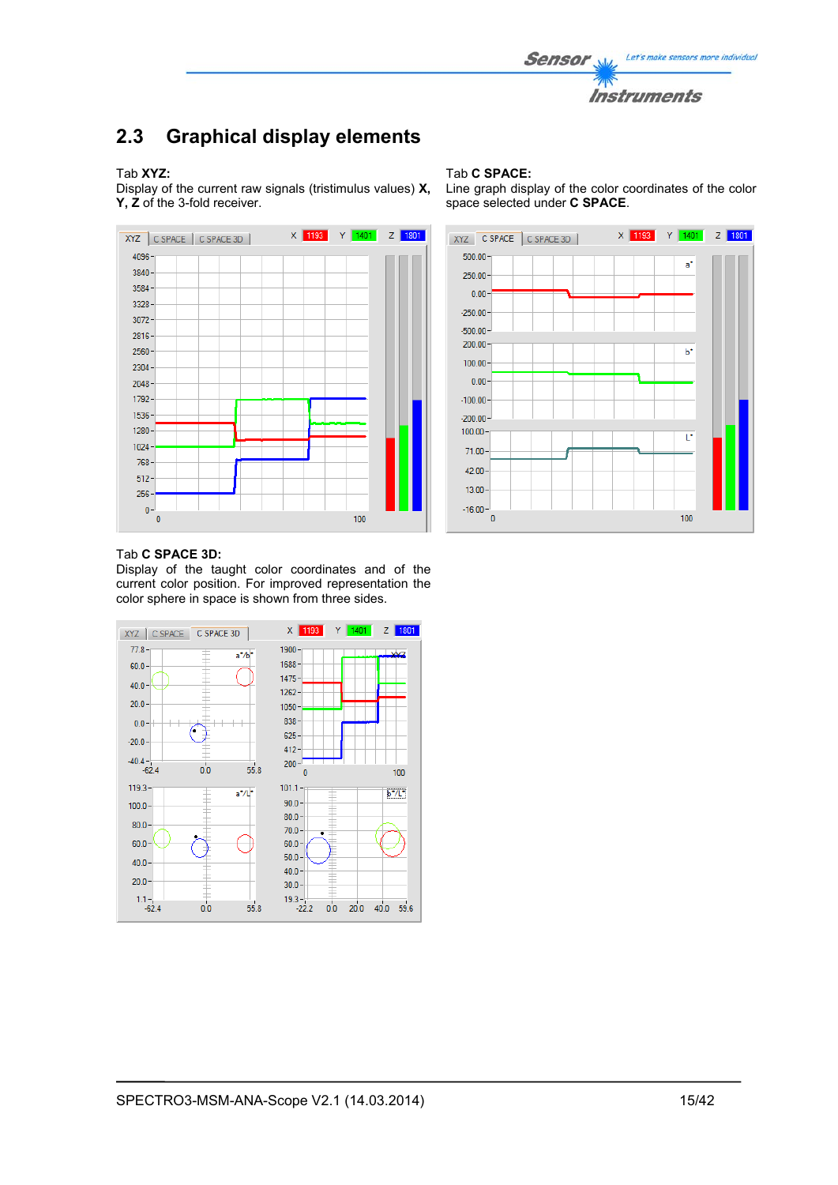

## **2.3 Graphical display elements**

#### Tab **XYZ:**

Display of the current raw signals (tristimulus values) **X, Y, Z** of the 3-fold receiver.



#### Tab **C SPACE:**

Line graph display of the color coordinates of the color space selected under **C SPACE**.



#### Tab **C SPACE 3D:**

Display of the taught color coordinates and of the current color position. For improved representation the color sphere in space is shown from three sides.

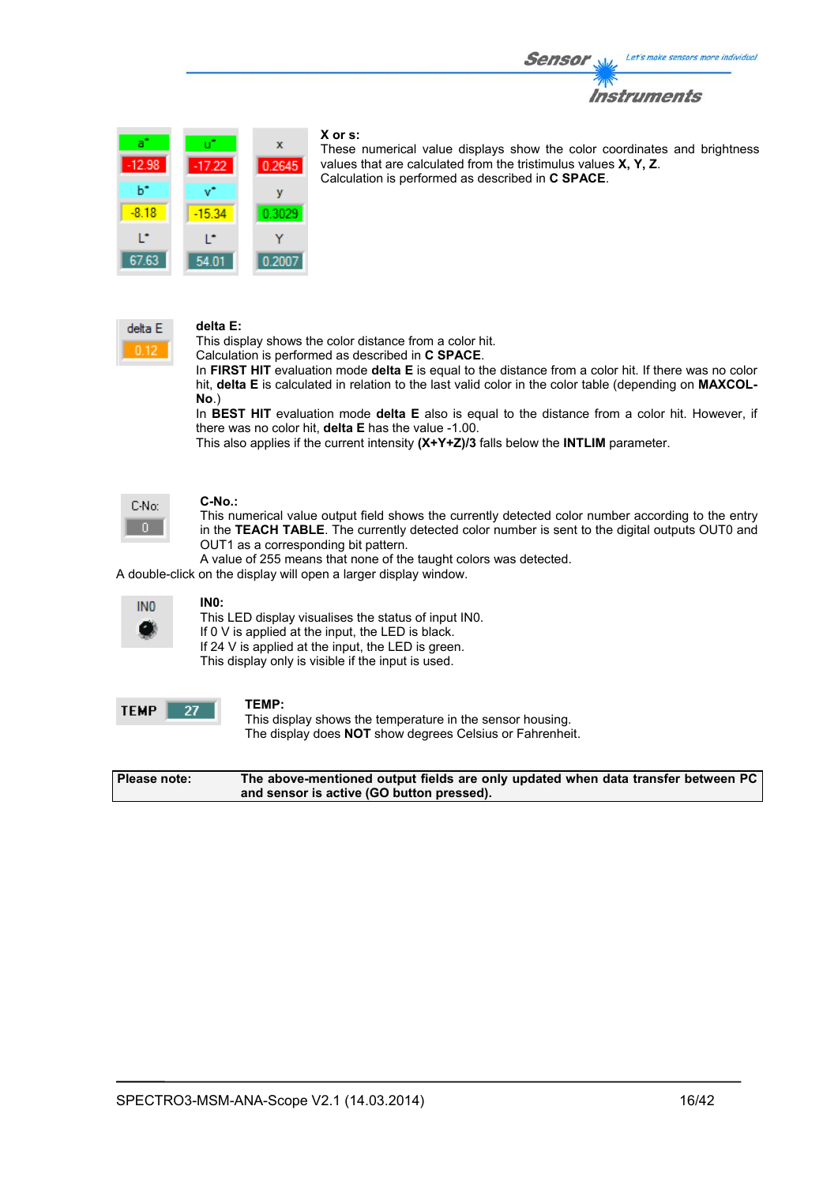

### **X or s:**

These numerical value displays show the color coordinates and brightness values that are calculated from the tristimulus values **X, Y, Z**. Calculation is performed as described in **C SPACE**.



## **delta E:**

This display shows the color distance from a color hit.

Calculation is performed as described in **C SPACE**.

In **FIRST HIT** evaluation mode **delta E** is equal to the distance from a color hit. If there was no color hit, **delta E** is calculated in relation to the last valid color in the color table (depending on **MAXCOL-No**.)

In **BEST HIT** evaluation mode **delta E** also is equal to the distance from a color hit. However, if there was no color hit, **delta E** has the value -1.00.

This also applies if the current intensity **(X+Y+Z)/3** falls below the **INTLIM** parameter.



#### **C-No.:**

This numerical value output field shows the currently detected color number according to the entry in the **TEACH TABLE**. The currently detected color number is sent to the digital outputs OUT0 and OUT1 as a corresponding bit pattern.

A value of 255 means that none of the taught colors was detected.

A double-click on the display will open a larger display window.



#### **IN0:**

This LED display visualises the status of input IN0. If 0 V is applied at the input, the LED is black. If 24 V is applied at the input, the LED is green. This display only is visible if the input is used.



## **TEMP:**

This display shows the temperature in the sensor housing. The display does **NOT** show degrees Celsius or Fahrenheit.

**Please note: The above-mentioned output fields are only updated when data transfer between PC and sensor is active (GO button pressed).**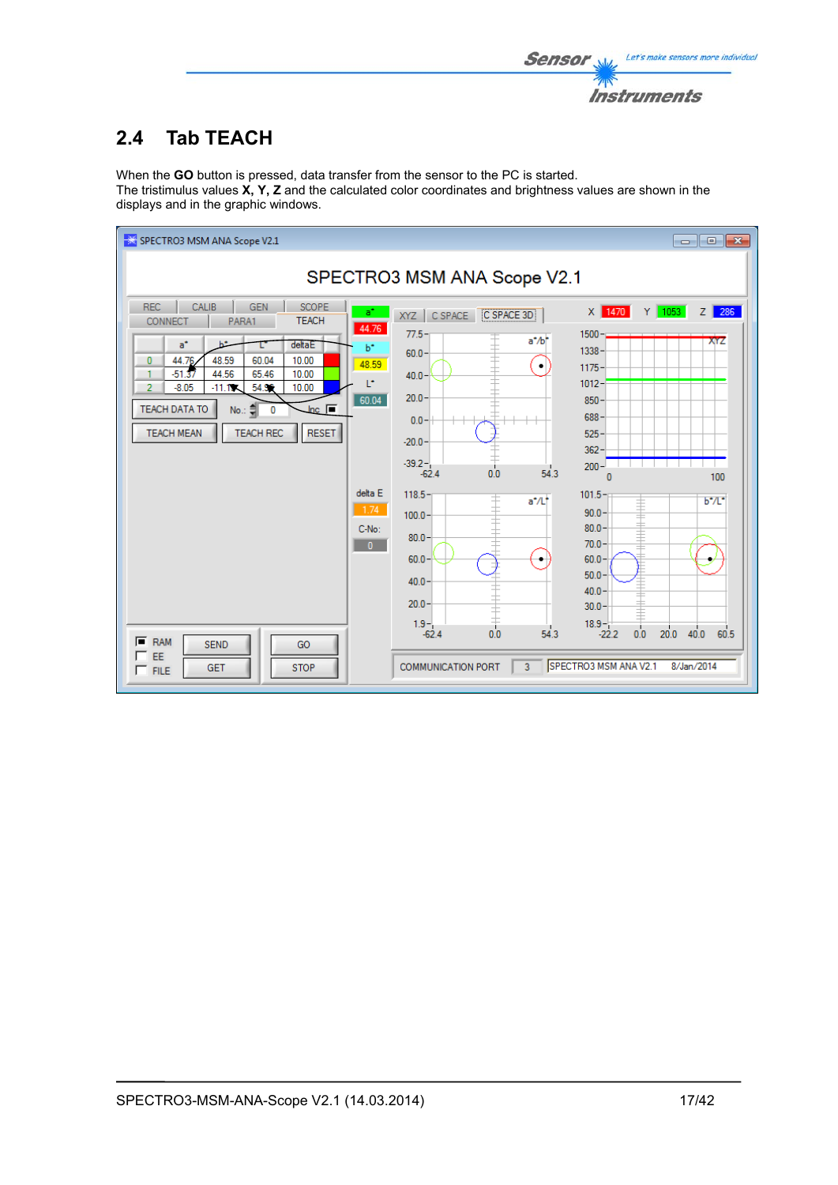

# **2.4 Tab TEACH**

When the **GO** button is pressed, data transfer from the sensor to the PC is started. The tristimulus values **X, Y, Z** and the calculated color coordinates and brightness values are shown in the displays and in the graphic windows.

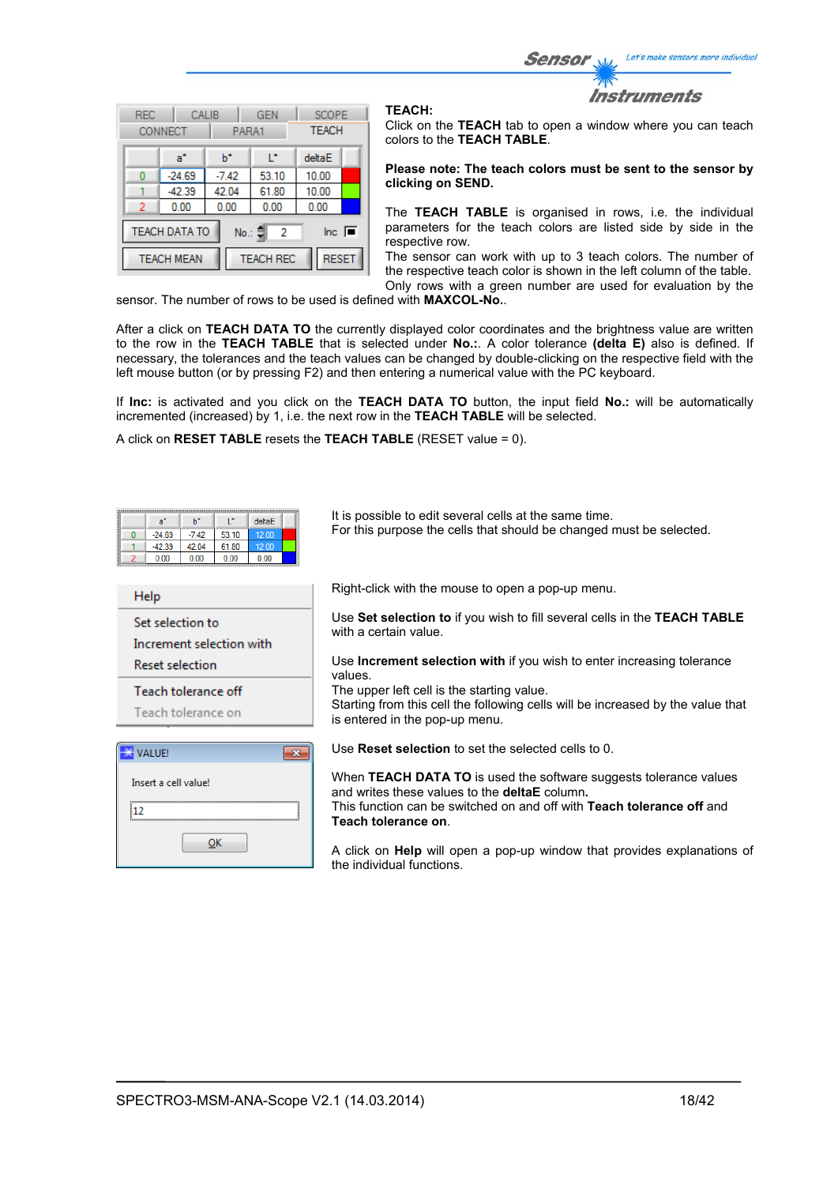Let's make sensors more individual Sensor

Instruments

| <b>REC</b> | <b>CONNECT</b>                                            | CALIB<br>PARA1 | <b>GEN</b>       | <b>SCOPE</b><br><b>TEACH</b> |  |  |  |  |  |  |  |  |  |  |
|------------|-----------------------------------------------------------|----------------|------------------|------------------------------|--|--|--|--|--|--|--|--|--|--|
|            | a*                                                        | h*             | r                | deltaE                       |  |  |  |  |  |  |  |  |  |  |
| 0          | $-24.69$                                                  | $-7.42$        | 53.10            | 10.00                        |  |  |  |  |  |  |  |  |  |  |
|            | $-42.39$                                                  | 42.04          | 61.80            | 10.00                        |  |  |  |  |  |  |  |  |  |  |
| 2          | 0.00                                                      | 0.00           | 0.00             | 0.00                         |  |  |  |  |  |  |  |  |  |  |
|            | <b>TEACH DATA TO</b><br>$\ln c$ $\sqrt{=}$<br>No.: 훼<br>2 |                |                  |                              |  |  |  |  |  |  |  |  |  |  |
|            | <b>TEACH MEAN</b>                                         |                | <b>TEACH REC</b> | <b>RESET</b>                 |  |  |  |  |  |  |  |  |  |  |

## **TEACH:**

Click on the **TEACH** tab to open a window where you can teach colors to the **TEACH TABLE**.

**Please note: The teach colors must be sent to the sensor by clicking on SEND.** 

The **TEACH TABLE** is organised in rows, i.e. the individual parameters for the teach colors are listed side by side in the respective row.

The sensor can work with up to 3 teach colors. The number of the respective teach color is shown in the left column of the table. Only rows with a green number are used for evaluation by the

sensor. The number of rows to be used is defined with **MAXCOL-No.**.

After a click on **TEACH DATA TO** the currently displayed color coordinates and the brightness value are written to the row in the **TEACH TABLE** that is selected under **No.:**. A color tolerance **(delta E)** also is defined. If necessary, the tolerances and the teach values can be changed by double-clicking on the respective field with the left mouse button (or by pressing F2) and then entering a numerical value with the PC keyboard.

If **Inc:** is activated and you click on the **TEACH DATA TO** button, the input field **No.:** will be automatically incremented (increased) by 1, i.e. the next row in the **TEACH TABLE** will be selected.

A click on **RESET TABLE** resets the **TEACH TABLE** (RESET value = 0).

 $\overline{\mathbf{x}}$ 

| a"       | ь       |       | $de$ ta $E$ |  |
|----------|---------|-------|-------------|--|
| $-24.69$ | $-7.42$ | 53.10 | 12.00       |  |
| $-42.39$ | 42.04   | 61.80 | 12.00       |  |
| 0.00     | 0.00    | 0.00  | 0.00        |  |

Increment selection with

OK

Help

**WE VALUE!** 

 $\overline{12}$ 

Insert a cell value!

Set selection to

**Reset selection** 

Teach tolerance off Teach tolerance on It is possible to edit several cells at the same time. For this purpose the cells that should be changed must be selected.

Right-click with the mouse to open a pop-up menu.

Use **Set selection to** if you wish to fill several cells in the **TEACH TABLE** with a certain value.

Use **Increment selection with** if you wish to enter increasing tolerance values.

The upper left cell is the starting value.

Starting from this cell the following cells will be increased by the value that is entered in the pop-up menu.

Use **Reset selection** to set the selected cells to 0.

When **TEACH DATA TO** is used the software suggests tolerance values and writes these values to the **deltaE** column**.**  This function can be switched on and off with **Teach tolerance off** and **Teach tolerance on**.

A click on **Help** will open a pop-up window that provides explanations of the individual functions.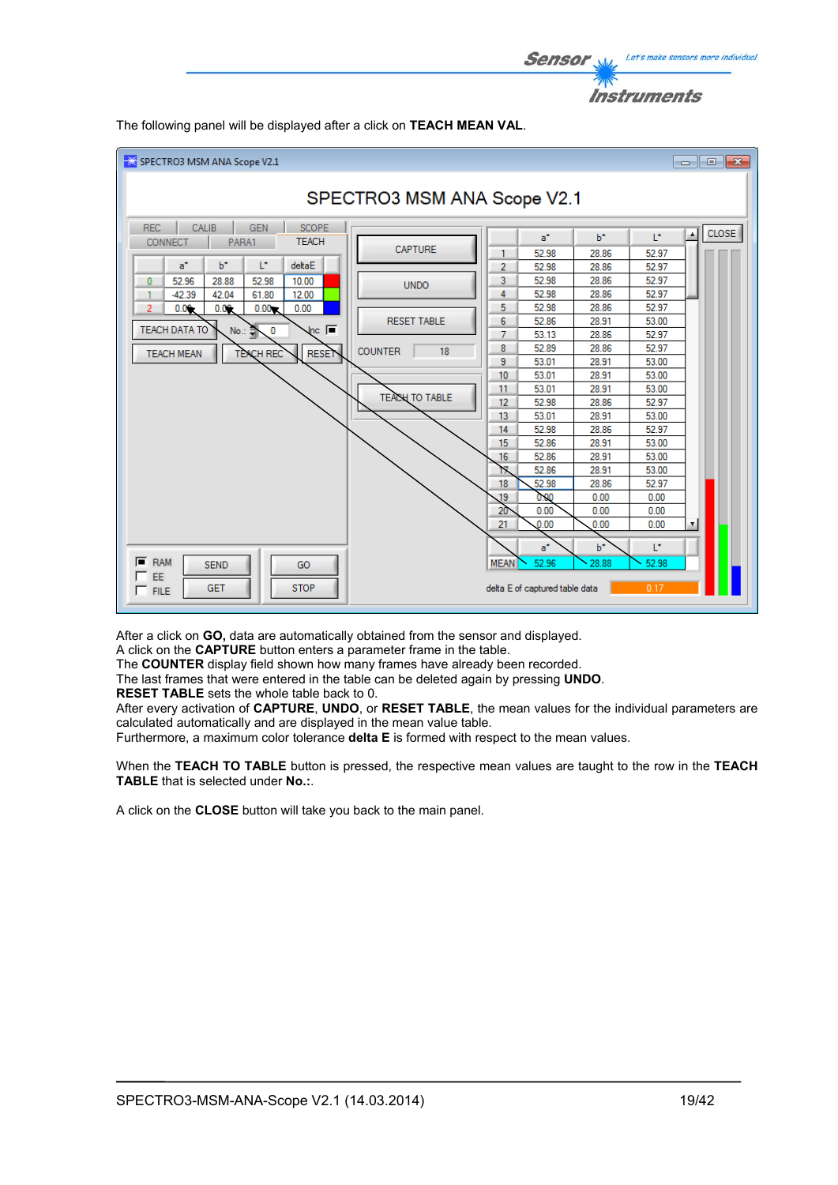

SPECTRO3 MSM ANA Scope V2.1  $\Box$ e x SPECTRO3 MSM ANA Scope V2.1  $|$  CALIB  $|$  GEN  $|$ SCOPE **REC** CLOSE ᆀ  $a^*$  $b^*$ Ŀ. **TEACH** CONNECT  $\left| \right|$  PARA1 CAPTURE 52.98 28.86 52.97  $\mathbf{1}$ L\*  $a^*$  $b^*$ deltaE 52.98 52.97  $\overline{2}$ 28.86 52.98 52.97 52.96 28.88 52.98  $10.00$ 3 28.86  $\mathbf{0}$ **UNDO** 28.86 52.97  $-42.39$ 42.04 61.80  $12.00$ 4 52.98  $\mathbf{1}$  $0.08$  $\overline{5}$ 52.98 28.86 52.97  $0.09$  $0.00*$  $0.00$  $\overline{2}$ **RESET TABLE** 52.86 28.91  $53.00$ 6 TEACH DATA TO  $\ln c$   $\sqrt{ }$ No. 큶  $\overline{\mathfrak{o}}$  $7<sup>2</sup>$ 53.13 28.86 52.97  $\overline{\mathbf{8}}$ 52.89 28.86 52.97 **COUNTER**  $18$ **TEACH MEAN TEACH REC RESET** 53.00 9 53.01 28.91  $10$ 53.01 28.91 53.00  $11<sub>1</sub>$ 53.01 28.91 53.00 **TEACH TO TABLE**  $12<sub>2</sub>$ 52.98 28.86 52.97 53.01 28.91 53.00  $13<sup>°</sup>$  $14$ 52.98 28.86 52.97  $15$ 52.86 28.91 53.00  $16$ 52.86 28.91 53.00 53.00  $17$ 52.86 28.91 52.98  $18$ 28.86 52.97 19  $0.00$  $0.00$  $0.00$  $20<sup>°</sup>$  $0.00$  $0.00$  $0.00$  $0.00$  $0.00$  $0.00$  $21$ a\* b<sup>\*</sup> Ľ.  $F$  RAM **SEND MEAN**  $52.96$ 28.88 52.98 GO Г EE Ē GET **STOP** delta E of captured table data **FILE** 

The following panel will be displayed after a click on **TEACH MEAN VAL**.

After a click on **GO,** data are automatically obtained from the sensor and displayed.

A click on the **CAPTURE** button enters a parameter frame in the table.

The **COUNTER** display field shown how many frames have already been recorded.

The last frames that were entered in the table can be deleted again by pressing **UNDO**.

**RESET TABLE** sets the whole table back to 0.

After every activation of **CAPTURE**, **UNDO**, or **RESET TABLE**, the mean values for the individual parameters are calculated automatically and are displayed in the mean value table.

Furthermore, a maximum color tolerance **delta E** is formed with respect to the mean values.

When the **TEACH TO TABLE** button is pressed, the respective mean values are taught to the row in the **TEACH TABLE** that is selected under **No.:**.

A click on the **CLOSE** button will take you back to the main panel.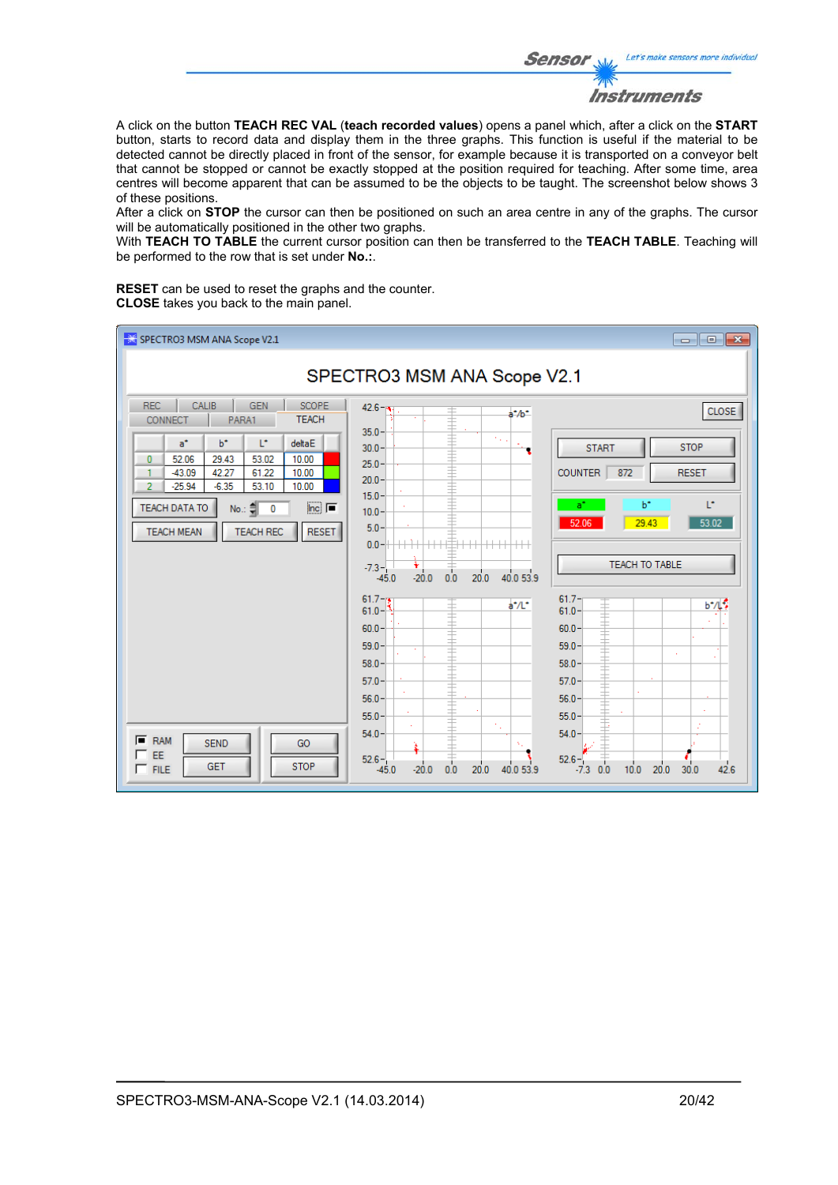Let's make sensors more individual **Sensor** Instruments

A click on the button **TEACH REC VAL** (**teach recorded values**) opens a panel which, after a click on the **START** button, starts to record data and display them in the three graphs. This function is useful if the material to be detected cannot be directly placed in front of the sensor, for example because it is transported on a conveyor belt that cannot be stopped or cannot be exactly stopped at the position required for teaching. After some time, area centres will become apparent that can be assumed to be the objects to be taught. The screenshot below shows 3 of these positions.

After a click on **STOP** the cursor can then be positioned on such an area centre in any of the graphs. The cursor will be automatically positioned in the other two graphs.

With **TEACH TO TABLE** the current cursor position can then be transferred to the **TEACH TABLE**. Teaching will be performed to the row that is set under **No.:**.

**RESET** can be used to reset the graphs and the counter. **CLOSE** takes you back to the main panel.

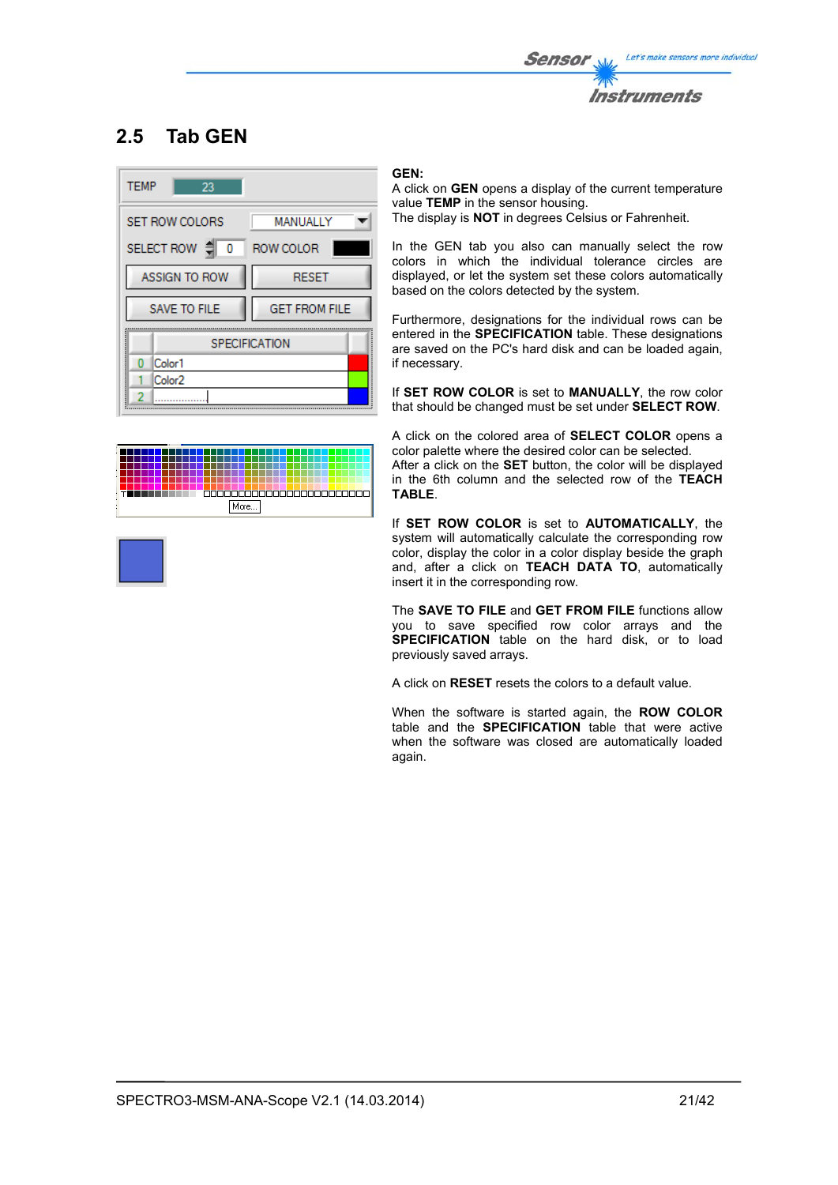

# **2.5 Tab GEN**



| ٠      |  |  |  |  |  |  |  |  |  |  |  |      |  |  |  |   |       |  |  |  |  |  |
|--------|--|--|--|--|--|--|--|--|--|--|--|------|--|--|--|---|-------|--|--|--|--|--|
|        |  |  |  |  |  |  |  |  |  |  |  |      |  |  |  |   |       |  |  |  |  |  |
|        |  |  |  |  |  |  |  |  |  |  |  |      |  |  |  |   |       |  |  |  |  |  |
| ٠<br>٠ |  |  |  |  |  |  |  |  |  |  |  |      |  |  |  |   |       |  |  |  |  |  |
|        |  |  |  |  |  |  |  |  |  |  |  |      |  |  |  |   |       |  |  |  |  |  |
|        |  |  |  |  |  |  |  |  |  |  |  |      |  |  |  |   |       |  |  |  |  |  |
|        |  |  |  |  |  |  |  |  |  |  |  |      |  |  |  | Ю | 1000L |  |  |  |  |  |
| ٠      |  |  |  |  |  |  |  |  |  |  |  |      |  |  |  |   |       |  |  |  |  |  |
|        |  |  |  |  |  |  |  |  |  |  |  | More |  |  |  |   |       |  |  |  |  |  |
|        |  |  |  |  |  |  |  |  |  |  |  |      |  |  |  |   |       |  |  |  |  |  |

#### **GEN:**

A click on **GEN** opens a display of the current temperature value **TEMP** in the sensor housing. The display is **NOT** in degrees Celsius or Fahrenheit.

In the GEN tab you also can manually select the row colors in which the individual tolerance circles are displayed, or let the system set these colors automatically based on the colors detected by the system.

Furthermore, designations for the individual rows can be entered in the **SPECIFICATION** table. These designations are saved on the PC's hard disk and can be loaded again, if necessary.

If **SET ROW COLOR** is set to **MANUALLY**, the row color that should be changed must be set under **SELECT ROW**.

A click on the colored area of **SELECT COLOR** opens a color palette where the desired color can be selected.

After a click on the **SET** button, the color will be displayed in the 6th column and the selected row of the **TEACH TABLE**.

If **SET ROW COLOR** is set to **AUTOMATICALLY**, the system will automatically calculate the corresponding row color, display the color in a color display beside the graph and, after a click on **TEACH DATA TO**, automatically insert it in the corresponding row.

The **SAVE TO FILE** and **GET FROM FILE** functions allow you to save specified row color arrays and the **SPECIFICATION** table on the hard disk, or to load previously saved arrays.

A click on **RESET** resets the colors to a default value.

When the software is started again, the **ROW COLOR** table and the **SPECIFICATION** table that were active when the software was closed are automatically loaded again.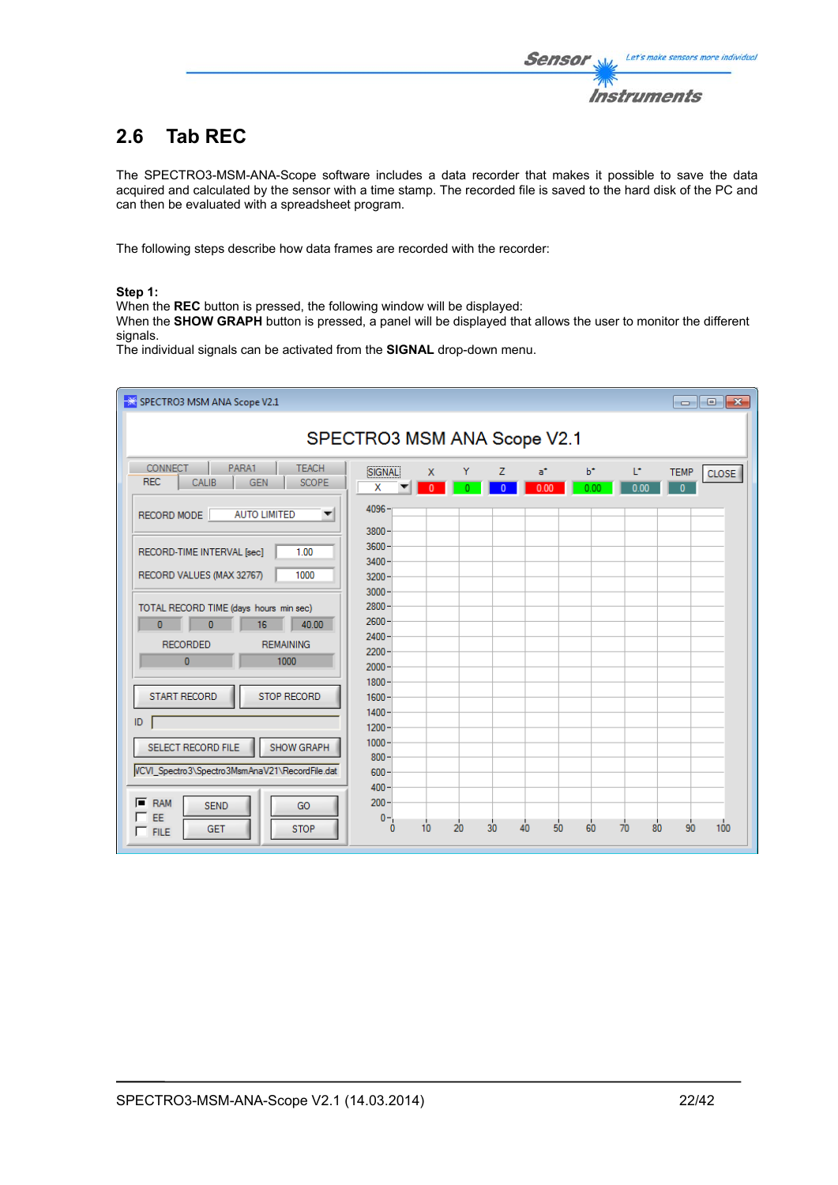# **2.6 Tab REC**

The SPECTRO3-MSM-ANA-Scope software includes a data recorder that makes it possible to save the data acquired and calculated by the sensor with a time stamp. The recorded file is saved to the hard disk of the PC and can then be evaluated with a spreadsheet program.

The following steps describe how data frames are recorded with the recorder:

#### **Step 1:**

When the **REC** button is pressed, the following window will be displayed:

When the **SHOW GRAPH** button is pressed, a panel will be displayed that allows the user to monitor the different signals.

The individual signals can be activated from the **SIGNAL** drop-down menu.

| SPECTRO3 MSM ANA Scope V2.1                                                                              |                                          |              |    |    |               |               |            |                             | $\begin{array}{c c c c c c} \hline \multicolumn{3}{c }{\mathbf{C}} & \multicolumn{3}{c }{\mathbf{S}} & \multicolumn{3}{c }{\mathbf{S}} \end{array}$ |
|----------------------------------------------------------------------------------------------------------|------------------------------------------|--------------|----|----|---------------|---------------|------------|-----------------------------|-----------------------------------------------------------------------------------------------------------------------------------------------------|
|                                                                                                          | SPECTRO3 MSM ANA Scope V2.1              |              |    |    |               |               |            |                             |                                                                                                                                                     |
| PARA1<br><b>CONNECT</b><br><b>TEACH</b><br><b>REC</b><br>CALIB<br><b>GEN</b><br><b>SCOPE</b>             | SIGNAL<br>x                              | $\mathsf{X}$ | Y  | z  | $a^*$<br>0.00 | $b^*$<br>0.00 | L*<br>0.00 | <b>TEMP</b><br>$\mathbf{u}$ | CLOSE <sup>1</sup>                                                                                                                                  |
| <b>AUTO LIMITED</b><br>RECORD MODE<br>▼                                                                  | 4096<br>3800                             |              |    |    |               |               |            |                             |                                                                                                                                                     |
| RECORD-TIME INTERVAL [sec]<br>1.00<br>1000<br>RECORD VALUES (MAX 32767)                                  | $3600 -$<br>$3400 -$<br>$3200 -$         |              |    |    |               |               |            |                             |                                                                                                                                                     |
| TOTAL RECORD TIME (days hours min sec)                                                                   | $3000 -$<br>2800                         |              |    |    |               |               |            |                             |                                                                                                                                                     |
| 40.00<br>$\overline{0}$<br>$\bf{0}$<br>16<br><b>RECORDED</b><br><b>REMAINING</b><br>$\mathbf{0}$<br>1000 | $2600 -$<br>$2400 -$<br>2200<br>$2000 -$ |              |    |    |               |               |            |                             |                                                                                                                                                     |
| <b>STOP RECORD</b><br><b>START RECORD</b>                                                                | $1800 -$<br>$1600 -$<br>$1400 -$         |              |    |    |               |               |            |                             |                                                                                                                                                     |
| ID.<br>SHOW GRAPH<br>SELECT RECORD FILE                                                                  | $1200 -$<br>$1000 -$                     |              |    |    |               |               |            |                             |                                                                                                                                                     |
| VCVI_Spectro3\Spectro3MsmAnaV21\RecordFile.dat                                                           | $800 -$<br>$600 -$<br>$400 -$            |              |    |    |               |               |            |                             |                                                                                                                                                     |
| $F$ RAM<br><b>SEND</b><br>GO<br>EE<br><b>GET</b><br><b>STOP</b><br>$\Gamma$ FILE                         | $200 -$<br>$0 -$<br>$\mathbf{0}$         | 10           | 20 | 30 | 50<br>40      | 60            | 70<br>80   | 90                          | 100                                                                                                                                                 |
|                                                                                                          |                                          |              |    |    |               |               |            |                             |                                                                                                                                                     |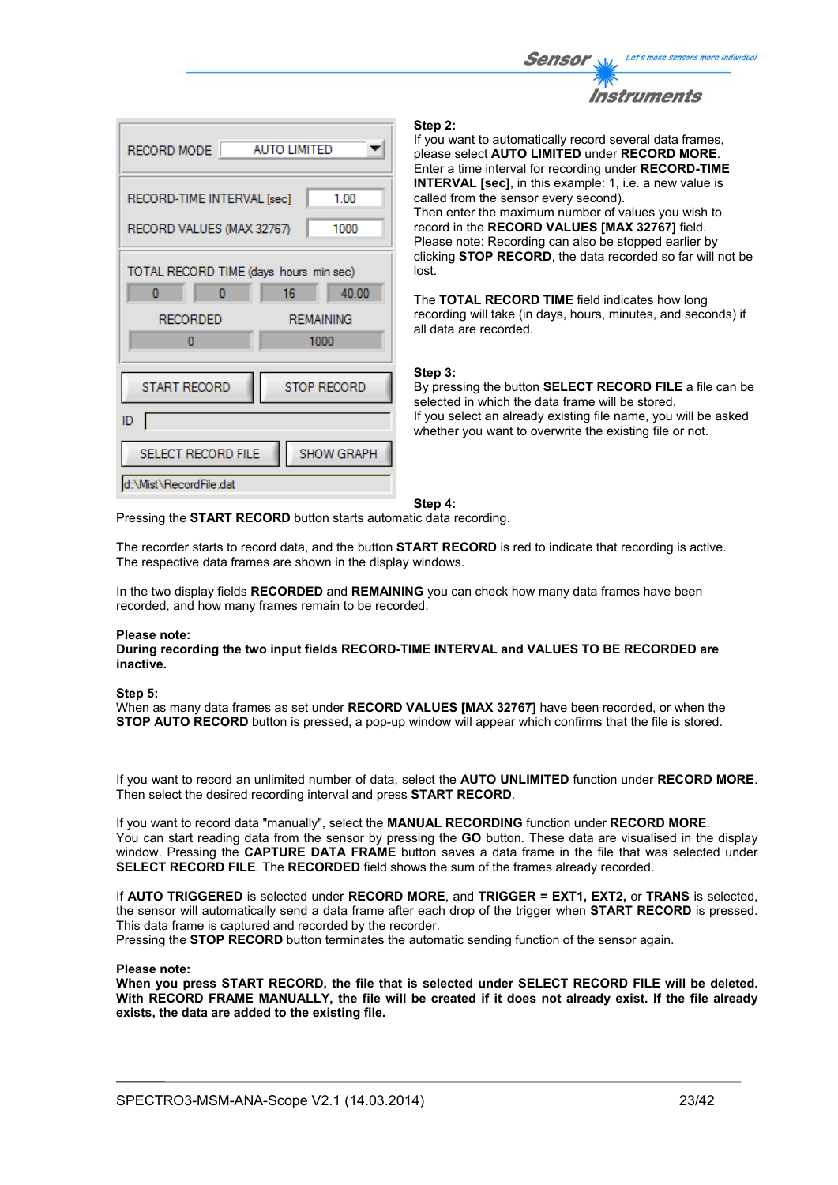



#### **Step 2:**

If you want to automatically record several data frames, please select **AUTO LIMITED** under **RECORD MORE**. Enter a time interval for recording under **RECORD-TIME INTERVAL [sec]**, in this example: 1, i.e. a new value is called from the sensor every second). Then enter the maximum number of values you wish to record in the **RECORD VALUES [MAX 32767]** field. Please note: Recording can also be stopped earlier by clicking **STOP RECORD**, the data recorded so far will not be lost.

The **TOTAL RECORD TIME** field indicates how long recording will take (in days, hours, minutes, and seconds) if all data are recorded.

#### **Step 3:**

By pressing the button **SELECT RECORD FILE** a file can be selected in which the data frame will be stored. If you select an already existing file name, you will be asked whether you want to overwrite the existing file or not.

#### **Step 4:**

Pressing the **START RECORD** button starts automatic data recording.

The recorder starts to record data, and the button **START RECORD** is red to indicate that recording is active. The respective data frames are shown in the display windows.

In the two display fields **RECORDED** and **REMAINING** you can check how many data frames have been recorded, and how many frames remain to be recorded.

#### **Please note:**

**During recording the two input fields RECORD-TIME INTERVAL and VALUES TO BE RECORDED are inactive.**

#### **Step 5:**

When as many data frames as set under **RECORD VALUES [MAX 32767]** have been recorded, or when the **STOP AUTO RECORD** button is pressed, a pop-up window will appear which confirms that the file is stored.

If you want to record an unlimited number of data, select the **AUTO UNLIMITED** function under **RECORD MORE**. Then select the desired recording interval and press **START RECORD**.

If you want to record data "manually", select the **MANUAL RECORDING** function under **RECORD MORE**. You can start reading data from the sensor by pressing the **GO** button. These data are visualised in the display window. Pressing the **CAPTURE DATA FRAME** button saves a data frame in the file that was selected under **SELECT RECORD FILE**. The **RECORDED** field shows the sum of the frames already recorded.

If **AUTO TRIGGERED** is selected under **RECORD MORE**, and **TRIGGER = EXT1, EXT2,** or **TRANS** is selected, the sensor will automatically send a data frame after each drop of the trigger when **START RECORD** is pressed. This data frame is captured and recorded by the recorder.

Pressing the **STOP RECORD** button terminates the automatic sending function of the sensor again.

#### **Please note:**

**When you press START RECORD, the file that is selected under SELECT RECORD FILE will be deleted. With RECORD FRAME MANUALLY, the file will be created if it does not already exist. If the file already exists, the data are added to the existing file.**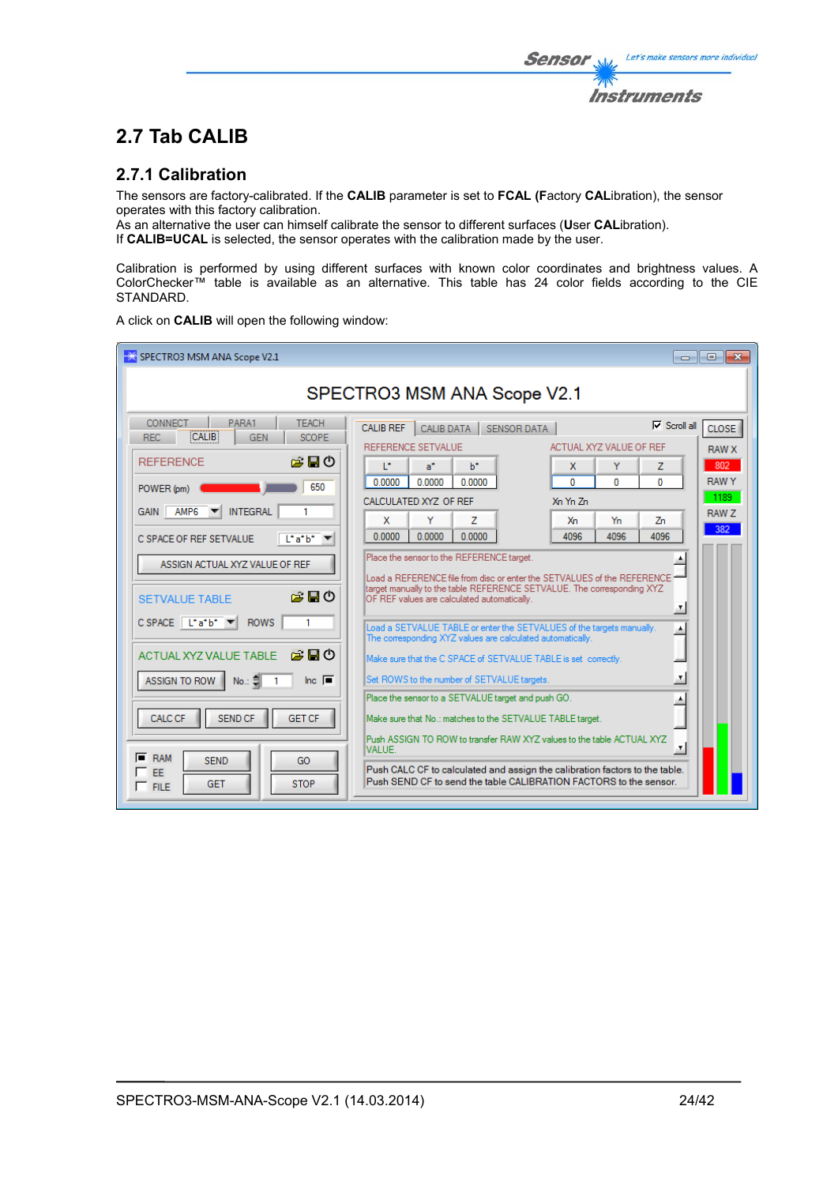The sensors are factory-calibrated. If the **CALIB** parameter is set to **FCAL (F**actory **CAL**ibration), the sensor operates with this factory calibration.

As an alternative the user can himself calibrate the sensor to different surfaces (**U**ser **CAL**ibration). If **CALIB=UCAL** is selected, the sensor operates with the calibration made by the user.

Calibration is performed by using different surfaces with known color coordinates and brightness values. A ColorChecker™ table is available as an alternative. This table has 24 color fields according to the CIE STANDARD.

A click on **CALIB** will open the following window:

| SPECTRO3 MSM ANA Scope V2.1                                                                                                                                                                                                                                                                                                                                                                                                                                                                                                                                                                                                                     |                                                                                                                                                                                                                                                                                                                                                                                                                                                                                                                                                                                                                                                                                                                                                                                                                                                                                                                                                                                                                                                                                                                                                                                                                | $\Box$ $\Box$ $\mathbf{x}$                                                 |
|-------------------------------------------------------------------------------------------------------------------------------------------------------------------------------------------------------------------------------------------------------------------------------------------------------------------------------------------------------------------------------------------------------------------------------------------------------------------------------------------------------------------------------------------------------------------------------------------------------------------------------------------------|----------------------------------------------------------------------------------------------------------------------------------------------------------------------------------------------------------------------------------------------------------------------------------------------------------------------------------------------------------------------------------------------------------------------------------------------------------------------------------------------------------------------------------------------------------------------------------------------------------------------------------------------------------------------------------------------------------------------------------------------------------------------------------------------------------------------------------------------------------------------------------------------------------------------------------------------------------------------------------------------------------------------------------------------------------------------------------------------------------------------------------------------------------------------------------------------------------------|----------------------------------------------------------------------------|
|                                                                                                                                                                                                                                                                                                                                                                                                                                                                                                                                                                                                                                                 | SPECTRO3 MSM ANA Scope V2.1                                                                                                                                                                                                                                                                                                                                                                                                                                                                                                                                                                                                                                                                                                                                                                                                                                                                                                                                                                                                                                                                                                                                                                                    |                                                                            |
| <b>CONNECT</b><br>PARA1<br><b>TEACH</b><br><b>CALIB</b><br><b>GEN</b><br><b>REC</b><br><b>SCOPE</b><br>第日の<br><b>REFERENCE</b><br>650<br>POWER (pm)<br><b>INTEGRAL</b><br>AMP <sub>6</sub><br><b>GAIN</b><br>C SPACE OF REF SETVALUE<br>$L^*a^*b^*$<br>ASSIGN ACTUAL XYZ VALUE OF REF<br>房間の<br>SETVALUE TABLE<br>$C$ SPACE $\left\  \begin{array}{cc} \mathbf{L}^* \mathbf{a}^* \mathbf{b}^* & \mathbf{w} \end{array} \right\ $<br><b>ROWS</b><br>1<br>房間の<br>ACTUAL XYZ VALUE TABLE<br>Inc. $\blacksquare$<br>ASSIGN TO ROW<br>$No.: \exists$<br><b>SEND CF</b><br><b>CALC CF</b><br><b>GET CF</b><br><b>RAM</b><br><b>SEND</b><br>GO<br>T FE | $\nabla$ Scroll all<br><b>CALIB REF</b><br><b>CALIB DATA</b><br><b>SENSOR DATA</b><br>REFERENCE SETVALUE<br>ACTUAL XYZ VALUE OF REF<br>Y<br>T.<br>a*<br>$h^*$<br>X<br>Z<br>0.0000<br>0.0000<br>0.0000<br>o<br>o<br>n<br>CALCULATED XYZ OF REF<br>Xn Yn Zn<br>Y<br>x<br>7<br>Xn<br>Yn<br>7n<br>0.0000<br>0.0000<br>0.0000<br>4096<br>4096<br>4096<br>Place the sensor to the REFERENCE target.<br>Load a REFERENCE file from disc or enter the SETVALUES of the REFERENCE<br>target manually to the table REFERENCE SETVALUE. The corresponding XYZ<br>OF REF values are calculated automatically.<br>$\overline{\mathbf{r}}$<br>Load a SETVALUE TABLE or enter the SETVALUES of the targets manually.<br>A<br>The corresponding XYZ values are calculated automatically.<br>Make sure that the C SPACE of SETVALUE TABLE is set correctly.<br>$\pmb{\mathrm{v}}$<br>Set ROWS to the number of SETVALUE targets.<br>Place the sensor to a SETVALUE target and push GO.<br>Make sure that No.: matches to the SETVALUE TABLE target.<br>Push ASSIGN TO ROW to transfer RAW XYZ values to the table ACTUAL XYZ<br>$\tau$<br>VALUE.<br>Push CALC CF to calculated and assign the calibration factors to the table. | <b>CLOSE</b><br><b>RAW X</b><br>802<br><b>RAWY</b><br>1189<br>RAW Z<br>382 |
| <b>STOP</b><br><b>GET</b><br>$\Gamma$ FILE                                                                                                                                                                                                                                                                                                                                                                                                                                                                                                                                                                                                      | Push SEND CF to send the table CALIBRATION FACTORS to the sensor.                                                                                                                                                                                                                                                                                                                                                                                                                                                                                                                                                                                                                                                                                                                                                                                                                                                                                                                                                                                                                                                                                                                                              |                                                                            |

Let's make sensors more individual

**Instruments** 

Sensor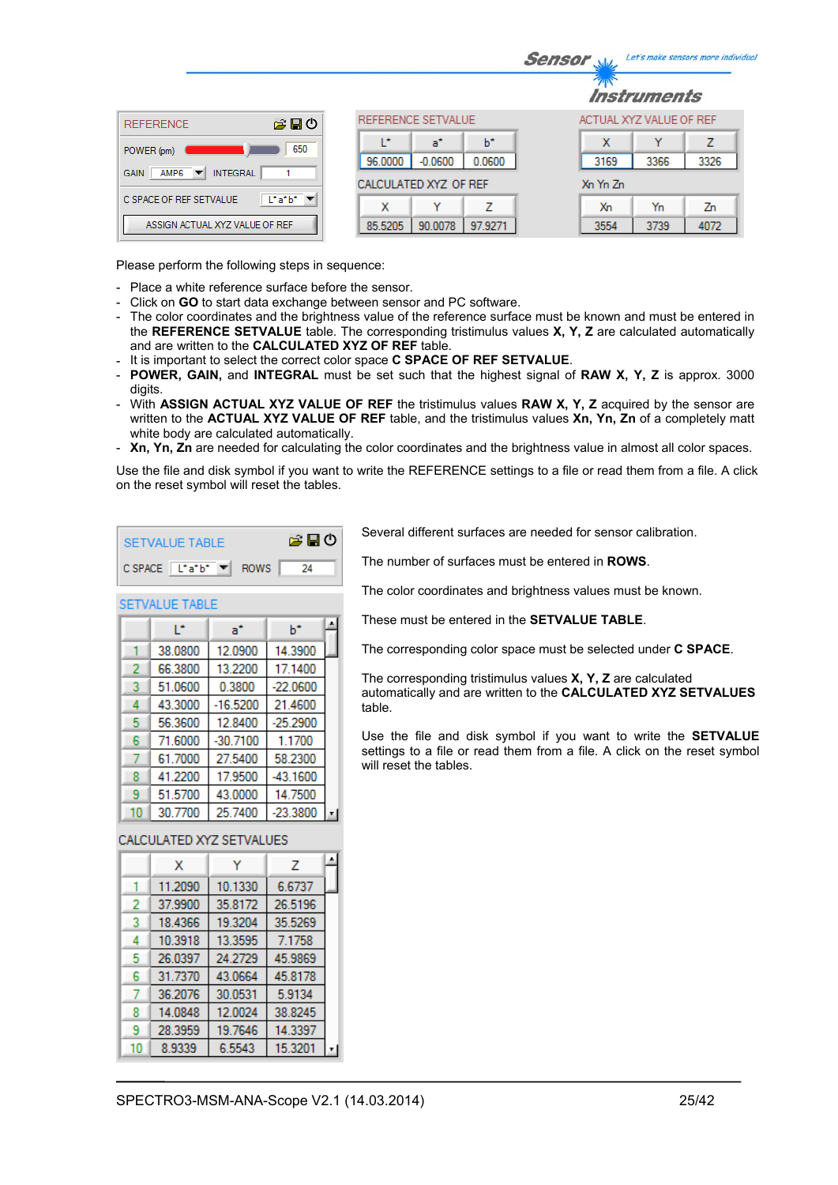|                                                                   |         |                    |         |  |                         | <i><b>Instruments</b></i> |      |
|-------------------------------------------------------------------|---------|--------------------|---------|--|-------------------------|---------------------------|------|
| 合日の<br><b>REFERENCE</b>                                           |         | REFERENCE SETVALUE |         |  | ACTUAL XYZ VALUE OF REF |                           |      |
| 650<br>POWER (pm)                                                 | œ       | a"                 | ь       |  | x                       | v                         | 7    |
| <b>INTEGRAL</b><br>AMP6<br><b>GAIN</b><br>$\overline{\mathbf{v}}$ | 96.0000 | $-0.0600$          | 0.0600  |  | 3169                    | 3366                      | 3326 |
| CALCULATED XYZ OF REF<br>Xn Yn Zn                                 |         |                    |         |  |                         |                           |      |
| $L^*a^*b^*$ $\blacktriangledown$<br>C SPACE OF REF SETVALUE       | x       | v                  | 7       |  | Х'n                     | Yn                        | Zn   |
| ASSIGN ACTUAL XYZ VALUE OF REF                                    | 85.5205 | 90.0078            | 97.9271 |  | 3554                    | 3739                      | 4072 |

Please perform the following steps in sequence:

- Place a white reference surface before the sensor.
- Click on **GO** to start data exchange between sensor and PC software.
- The color coordinates and the brightness value of the reference surface must be known and must be entered in the **REFERENCE SETVALUE** table. The corresponding tristimulus values **X, Y, Z** are calculated automatically and are written to the **CALCULATED XYZ OF REF** table.
- It is important to select the correct color space **C SPACE OF REF SETVALUE**.

∣∡

h\*

- **POWER, GAIN,** and **INTEGRAL** must be set such that the highest signal of **RAW X, Y, Z** is approx. 3000 digits.
- With **ASSIGN ACTUAL XYZ VALUE OF REF** the tristimulus values **RAW X, Y, Z** acquired by the sensor are written to the **ACTUAL XYZ VALUE OF REF** table, and the tristimulus values **Xn, Yn, Zn** of a completely matt white body are calculated automatically.
- **Xn, Yn, Zn** are needed for calculating the color coordinates and the brightness value in almost all color spaces.

Use the file and disk symbol if you want to write the REFERENCE settings to a file or read them from a file. A click on the reset symbol will reset the tables.

| SETVALUE TABLE                                                                                   | 房間の |
|--------------------------------------------------------------------------------------------------|-----|
| $C$ SPACE $\boxed{\begin{bmatrix} \end{bmatrix} a^{\dagger} b^{\dagger}}$ $\boxed{\bullet}$ ROWS | 24  |

 $a^*$ 

**SETVALUE TABLE** 

T.

Several different surfaces are needed for sensor calibration.

**Sensor** When Let's make sensors more individual

The number of surfaces must be entered in **ROWS**.

The color coordinates and brightness values must be known.

These must be entered in the **SETVALUE TABLE**.

The corresponding color space must be selected under **C SPACE**.

The corresponding tristimulus values **X, Y, Z** are calculated automatically and are written to the **CALCULATED XYZ SETVALUES**  table.

Use the file and disk symbol if you want to write the **SETVALUE** settings to a file or read them from a file. A click on the reset symbol will reset the tables.

|    | 38.0800 | 12.0900    | 14.3900    |  |
|----|---------|------------|------------|--|
| 2  | 66.3800 | 13.2200    | 17.1400    |  |
| 3  | 51.0600 | 0.3800     | $-22.0600$ |  |
| 4  | 43.3000 | $-16.5200$ | 21.4600    |  |
| 5  | 56.3600 | 12.8400    | $-25.2900$ |  |
| 6  | 71.6000 | $-30.7100$ | 1.1700     |  |
|    | 61.7000 | 27.5400    | 58.2300    |  |
| 8  | 41.2200 | 17.9500    | $-43.1600$ |  |
| 9  | 51.5700 | 43.0000    | 14.7500    |  |
| 10 | 30.7700 | 25.7400    | $-23.3800$ |  |
|    |         |            |            |  |

## CALCULATED XYZ SETVALUES

|    | x       | Y       | 7       | ۰. |
|----|---------|---------|---------|----|
|    | 11.2090 | 10.1330 | 6.6737  |    |
| 2  | 37.9900 | 35.8172 | 26.5196 |    |
| 3  | 18.4366 | 19.3204 | 35.5269 |    |
| 4  | 10.3918 | 13.3595 | 7.1758  |    |
| 5  | 26.0397 | 24.2729 | 45.9869 |    |
| 6  | 31.7370 | 43.0664 | 45.8178 |    |
|    | 36.2076 | 30.0531 | 5.9134  |    |
| 8  | 14.0848 | 12.0024 | 38.8245 |    |
| 9  | 28.3959 | 19.7646 | 14.3397 |    |
| 10 | 8.9339  | 6.5543  | 15.3201 |    |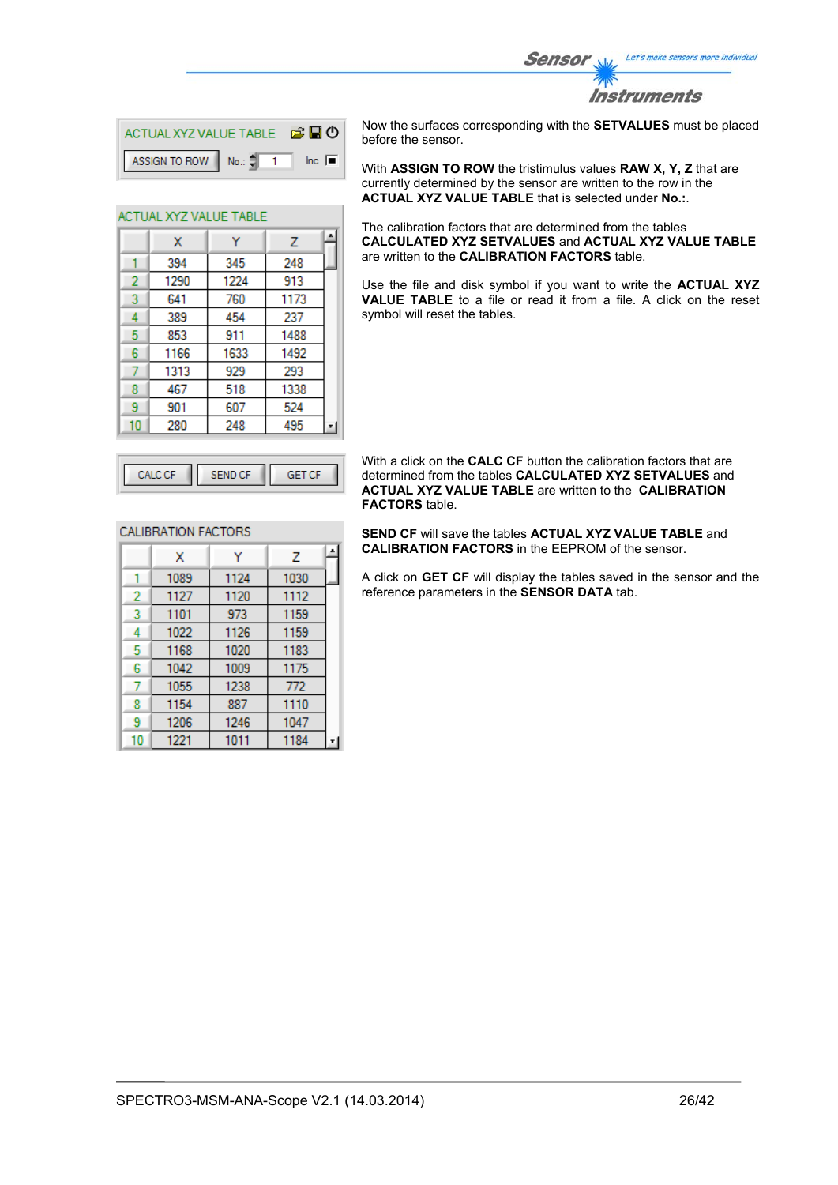

**Instruments** 

| ACTUAL XYZ VALUE TABLE <b>B B D</b> |                        |
|-------------------------------------|------------------------|
| ASSIGN TO ROW No.: $\frac{4}{3}$ 1  | $\ln c$ $\blacksquare$ |

Ÿ

345

1224

760

454

911

1633

A

Z

248

913

1173

237

1488

1492

ACTUAL XYZ VALUE TABLE

 $\mathbf{x}$ 394

1290

641

389

853

1166

1  $\overline{2}$ 

3

 $\overline{4}$ 

5

 $6<sup>1</sup>$ 

Now the surfaces corresponding with the **SETVALUES** must be placed before the sensor.

With **ASSIGN TO ROW** the tristimulus values **RAW X, Y, Z** that are currently determined by the sensor are written to the row in the **ACTUAL XYZ VALUE TABLE** that is selected under **No.:**.

The calibration factors that are determined from the tables **CALCULATED XYZ SETVALUES** and **ACTUAL XYZ VALUE TABLE** are written to the **CALIBRATION FACTORS** table.

Use the file and disk symbol if you want to write the **ACTUAL XYZ VALUE TABLE** to a file or read it from a file. A click on the reset symbol will reset the tables.

|   | 1313 | 929 | 293  |  |
|---|------|-----|------|--|
|   | 467  | 518 | 1338 |  |
| ۹ | 901  | 607 | 524  |  |
|   | 280  | 248 | 495  |  |
|   |      |     |      |  |
|   | л    |     |      |  |

With a click on the **CALC CF** button the calibration factors that are determined from the tables **CALCULATED XYZ SETVALUES** and **ACTUAL XYZ VALUE TABLE** are written to the **CALIBRATION FACTORS** table.

**SEND CF** will save the tables **ACTUAL XYZ VALUE TABLE** and **CALIBRATION FACTORS** in the EEPROM of the sensor.

A click on **GET CF** will display the tables saved in the sensor and the reference parameters in the **SENSOR DATA** tab.

| and a | Æ<br>26 I F |
|-------|-------------|
|       |             |

### **CALIBRATION FACTORS**

|    | х    | Y    | z    | ᆂ |
|----|------|------|------|---|
|    | 1089 | 1124 | 1030 |   |
| 2  | 1127 | 1120 | 1112 |   |
| 3  | 1101 | 973  | 1159 |   |
| 4  | 1022 | 1126 | 1159 |   |
| 5  | 1168 | 1020 | 1183 |   |
| 6  | 1042 | 1009 | 1175 |   |
|    | 1055 | 1238 | 772  |   |
| 8  | 1154 | 887  | 1110 |   |
| 9  | 1206 | 1246 | 1047 |   |
| 10 | 1221 | 1011 | 1184 |   |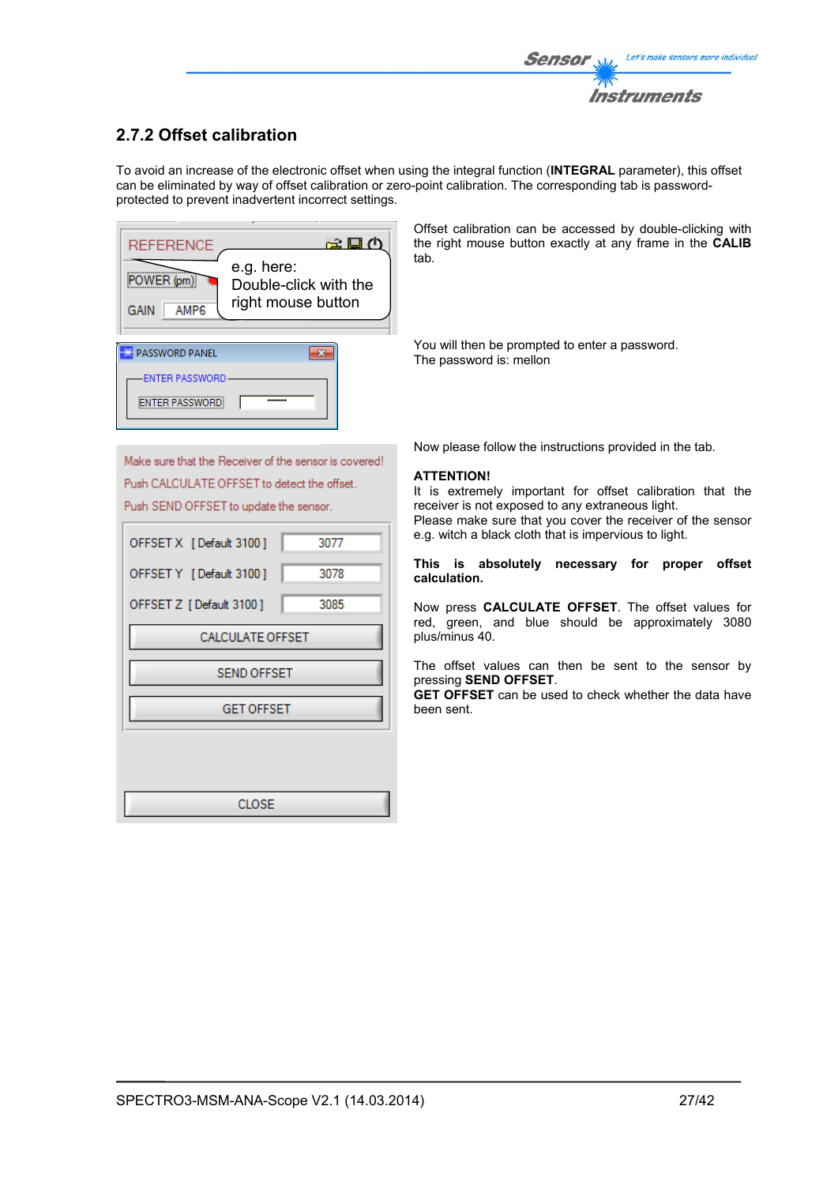## **2.7.2 Offset calibration**

To avoid an increase of the electronic offset when using the integral function (**INTEGRAL** parameter), this offset can be eliminated by way of offset calibration or zero-point calibration. The corresponding tab is passwordprotected to prevent inadvertent incorrect settings.



Offset calibration can be accessed by double-clicking with the right mouse button exactly at any frame in the **CALIB** tab.

You will then be prompted to enter a password. The password is: mellon

Make sure that the Receiver of the sensor is covered! Push CALCULATE OFFSET to detect the offset. Push SEND OFFSET to update the sensor.

| OFFSET X [Default 3100] | 3077 |
|-------------------------|------|
| OFFSET Y [Default 3100] | 3078 |
| OFFSET Z [Default 3100] | 3085 |
| <b>CALCULATE OFFSET</b> |      |
| <b>SEND OFFSET</b>      |      |
| <b>GET OFFSET</b>       |      |
|                         |      |
|                         |      |
| CLOSE                   |      |

Now please follow the instructions provided in the tab.

#### **ATTENTION!**

It is extremely important for offset calibration that the receiver is not exposed to any extraneous light. Please make sure that you cover the receiver of the sensor e.g. witch a black cloth that is impervious to light.

#### **This is absolutely necessary for proper offset calculation.**

Now press **CALCULATE OFFSET**. The offset values for red, green, and blue should be approximately 3080 plus/minus 40.

The offset values can then be sent to the sensor by pressing **SEND OFFSET**.

**GET OFFSET** can be used to check whether the data have been sent.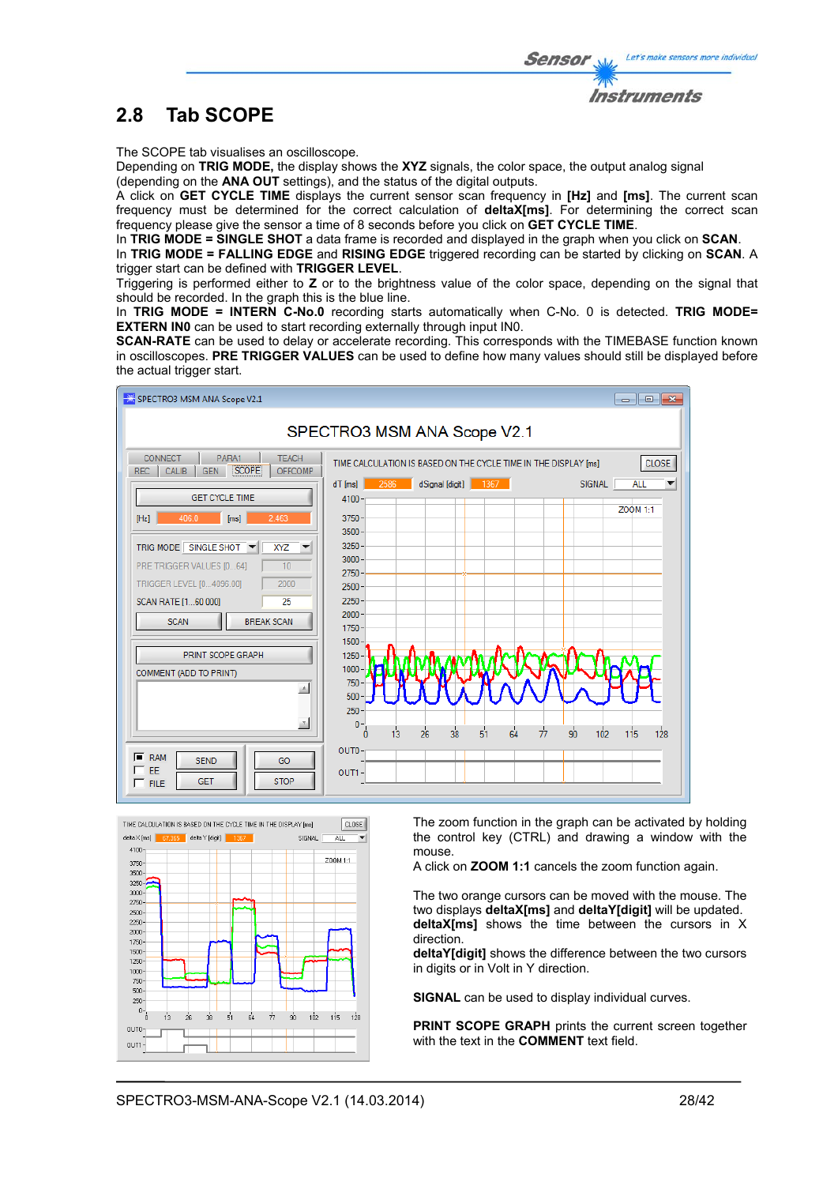

The SCOPE tab visualises an oscilloscope.

Depending on **TRIG MODE,** the display shows the **XYZ** signals, the color space, the output analog signal (depending on the **ANA OUT** settings), and the status of the digital outputs.

A click on **GET CYCLE TIME** displays the current sensor scan frequency in **[Hz]** and **[ms]**. The current scan frequency must be determined for the correct calculation of **deltaX[ms]**. For determining the correct scan frequency please give the sensor a time of 8 seconds before you click on **GET CYCLE TIME**.

In **TRIG MODE = SINGLE SHOT** a data frame is recorded and displayed in the graph when you click on **SCAN**.

In **TRIG MODE = FALLING EDGE** and **RISING EDGE** triggered recording can be started by clicking on **SCAN**. A trigger start can be defined with **TRIGGER LEVEL**.

Triggering is performed either to **Z** or to the brightness value of the color space, depending on the signal that should be recorded. In the graph this is the blue line.

In **TRIG MODE = INTERN C-No.0** recording starts automatically when C-No. 0 is detected. **TRIG MODE= EXTERN IN0** can be used to start recording externally through input IN0.

**SCAN-RATE** can be used to delay or accelerate recording. This corresponds with the TIMEBASE function known in oscilloscopes. **PRE TRIGGER VALUES** can be used to define how many values should still be displayed before the actual trigger start.





The zoom function in the graph can be activated by holding the control key (CTRL) and drawing a window with the mouse.

A click on **ZOOM 1:1** cancels the zoom function again.

The two orange cursors can be moved with the mouse. The two displays **deltaX[ms]** and **deltaY[digit]** will be updated. **deltaX[ms]** shows the time between the cursors in X direction.

**deltaY[digit]** shows the difference between the two cursors in digits or in Volt in Y direction.

**SIGNAL** can be used to display individual curves.

**PRINT SCOPE GRAPH** prints the current screen together with the text in the **COMMENT** text field.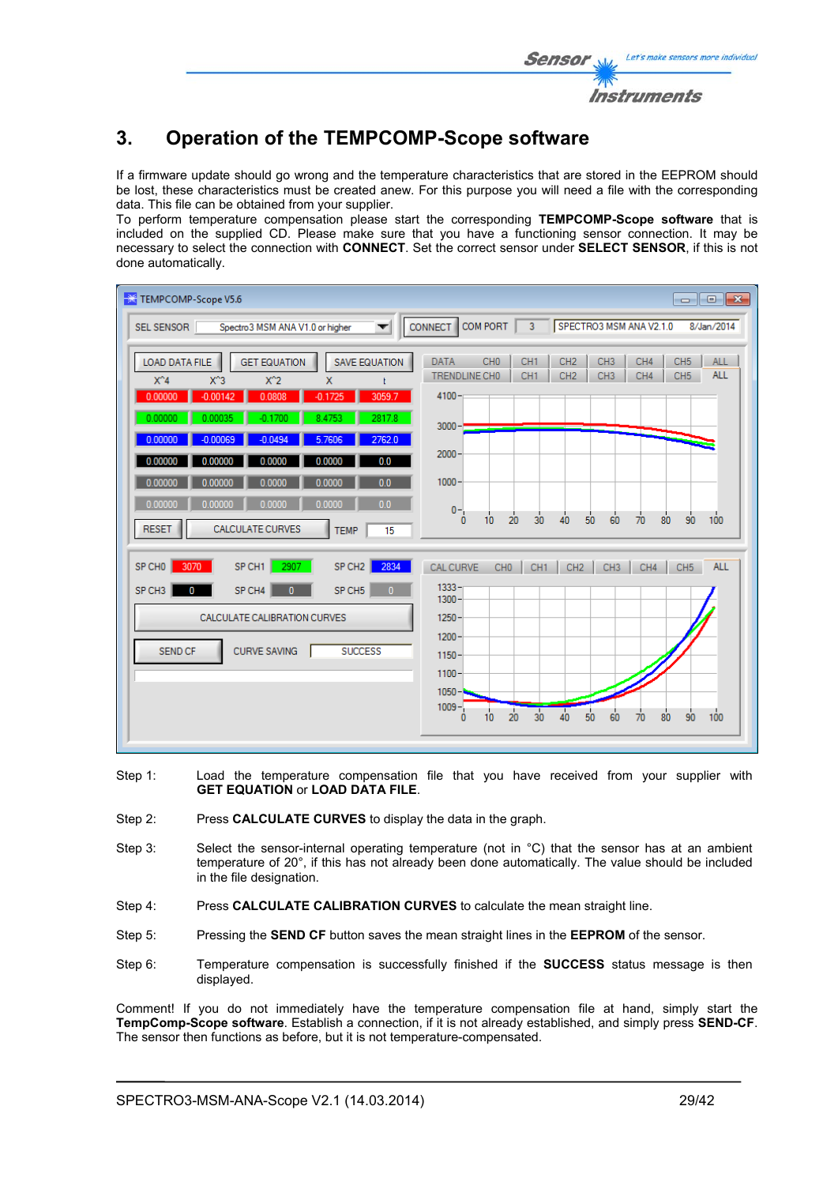## **3. Operation of the TEMPCOMP-Scope software**

If a firmware update should go wrong and the temperature characteristics that are stored in the EEPROM should be lost, these characteristics must be created anew. For this purpose you will need a file with the corresponding data. This file can be obtained from your supplier.

To perform temperature compensation please start the corresponding **TEMPCOMP-Scope software** that is included on the supplied CD. Please make sure that you have a functioning sensor connection. It may be necessary to select the connection with **CONNECT**. Set the correct sensor under **SELECT SENSOR**, if this is not done automatically.

| TEMPCOMP-Scope V5.6                                                                                                                                                                                                                                                             | $\begin{array}{c c c c c c} \hline \multicolumn{3}{c }{\mathbf{C}} & \multicolumn{3}{c }{\mathbf{X}} \end{array}$                                                                                                                                                         |
|---------------------------------------------------------------------------------------------------------------------------------------------------------------------------------------------------------------------------------------------------------------------------------|---------------------------------------------------------------------------------------------------------------------------------------------------------------------------------------------------------------------------------------------------------------------------|
| SEL SENSOR<br>Spectro3 MSM ANA V1.0 or higher<br>▼                                                                                                                                                                                                                              | COM PORT<br>CONNECT<br>$\overline{3}$<br>SPECTRO3 MSM ANA V2.1.0<br>8/Jan/2014                                                                                                                                                                                            |
| <b>LOAD DATA FILE</b><br><b>GET EQUATION</b><br><b>SAVE EQUATION</b><br>$X^4$<br>$X^3$<br>$X^2$<br>x<br>$-0.00142$<br>0.0808<br>3059.7<br>0.00000<br>$-0.1725$<br>0.00035<br>2817.8<br>0.00000<br>$-0.1700$<br>8.4753<br>0.00000<br>$-0.00069$<br>$-0.0494$<br>5.7606<br>2762.0 | CH <sub>0</sub><br>CH <sub>1</sub><br>CH <sub>3</sub><br>CH4<br>CH <sub>5</sub><br><b>DATA</b><br>CH <sub>2</sub><br><b>ALL</b><br><b>ALL</b><br>TRENDLINE CHO<br>CH <sub>1</sub><br>CH <sub>2</sub><br>CH <sub>3</sub><br>CH4<br>CH <sub>5</sub><br>$4100 -$<br>$3000 -$ |
| 0.0<br>0.00000<br>0.0000<br>0.0000<br>0.00000<br>0.0<br>0.00000<br>0.0000<br>0.00000<br>0.0000                                                                                                                                                                                  | $2000 -$<br>$1000 -$                                                                                                                                                                                                                                                      |
| 0.0000<br>0.0<br>0.00000<br>0.00000<br>0.0000<br><b>CALCULATE CURVES</b><br><b>RESET</b><br><b>TEMP</b><br>15                                                                                                                                                                   | $0 -$<br>90<br>100<br>30<br>50<br>70<br>10<br>20<br>40<br>60<br>80<br>0                                                                                                                                                                                                   |
| 2907<br>SP CH1<br>SP CH <sub>2</sub><br>2834<br>SP CHO<br>3070                                                                                                                                                                                                                  | <b>CAL CURVE</b><br>CH <sub>0</sub><br>CH <sub>1</sub><br>CH <sub>2</sub><br><b>ALL</b><br>CH <sub>3</sub><br>CH4<br>CH <sub>5</sub>                                                                                                                                      |
| SP CH <sub>3</sub><br>SP CH4<br>SP CH5<br>$\mathbf{0}$<br>$\mathbf{0}$<br>$\Omega$                                                                                                                                                                                              | $1333 -$<br>$1300 -$                                                                                                                                                                                                                                                      |
| CALCULATE CALIBRATION CURVES                                                                                                                                                                                                                                                    | $1250 -$                                                                                                                                                                                                                                                                  |
| <b>CURVE SAVING</b><br><b>SEND CF</b><br><b>SUCCESS</b>                                                                                                                                                                                                                         | $1200 -$<br>$1150 -$<br>$1100 -$                                                                                                                                                                                                                                          |
|                                                                                                                                                                                                                                                                                 | $1050 -$<br>$1009 -$<br>40<br>20<br>30<br>50<br>90<br>100<br>10<br>60<br>80<br>70<br>0                                                                                                                                                                                    |

- Step 1: Load the temperature compensation file that you have received from your supplier with **GET EQUATION** or **LOAD DATA FILE**.
- Step 2: Press **CALCULATE CURVES** to display the data in the graph.
- Step 3: Select the sensor-internal operating temperature (not in °C) that the sensor has at an ambient temperature of 20°, if this has not already been done automatically. The value should be included in the file designation.
- Step 4: Press **CALCULATE CALIBRATION CURVES** to calculate the mean straight line.
- Step 5: Pressing the **SEND CF** button saves the mean straight lines in the **EEPROM** of the sensor.
- Step 6: Temperature compensation is successfully finished if the **SUCCESS** status message is then displayed.

Comment! If you do not immediately have the temperature compensation file at hand, simply start the **TempComp-Scope software**. Establish a connection, if it is not already established, and simply press **SEND-CF**. The sensor then functions as before, but it is not temperature-compensated.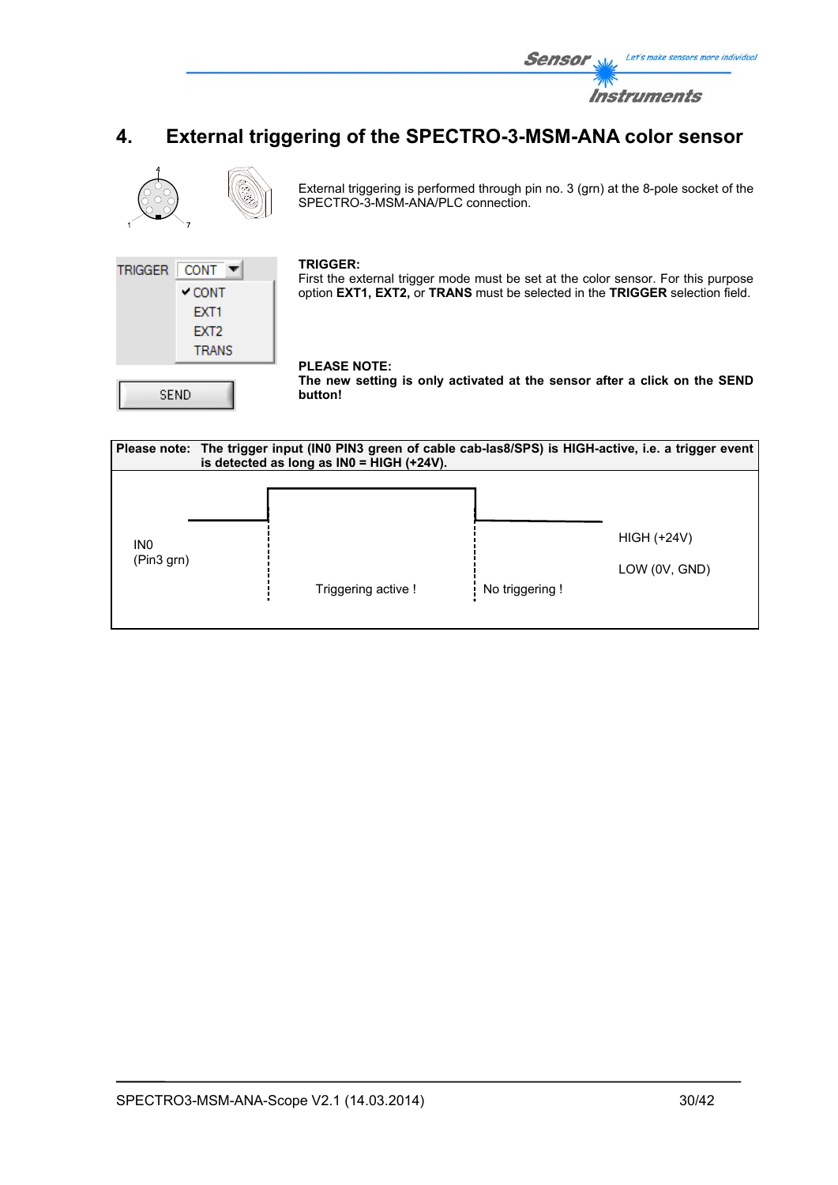

# **4. External triggering of the SPECTRO-3-MSM-ANA color sensor**



External triggering is performed through pin no. 3 (grn) at the 8-pole socket of the SPECTRO-3-MSM-ANA/PLC connection.



#### **TRIGGER:**

First the external trigger mode must be set at the color sensor. For this purpose option **EXT1, EXT2,** or **TRANS** must be selected in the **TRIGGER** selection field.

### **PLEASE NOTE:**

**The new setting is only activated at the sensor after a click on the SEND button!** 

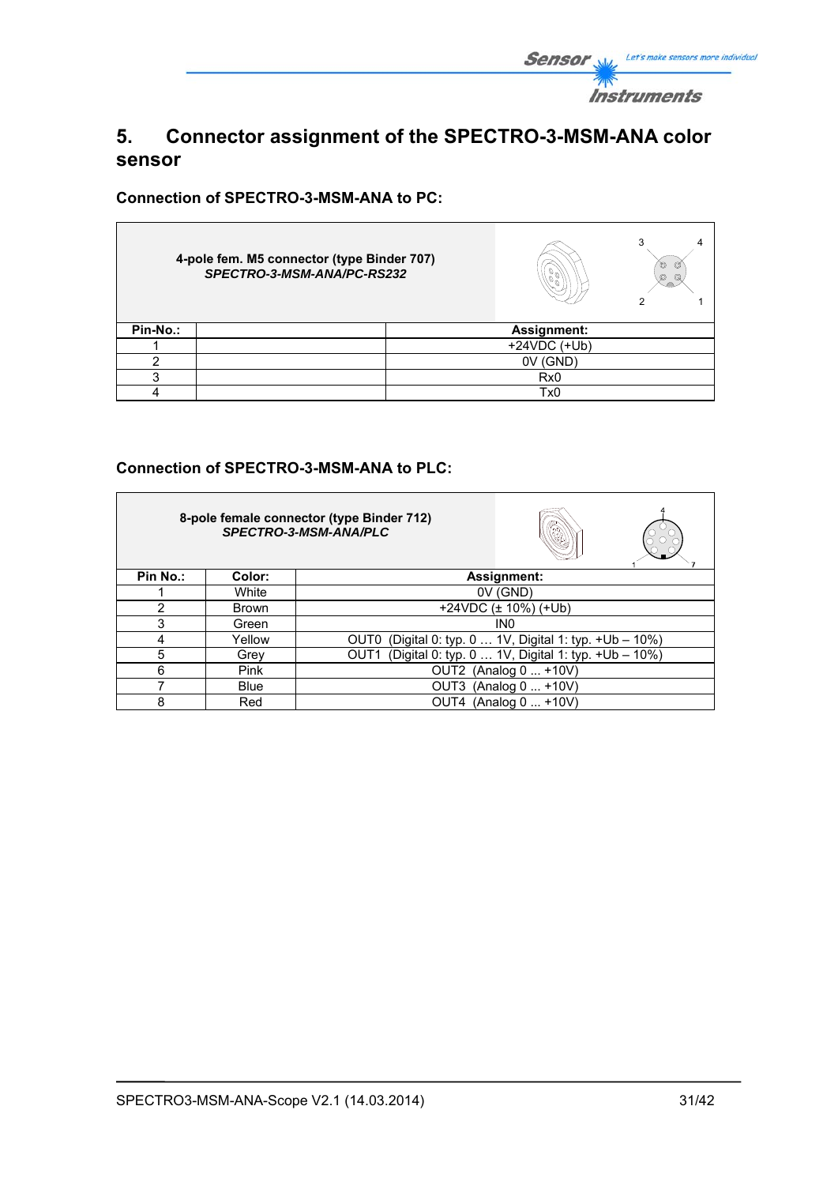

## **5. Connector assignment of the SPECTRO-3-MSM-ANA color sensor**

**Connection of SPECTRO-3-MSM-ANA to PC:** 

Ē.

|          | 4-pole fem. M5 connector (type Binder 707)<br>SPECTRO-3-MSM-ANA/PC-RS232 |  | 3<br>O<br>O<br>Ø<br>Q |  |
|----------|--------------------------------------------------------------------------|--|-----------------------|--|
| Pin-No.: |                                                                          |  | Assignment:           |  |
|          |                                                                          |  | $+24VDC$ (+Ub)        |  |
|          |                                                                          |  | 0V (GND)              |  |
| ◠        |                                                                          |  | Rx <sub>0</sub>       |  |
|          |                                                                          |  | Tx0                   |  |

## **Connection of SPECTRO-3-MSM-ANA to PLC:**

|          |              | 8-pole female connector (type Binder 712)<br>SPECTRO-3-MSM-ANA/PLC |
|----------|--------------|--------------------------------------------------------------------|
| Pin No.: | Color:       | Assignment:                                                        |
|          | White        | $0V$ (GND)                                                         |
| 2        | <b>Brown</b> | +24VDC $(\pm 10\%)$ (+Ub)                                          |
| 3        | Green        | IN <sub>0</sub>                                                    |
| 4        | Yellow       | OUT0 (Digital 0: typ. 0  1V, Digital 1: typ. +Ub - 10%)            |
| 5        | Grev         | (Digital 0: typ. 0  1V, Digital 1: typ. +Ub - 10%)<br>OUT1         |
| 6        | <b>Pink</b>  | OUT2 (Analog 0  +10V)                                              |
|          | <b>Blue</b>  | (Analog 0  +10V)<br>OUT3                                           |
| 8        | Red          | OUT4 (Analog 0  +10V)                                              |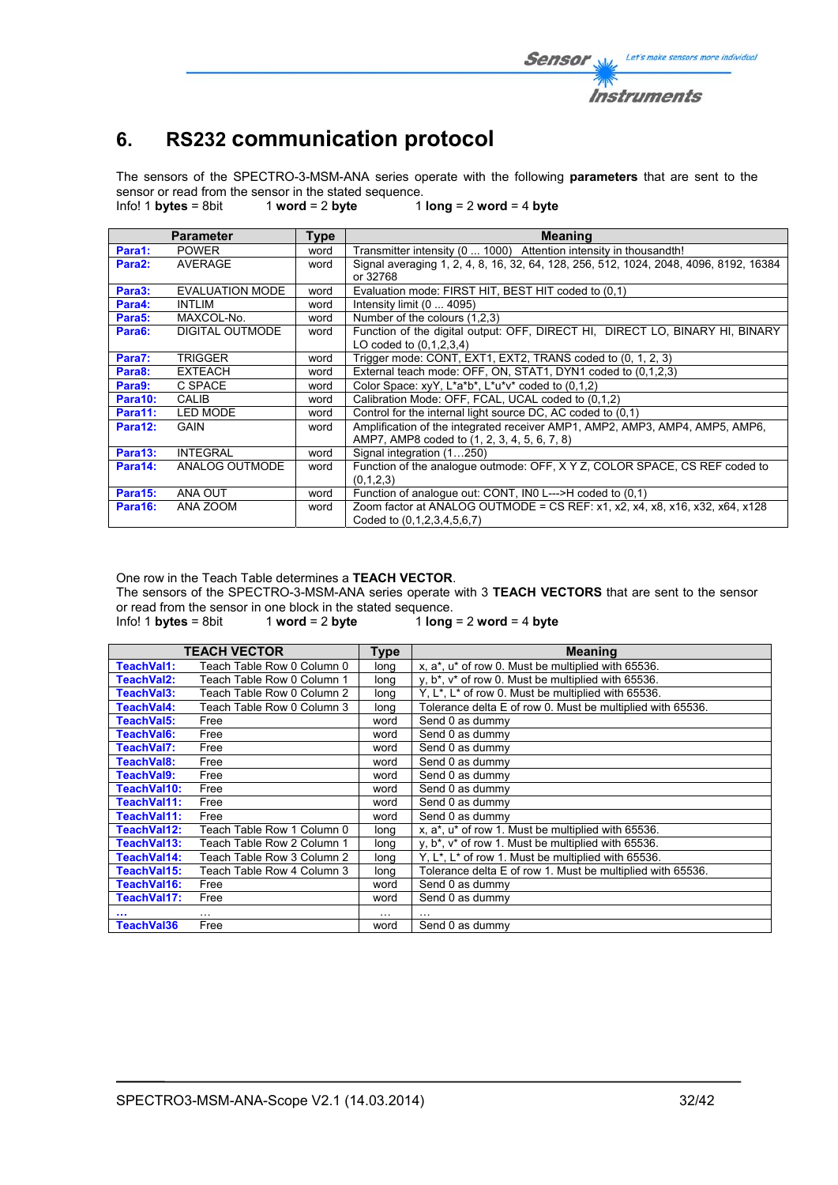# **6. RS232 communication protocol**

The sensors of the SPECTRO-3-MSM-ANA series operate with the following **parameters** that are sent to the sensor or read from the sensor in the stated sequence.<br>Info! 1 bytes = 8bit 1 word = 2 byte 1

Info! 1 **bytes** = 8bit 1 **word** = 2 **byte** 1 **long** = 2 **word** = 4 **byte**

|                     | <b>Parameter</b> | <b>Type</b> | <b>Meaning</b>                                                                        |
|---------------------|------------------|-------------|---------------------------------------------------------------------------------------|
| Para1:              | <b>POWER</b>     | word        | Transmitter intensity (0  1000) Attention intensity in thousandth!                    |
| Para <sub>2</sub> : | AVERAGE          | word        | Signal averaging 1, 2, 4, 8, 16, 32, 64, 128, 256, 512, 1024, 2048, 4096, 8192, 16384 |
|                     |                  |             | or 32768                                                                              |
| Para3:              | EVALUATION MODE  | word        | Evaluation mode: FIRST HIT, BEST HIT coded to (0.1)                                   |
| Para4:              | <b>INTLIM</b>    | word        | Intensity limit $(0 \dots 4095)$                                                      |
| Para <sub>5</sub> : | MAXCOL-No.       | word        | Number of the colours (1.2.3)                                                         |
| Para6:              | DIGITAL OUTMODE  | word        | Function of the digital output: OFF, DIRECT HI, DIRECT LO, BINARY HI, BINARY          |
|                     |                  |             | LO coded to (0,1,2,3,4)                                                               |
| Para7:              | TRIGGER          | word        | Trigger mode: CONT, EXT1, EXT2, TRANS coded to (0, 1, 2, 3)                           |
| Para8:              | <b>EXTEACH</b>   | word        | External teach mode: OFF, ON, STAT1, DYN1 coded to (0,1,2,3)                          |
| Para9:              | C SPACE          | word        | Color Space: $xyY$ , $L^*a^*b^*$ , $L^*u^*v^*$ coded to (0,1,2)                       |
| Para10:             | <b>CALIB</b>     | word        | Calibration Mode: OFF, FCAL, UCAL coded to (0,1,2)                                    |
| Para11:             | <b>LED MODE</b>  | word        | Control for the internal light source DC, AC coded to (0.1)                           |
| Para12:             | <b>GAIN</b>      | word        | Amplification of the integrated receiver AMP1, AMP2, AMP3, AMP4, AMP5, AMP6,          |
|                     |                  |             | AMP7, AMP8 coded to (1, 2, 3, 4, 5, 6, 7, 8)                                          |
| Para13:             | <b>INTEGRAL</b>  | word        | Signal integration (1250)                                                             |
| Para14:             | ANALOG OUTMODE   | word        | Function of the analogue outmode: OFF, X Y Z, COLOR SPACE, CS REF coded to            |
|                     |                  |             | (0,1,2,3)                                                                             |
| Para15:             | ANA OUT          | word        | Function of analogue out: CONT, INO L--->H coded to (0.1)                             |
| Para16:             | ANA ZOOM         | word        | Zoom factor at ANALOG OUTMODE = CS REF: x1, x2, x4, x8, x16, x32, x64, x128           |
|                     |                  |             | Coded to (0,1,2,3,4,5,6,7)                                                            |

One row in the Teach Table determines a **TEACH VECTOR**.

The sensors of the SPECTRO-3-MSM-ANA series operate with 3 **TEACH VECTORS** that are sent to the sensor or read from the sensor in one block in the stated sequence.<br>Info! 1 bytes = 8bit 1 word = 2 byte 1 long

 $1$  **long** = 2 **word** = 4 **byte** 

|                   | <b>TEACH VECTOR</b>        | Type     | <b>Meaning</b>                                                              |
|-------------------|----------------------------|----------|-----------------------------------------------------------------------------|
| TeachVal1:        | Teach Table Row 0 Column 0 | long     | x, a*, u* of row 0. Must be multiplied with 65536.                          |
| TeachVal2:        | Teach Table Row 0 Column 1 | long     | y, b*, v* of row 0. Must be multiplied with 65536.                          |
| TeachVal3:        | Teach Table Row 0 Column 2 | long     | Y, L <sup>*</sup> , L <sup>*</sup> of row 0. Must be multiplied with 65536. |
| TeachVal4:        | Teach Table Row 0 Column 3 | long     | Tolerance delta E of row 0. Must be multiplied with 65536.                  |
| TeachVal5:        | Free                       | word     | Send 0 as dummy                                                             |
| <b>TeachVal6:</b> | Free                       | word     | Send 0 as dummy                                                             |
| TeachVal7:        | Free                       | word     | Send 0 as dummy                                                             |
| TeachVal8:        | Free                       | word     | Send 0 as dummy                                                             |
| TeachVal9:        | Free                       | word     | Send 0 as dummy                                                             |
| TeachVal10:       | Free                       | word     | Send 0 as dummy                                                             |
| TeachVal11:       | Free                       | word     | Send 0 as dummy                                                             |
| TeachVal11:       | Free                       | word     | Send 0 as dummy                                                             |
| TeachVal12:       | Teach Table Row 1 Column 0 | long     | x, a*, u* of row 1. Must be multiplied with 65536.                          |
| TeachVal13:       | Teach Table Row 2 Column 1 | long     | $y, b^*$ , $v^*$ of row 1. Must be multiplied with 65536.                   |
| TeachVal14:       | Teach Table Row 3 Column 2 | long     | Y, L <sup>*</sup> , L <sup>*</sup> of row 1. Must be multiplied with 65536. |
| TeachVal15:       | Teach Table Row 4 Column 3 | long     | Tolerance delta E of row 1. Must be multiplied with 65536.                  |
| TeachVal16:       | Free                       | word     | Send 0 as dummy                                                             |
| TeachVal17:       | Free                       | word     | Send 0 as dummy                                                             |
|                   | $\cdots$                   | $\cdots$ |                                                                             |
| <b>TeachVal36</b> | Free                       | word     | Send 0 as dummy                                                             |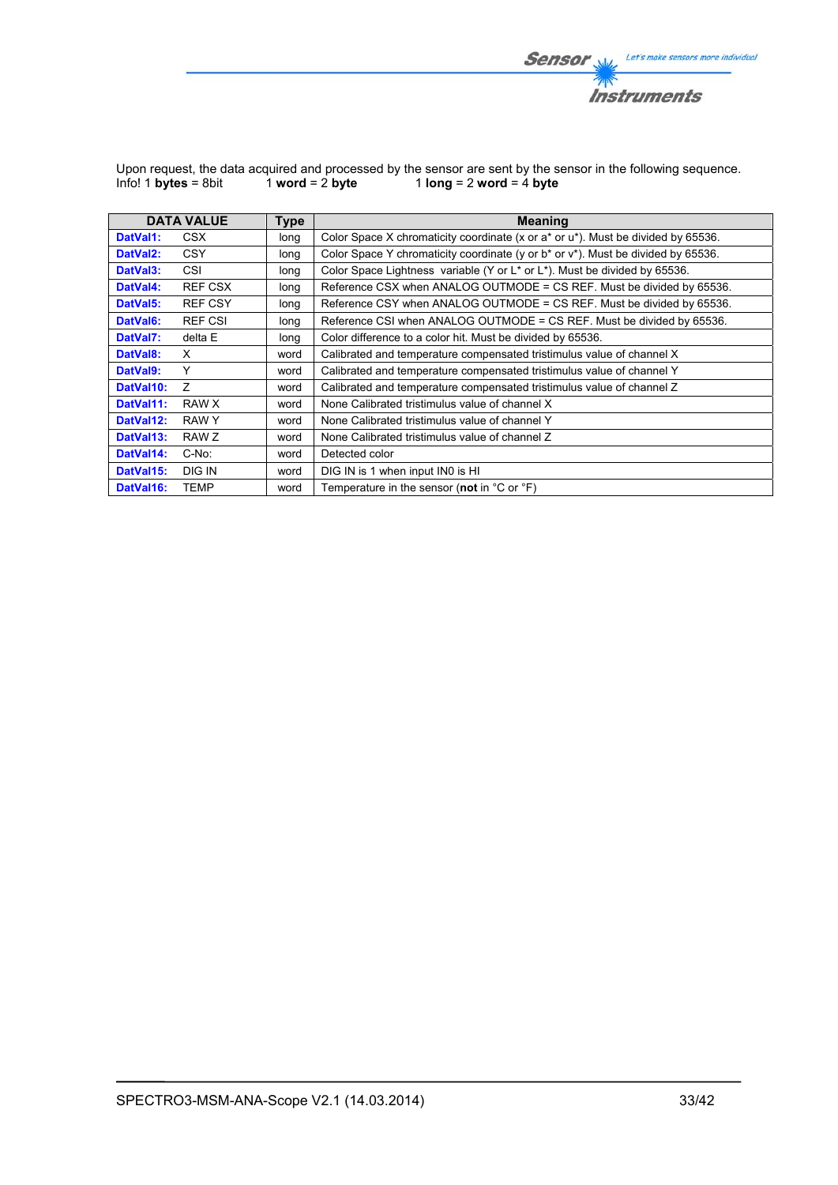

|                             |                   | Upon request, the data acquired and processed by the sensor are sent by the sensor in the following sequence. |  |
|-----------------------------|-------------------|---------------------------------------------------------------------------------------------------------------|--|
| Info! 1 <b>bytes</b> = 8bit | 1 word = $2$ byte | 1 long = $2$ word = $4$ byte                                                                                  |  |

|                       | <b>DATA VALUE</b> | <b>Type</b> | <b>Meaning</b>                                                                                     |
|-----------------------|-------------------|-------------|----------------------------------------------------------------------------------------------------|
| DatVal1:              | CSX               | long        | Color Space X chromaticity coordinate (x or a* or u*). Must be divided by 65536.                   |
| DatVal <sub>2</sub> : | <b>CSY</b>        | long        | Color Space Y chromaticity coordinate (y or b* or v*). Must be divided by 65536.                   |
| DatVal3:              | <b>CSI</b>        | long        | Color Space Lightness variable (Y or L <sup>*</sup> or L <sup>*</sup> ). Must be divided by 65536. |
| DatVal4:              | REF CSX           | long        | Reference CSX when ANALOG OUTMODE = CS REF. Must be divided by 65536.                              |
| DatVal5:              | <b>REF CSY</b>    | long        | Reference CSY when ANALOG OUTMODE = CS REF. Must be divided by 65536.                              |
| DatVal <sub>6</sub> : | <b>REF CSI</b>    | long        | Reference CSI when ANALOG OUTMODE = CS REF. Must be divided by 65536.                              |
| DatVal7:              | delta E           | long        | Color difference to a color hit. Must be divided by 65536.                                         |
| DatVal8:              | X                 | word        | Calibrated and temperature compensated tristimulus value of channel X                              |
| DatVal9:              | Y                 | word        | Calibrated and temperature compensated tristimulus value of channel Y                              |
| DatVal10:             | $\overline{z}$    | word        | Calibrated and temperature compensated tristimulus value of channel Z                              |
| DatVal11:             | RAW X             | word        | None Calibrated tristimulus value of channel X                                                     |
| DatVal12:             | RAW Y             | word        | None Calibrated tristimulus value of channel Y                                                     |
| DatVal13:             | RAW Z             | word        | None Calibrated tristimulus value of channel Z                                                     |
| DatVal14:             | $C-No$ :          | word        | Detected color                                                                                     |
| DatVal15:             | DIG IN            | word        | DIG IN is 1 when input IN0 is HI                                                                   |
| DatVal16:             | TEMP              | word        | Temperature in the sensor (not in $^{\circ}$ C or $^{\circ}$ F)                                    |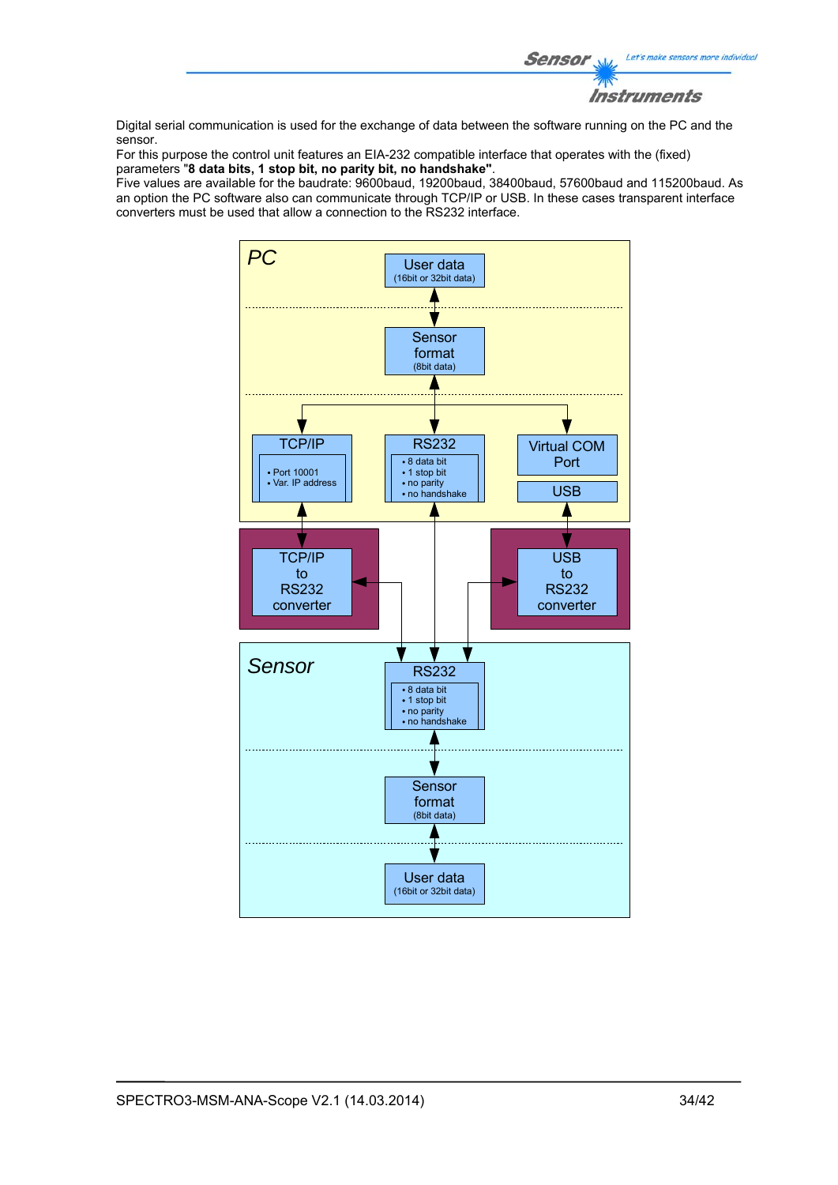

Digital serial communication is used for the exchange of data between the software running on the PC and the sensor.

For this purpose the control unit features an EIA-232 compatible interface that operates with the (fixed) parameters "**8 data bits, 1 stop bit, no parity bit, no handshake"**.

Five values are available for the baudrate: 9600baud, 19200baud, 38400baud, 57600baud and 115200baud. As an option the PC software also can communicate through TCP/IP or USB. In these cases transparent interface converters must be used that allow a connection to the RS232 interface.

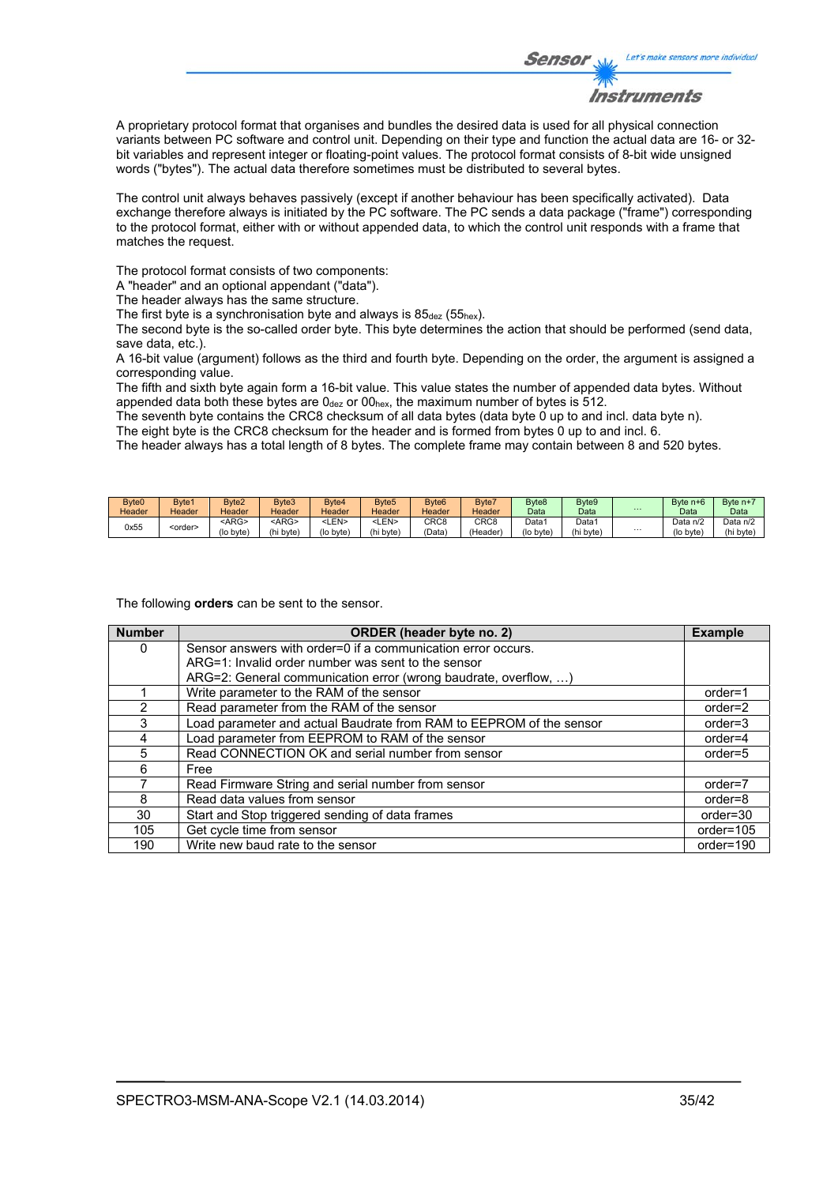

A proprietary protocol format that organises and bundles the desired data is used for all physical connection variants between PC software and control unit. Depending on their type and function the actual data are 16- or 32 bit variables and represent integer or floating-point values. The protocol format consists of 8-bit wide unsigned words ("bytes"). The actual data therefore sometimes must be distributed to several bytes.

The control unit always behaves passively (except if another behaviour has been specifically activated). Data exchange therefore always is initiated by the PC software. The PC sends a data package ("frame") corresponding to the protocol format, either with or without appended data, to which the control unit responds with a frame that matches the request.

The protocol format consists of two components:

A "header" and an optional appendant ("data").

The header always has the same structure.

The first byte is a synchronisation byte and always is  $85_{\text{dez}}$  (55<sub>hex</sub>).

The second byte is the so-called order byte. This byte determines the action that should be performed (send data, save data, etc.).

A 16-bit value (argument) follows as the third and fourth byte. Depending on the order, the argument is assigned a corresponding value.

The fifth and sixth byte again form a 16-bit value. This value states the number of appended data bytes. Without appended data both these bytes are  $0_{\text{dez}}$  or  $00_{\text{hex}}$ , the maximum number of bytes is 512.

The seventh byte contains the CRC8 checksum of all data bytes (data byte 0 up to and incl. data byte n). The eight byte is the CRC8 checksum for the header and is formed from bytes 0 up to and incl. 6.

The header always has a total length of 8 bytes. The complete frame may contain between 8 and 520 bytes.

| Byte0  | Byte1           | Byte <sub>2</sub> | Byte3       | Byte4           | Byte <sub>5</sub> | Byte <sub>6</sub> | Byte7            | Byte8     | Byte9     |          | Byte $n+6$ | Byte $n+$ |
|--------|-----------------|-------------------|-------------|-----------------|-------------------|-------------------|------------------|-----------|-----------|----------|------------|-----------|
| Header | Header          | Header            | Header      | Header          | Header            | Header            | Header           | Data      | Data      | $\cdots$ | Data       | Data      |
| 0x55   | <order></order> | <arg></arg>       | <arg></arg> | <b>:LEN&gt;</b> | LEN>              | CRC <sub>8</sub>  | CRC <sub>8</sub> | Data 1    | Data      |          | Data n/2   | Data n/2  |
|        |                 | (lo byte)         | (hi byte)   | (lo byte)       | (hi byte          | 'Data`            | (Header)         | (lo byte) | (hi byte) | $\cdots$ | (lo byte)  | (hi byte  |

The following **orders** can be sent to the sensor.

| <b>Number</b> | ORDER (header byte no. 2)                                           | <b>Example</b> |
|---------------|---------------------------------------------------------------------|----------------|
| 0             | Sensor answers with order=0 if a communication error occurs.        |                |
|               | ARG=1: Invalid order number was sent to the sensor                  |                |
|               | ARG=2: General communication error (wrong baudrate, overflow, )     |                |
|               | Write parameter to the RAM of the sensor                            | $order=1$      |
| $\mathcal{P}$ | Read parameter from the RAM of the sensor                           | $order=2$      |
| 3             | Load parameter and actual Baudrate from RAM to EEPROM of the sensor | $order = 3$    |
| 4             | Load parameter from EEPROM to RAM of the sensor                     | $order=4$      |
| 5             | Read CONNECTION OK and serial number from sensor                    | $order=5$      |
| 6             | Free                                                                |                |
|               | Read Firmware String and serial number from sensor                  | order=7        |
| 8             | Read data values from sensor                                        | order=8        |
| 30            | Start and Stop triggered sending of data frames                     | $order = 30$   |
| 105           | Get cycle time from sensor                                          | order=105      |
| 190           | Write new baud rate to the sensor                                   | order=190      |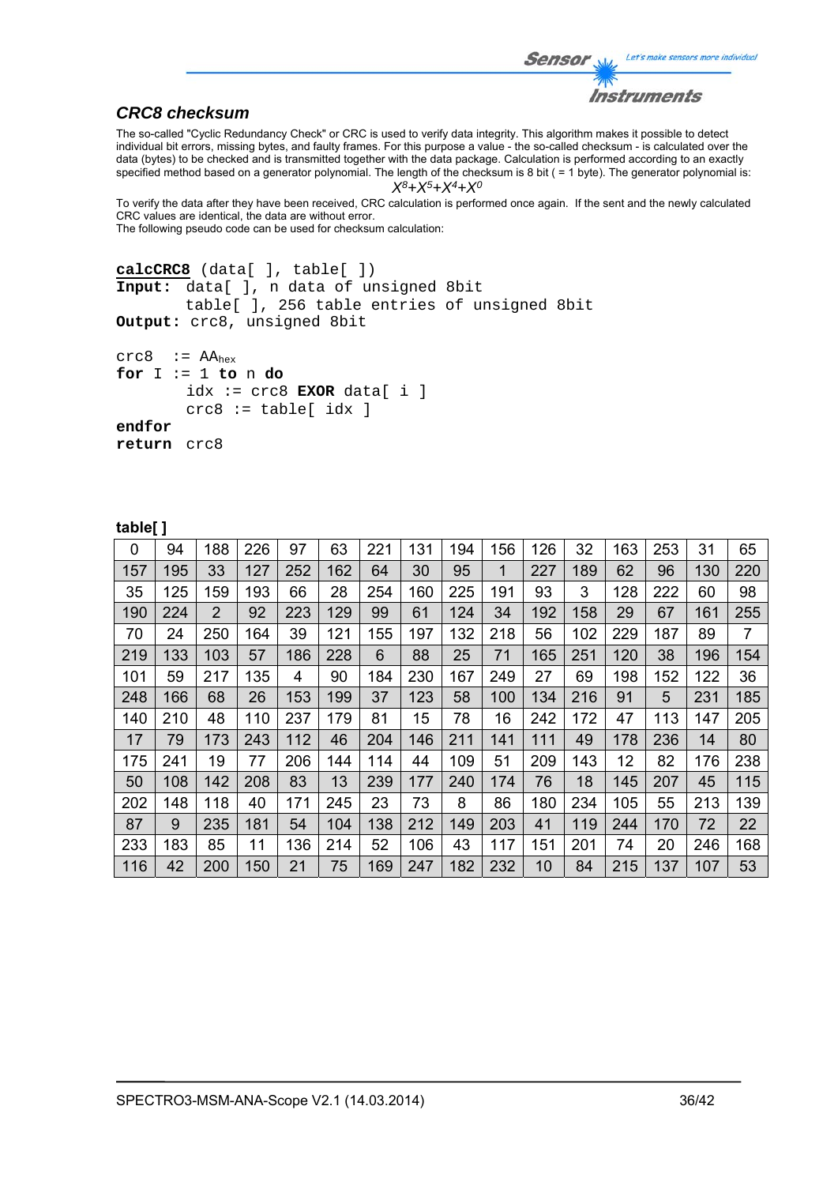```
Let's make sensors more individual
Sensor
           Instruments
```
## *CRC8 checksum*

The so-called "Cyclic Redundancy Check" or CRC is used to verify data integrity. This algorithm makes it possible to detect individual bit errors, missing bytes, and faulty frames. For this purpose a value - the so-called checksum - is calculated over the data (bytes) to be checked and is transmitted together with the data package. Calculation is performed according to an exactly specified method based on a generator polynomial. The length of the checksum is 8 bit ( = 1 byte). The generator polynomial is:

#### *X8+X5+X4+X0*

To verify the data after they have been received, CRC calculation is performed once again. If the sent and the newly calculated CRC values are identical, the data are without error. The following pseudo code can be used for checksum calculation:

```
calcCRC8 (data[ ], table[ ]) 
Input: data[ ], n data of unsigned 8bit 
         table[ ], 256 table entries of unsigned 8bit 
Output: crc8, unsigned 8bit 
crc8 := AA_{hex}for I := 1 to n do 
        idx := crc8 EXOR data[ i ] 
         crc8 := table[ idx ] 
endfor 
return crc8
```
#### **table[ ]**

| 0   | 94  | 188            | 226 | 97  | 63  | 221 | 131 | 194 | 156 | 126 | 32  | 163 | 253 | 31  | 65  |
|-----|-----|----------------|-----|-----|-----|-----|-----|-----|-----|-----|-----|-----|-----|-----|-----|
| 157 | 195 | 33             | 127 | 252 | 162 | 64  | 30  | 95  | 1   | 227 | 189 | 62  | 96  | 130 | 220 |
| 35  | 125 | 159            | 193 | 66  | 28  | 254 | 160 | 225 | 191 | 93  | 3   | 128 | 222 | 60  | 98  |
| 190 | 224 | $\overline{2}$ | 92  | 223 | 129 | 99  | 61  | 124 | 34  | 192 | 158 | 29  | 67  | 161 | 255 |
| 70  | 24  | 250            | 164 | 39  | 121 | 155 | 197 | 132 | 218 | 56  | 102 | 229 | 187 | 89  | 7   |
| 219 | 133 | 103            | 57  | 186 | 228 | 6   | 88  | 25  | 71  | 165 | 251 | 120 | 38  | 196 | 154 |
| 101 | 59  | 217            | 135 | 4   | 90  | 184 | 230 | 167 | 249 | 27  | 69  | 198 | 152 | 122 | 36  |
| 248 | 166 | 68             | 26  | 153 | 199 | 37  | 123 | 58  | 100 | 134 | 216 | 91  | 5   | 231 | 185 |
| 140 | 210 | 48             | 110 | 237 | 179 | 81  | 15  | 78  | 16  | 242 | 172 | 47  | 113 | 147 | 205 |
| 17  | 79  | 173            | 243 | 112 | 46  | 204 | 146 | 211 | 141 | 111 | 49  | 178 | 236 | 14  | 80  |
| 175 | 241 | 19             | 77  | 206 | 144 | 114 | 44  | 109 | 51  | 209 | 143 | 12  | 82  | 176 | 238 |
| 50  | 108 | 142            | 208 | 83  | 13  | 239 | 177 | 240 | 174 | 76  | 18  | 145 | 207 | 45  | 115 |
| 202 | 148 | 118            | 40  | 171 | 245 | 23  | 73  | 8   | 86  | 180 | 234 | 105 | 55  | 213 | 139 |
| 87  | 9   | 235            | 181 | 54  | 104 | 138 | 212 | 149 | 203 | 41  | 119 | 244 | 170 | 72  | 22  |
| 233 | 183 | 85             | 11  | 136 | 214 | 52  | 106 | 43  | 117 | 151 | 201 | 74  | 20  | 246 | 168 |
| 116 | 42  | 200            | 150 | 21  | 75  | 169 | 247 | 182 | 232 | 10  | 84  | 215 | 137 | 107 | 53  |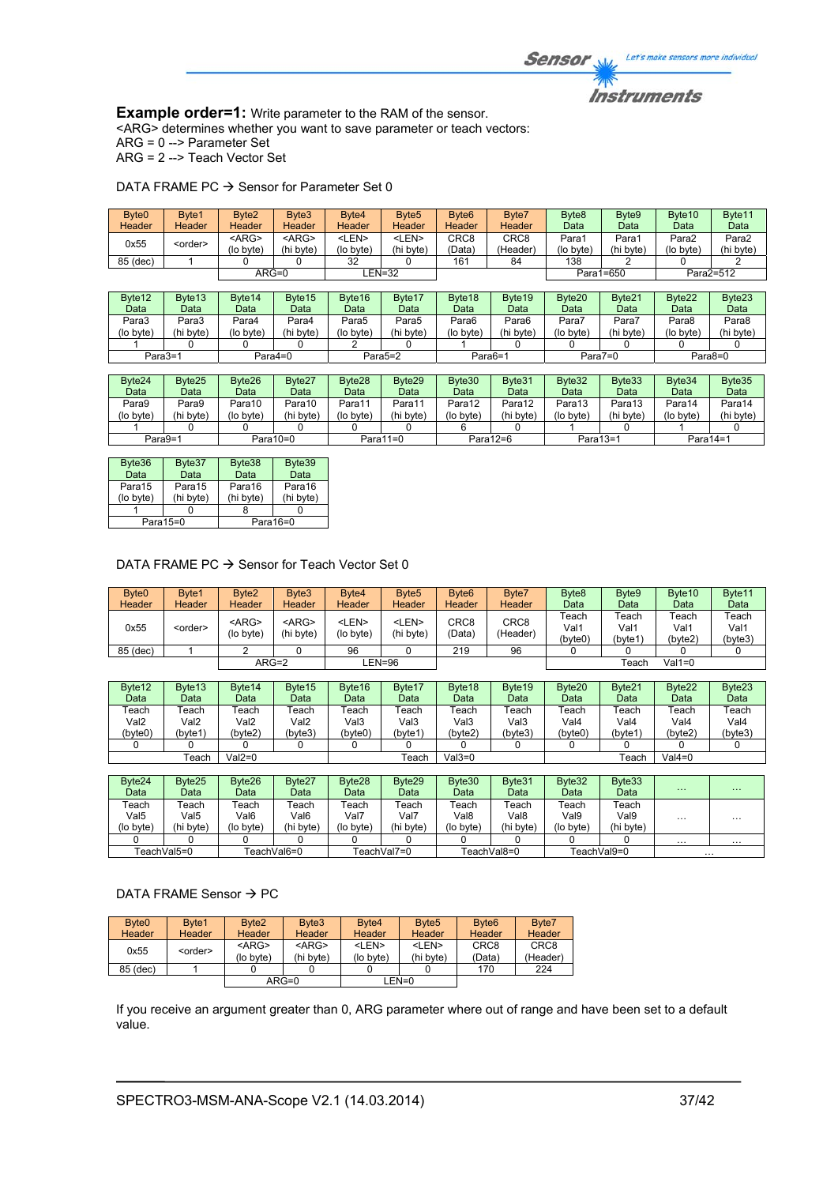**Example order=1:** Write parameter to the RAM of the sensor. <ARG> determines whether you want to save parameter or teach vectors: ARG = 0 --> Parameter Set

ARG = 2 --> Teach Vector Set

| Byte <sub>0</sub><br>Header | Byte1<br>Header          | Byte2<br>Header          | Byte3<br>Header          | Byte4<br>Header           | Byte <sub>5</sub><br>Header | Byte <sub>6</sub><br>Header | Byte7<br><b>Header</b>       | Byte8<br>Data      | Byte9<br>Data      | Byte10<br>Data     | Byte11<br>Data     |
|-----------------------------|--------------------------|--------------------------|--------------------------|---------------------------|-----------------------------|-----------------------------|------------------------------|--------------------|--------------------|--------------------|--------------------|
| 0x55                        | <order></order>          | $<$ ARG $>$<br>(lo byte) | $<$ ARG $>$<br>(hi byte) | <len><br/>(lo byte)</len> | <len><br/>(hi byte)</len>   | CRC <sub>8</sub><br>(Data)  | CRC <sub>8</sub><br>(Header) | Para1<br>(lo byte) | Para1<br>(hi byte) | Para2<br>(lo byte) | Para2<br>(hi byte) |
| 85 (dec)                    |                          |                          |                          | 32                        |                             | 161                         | 84                           | 138                |                    |                    |                    |
|                             | <b>LEN=32</b><br>$ARG=0$ |                          |                          |                           |                             | Para1=650                   | Para2=512                    |                    |                    |                    |                    |
|                             |                          |                          |                          |                           |                             |                             |                              |                    |                    |                    |                    |
|                             |                          |                          |                          |                           |                             |                             |                              |                    |                    |                    |                    |
| Byte12                      | Byte <sub>13</sub>       | Byte <sub>14</sub>       | Byte15                   | Byte16                    | Byte17                      | Byte18                      | Byte 19                      | Byte20             | Byte21             | Byte22             | Byte23             |
| Data                        | Data                     | Data                     | Data                     | Data                      | Data                        | Data                        | Data                         | Data               | Data               | Data               | Data               |
| Para3                       | Para3                    | Para4                    | Para4                    | Para5                     | Para <sub>5</sub>           | Para6                       | Para6                        | Para7              | Para7              | Para8              | Para8              |
| (lo byte)                   | (hi byte)                | (lo byte)                | (hi byte)                | (lo byte)                 | (hi byte)                   | (lo byte)                   | (hi byte)                    | (lo byte)          | (hi byte)          | (lo byte)          | (hi byte)          |

| Byte24    | Byte25    | Byte26    | Byte27      | Byte28    | Byte <sub>29</sub> | Byte30    | Byte31      | Byte32    | Byte33    | Byte34    | Byte35    |
|-----------|-----------|-----------|-------------|-----------|--------------------|-----------|-------------|-----------|-----------|-----------|-----------|
| Data      | Data      | Data      | Data        | Data      | Data               | Data      | Data        | Data      | Data      | Data      | Data      |
| Para9     | Para9     | Para10    | Para10      | Para11    | Para11             | Para12    | Para12      | Para13    | Para13    | Para14    | Para14    |
| (lo byte) | (hi bvte) | (lo byte) | (hi byte)   | (lo byte) | (hi byte)          | (lo byte) | (hi byte)   | (lo byte) | (hi byte) | (lo byte) | (hi byte) |
|           |           |           |             |           |                    |           |             |           |           |           |           |
|           | Para9=1   |           | Para $10=0$ |           | Para $11=0$        |           | Para $12=6$ | Para13=1  |           | Para14=1  |           |

Para3=1 Para4=0 Para5=2 Para6=1 Para7=0 Para8=0

| Byte36    | Byte37    | Byte38      | Byte39    |
|-----------|-----------|-------------|-----------|
| Data      | Data      | Data        | Data      |
| Para15    | Para15    | Para16      | Para16    |
| (lo byte) | (hi byte) | (hi byte)   | (hi byte) |
|           |           |             |           |
|           | Para15=0  | Para $16=0$ |           |

### DATA FRAME PC  $\rightarrow$  Sensor for Teach Vector Set 0

| Byte <sub>0</sub><br>Header | Byte1<br><b>Header</b> | Byte <sub>2</sub><br><b>Header</b> | Byte3<br><b>Header</b>   | Byte4<br>Header           | Byte <sub>5</sub><br>Header | Byte <sub>6</sub><br>Header | Byte7<br>Header              | Byte <sub>8</sub><br>Data | Byte9<br>Data           | Byte <sub>10</sub><br>Data | Byte <sub>11</sub><br>Data     |
|-----------------------------|------------------------|------------------------------------|--------------------------|---------------------------|-----------------------------|-----------------------------|------------------------------|---------------------------|-------------------------|----------------------------|--------------------------------|
| 0x55                        | <order></order>        | $<$ ARG $>$<br>(lo byte)           | $<$ ARG $>$<br>(hi byte) | <len><br/>(lo byte)</len> | <len><br/>(hi byte)</len>   | CRC8<br>(Data`              | CRC <sub>8</sub><br>(Header) | Teach<br>Val1<br>(byte0)  | Teach<br>Val1<br>(byte1 | Teach<br>Val1<br>(bvte2`   | $\tau$ each<br>Val1<br>(byte3) |
| 85 (dec)                    |                        |                                    |                          | 96                        |                             | 219                         | 96                           |                           |                         |                            |                                |
| $ARG=2$                     |                        |                                    |                          | ∟EN=96                    |                             |                             |                              | Teach                     | Val1=0                  |                            |                                |

| Byte <sub>12</sub> | Byte <sub>13</sub> | Byte <sub>14</sub> | Byte <sub>15</sub> | Byte16  | Byte17 | Byte <sub>18</sub> | Byte <sub>19</sub> | Byte <sub>20</sub> | Byte21 | Byte22      | Byte23  |
|--------------------|--------------------|--------------------|--------------------|---------|--------|--------------------|--------------------|--------------------|--------|-------------|---------|
| Data               | Data               | Data               | Data               | Data    | Datal  | Data               | Data               | Data               | Data   | Data        | Data    |
| ⊺each              | each               | <sup>-</sup> each  | Геаch              | Teach   | Teach  | Teach              | $\tau$ each        | Teach              | Teach  | $\tau$ each | Teach   |
| Val2               | Val <sub>2</sub>   | Val2               | Val2               | Val3    | Val3   | Val3               | Val3               | Val4               | Val4   | √al4        | Val4    |
| (byte0)            | (byte1             | (bvte2)            | (bvte3)            | (bvte0) | (bvte1 | (bvte2`            | (byte3)            | (byte0)            | byte1) | (byte2)     | (byte3) |
|                    |                    |                    |                    |         |        |                    |                    |                    |        |             |         |
|                    | Геасh              | $Val2=0$           |                    |         | Teach  | /al3=0             |                    |                    | Teach  | $Val4=0$    |         |

| Byte24<br>Data             | Byte <sub>25</sub><br>Data | Byte26<br>Data                         | Byte27<br>Data             | Byte28<br>Data             | Byte29<br>Data             | Byte30<br>Data             | Byte31<br>Data             | Byte32<br>Data             | Byte33<br>Data             | $\cdots$ | $\cdots$ |
|----------------------------|----------------------------|----------------------------------------|----------------------------|----------------------------|----------------------------|----------------------------|----------------------------|----------------------------|----------------------------|----------|----------|
| Геасһ<br>Val5<br>(lo byte) | each?<br>Val5<br>(hi byte) | <sup>-</sup> each<br>Val6<br>(lo byte) | Геасһ<br>Val6<br>(hi bvte) | Teach<br>Val7<br>(lo byte) | Teach<br>Val7<br>(hi byte) | Teach<br>Val8<br>(lo byte) | Teach<br>Val8<br>(hi byte) | Teach<br>Val9<br>(lo byte) | Teach<br>Val9<br>(hi byte) | $\cdots$ | $\cdots$ |
|                            |                            |                                        |                            |                            |                            |                            |                            |                            |                            | $\cdots$ | $\cdots$ |
|                            | TeachVal5=0                |                                        | TeachVal6=0                |                            | FeachVal7=0                |                            | FeachVal8=0                |                            | TeachVal9=0                | $\cdots$ |          |

### DATA FRAME Sensor  $\rightarrow$  PC

| Byte <sub>0</sub> | Byte1           | Byte <sub>2</sub> | Byte3         | Byte4         | Byte <sub>5</sub> | Byte <sub>6</sub> | Byte7            |
|-------------------|-----------------|-------------------|---------------|---------------|-------------------|-------------------|------------------|
| Header            | Header          | <b>Header</b>     | <b>Header</b> | <b>Header</b> | <b>Header</b>     | <b>Header</b>     | Header           |
| 0x55              | <order></order> | $<$ ARG $>$       | $<$ ARG $>$   | <len></len>   | <len></len>       | CRC <sub>8</sub>  | CRC <sub>8</sub> |
|                   |                 | (lo byte)         | (hi byte)     | (lo byte)     | (hi byte)         | (Data)            | (Header)         |
| 85 (dec)          |                 |                   |               |               |                   | 170               | 224              |
|                   |                 |                   | $ARG=0$       |               | LEN=0             |                   |                  |

If you receive an argument greater than 0, ARG parameter where out of range and have been set to a default value.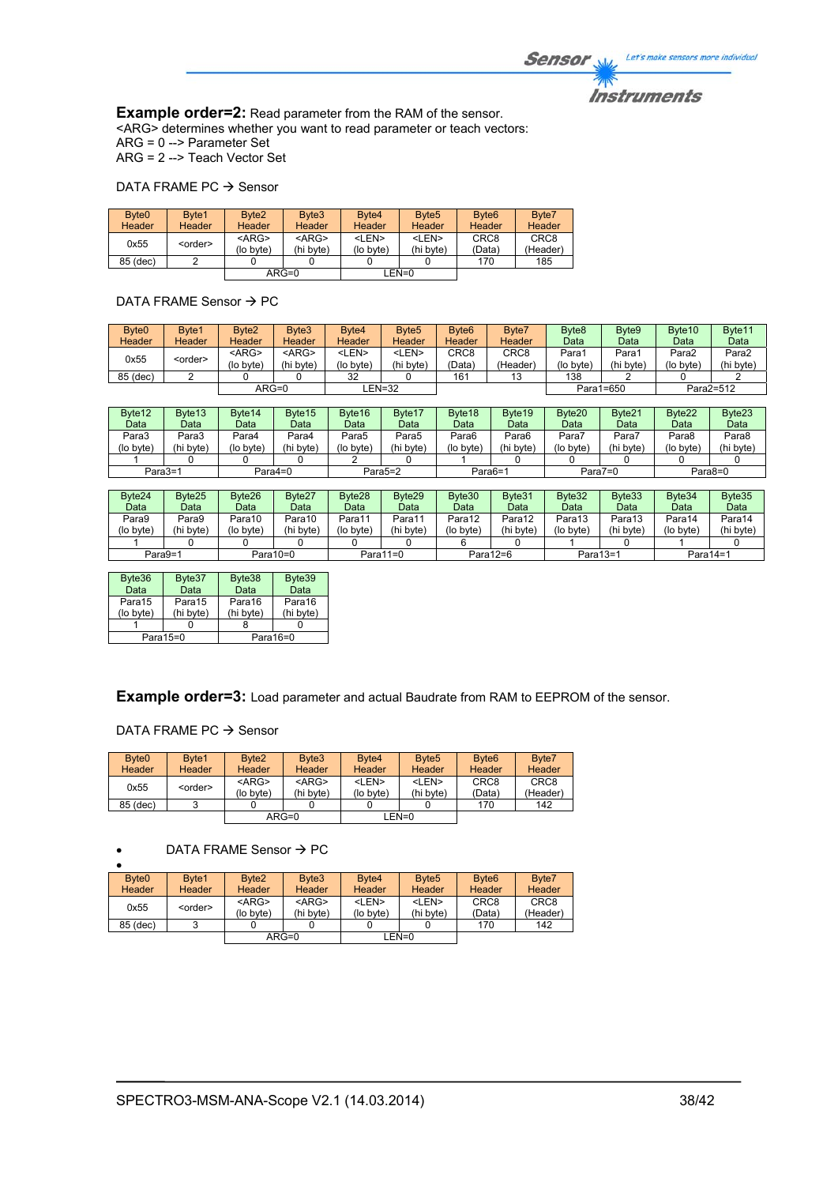## *Instruments*

**Example order=2:** Read parameter from the RAM of the sensor. <ARG> determines whether you want to read parameter or teach vectors: ARG = 0 --> Parameter Set ARG = 2 --> Teach Vector Set

#### DATA FRAME PC  $\rightarrow$  Sensor

| Byte <sub>0</sub><br>Header | Byte1<br>Header | Byte <sub>2</sub><br><b>Header</b> | Byte3<br>Header          | Byte4<br><b>Header</b>    | Byte <sub>5</sub><br>Header | Byte <sub>6</sub><br>Header | Byte7<br>Header              |
|-----------------------------|-----------------|------------------------------------|--------------------------|---------------------------|-----------------------------|-----------------------------|------------------------------|
| 0x55                        | <order></order> | $<$ ARG><br>(lo byte)              | $<$ ARG $>$<br>(hi byte) | <len><br/>(lo byte)</len> | <len><br/>(hi byte)</len>   | CRC <sub>8</sub><br>(Data)  | CRC <sub>8</sub><br>(Header) |
| 85 (dec)                    |                 |                                    |                          |                           |                             | 170                         | 185                          |
|                             |                 |                                    | ARG=0                    |                           | LEN=0                       |                             |                              |

DATA FRAME Sensor  $\rightarrow$  PC

| Byte <sub>0</sub><br>Header | Byte1<br><b>Header</b> | Byte <sub>2</sub><br>Header | Byte3<br><b>Header</b>   | Byte4<br><b>Header</b>    | Byte <sub>5</sub><br><b>Header</b> | Byte <sub>6</sub><br>Header | Byte7<br><b>Header</b>       | Byte <sub>8</sub><br>Data | Byte9<br>Data     | Byte <sub>10</sub><br>Data | Byte <sub>11</sub><br>Data |
|-----------------------------|------------------------|-----------------------------|--------------------------|---------------------------|------------------------------------|-----------------------------|------------------------------|---------------------------|-------------------|----------------------------|----------------------------|
| 0x55                        | <order></order>        | $<$ ARG $>$<br>(lo byte)    | $<$ ARG $>$<br>(hi byte) | <len><br/>(lo byte)</len> | <len><br/>(hi byte)</len>          | CRC <sub>8</sub><br>(Data`  | CRC <sub>8</sub><br>(Header) | Para′<br>(lo byte)        | Para<br>(hi byte) | Para2<br>(lo byte)         | Para2<br>(hi byte)         |
| 85 (dec)                    |                        |                             |                          | 32                        |                                    | 161                         | 13                           | 138                       |                   |                            |                            |
|                             | $ARG=0$                |                             | LEN=32                   |                           |                                    |                             |                              | Para1=650                 |                   | Para2=512                  |                            |

| Byte12    | Byte <sub>13</sub> | Byte <sub>14</sub> | Byte15    | Byte <sub>16</sub> | Byte <sub>17</sub>   | Byte <sub>18</sub> | Byte <sub>19</sub> | Byte20    | Byte21     | Byte22    | Byte23    |
|-----------|--------------------|--------------------|-----------|--------------------|----------------------|--------------------|--------------------|-----------|------------|-----------|-----------|
| Data      | Data               | Data               | Data      | Data               | Data                 | Data               | Data               | Data      | Data       | Data      | Data      |
| Para3     | Para3              | Para4              | Para4     | Para5              | Para5                | Para6              | Para6              | Para7     | Para7      | Para8     | Para8     |
| (lo byte) | (hi byte)          | (lo byte)          | (hi byte) | (lo byte)          | (hi byte)            | (lo byte)          | (hi byte)          | (lo byte) | (hi byte)  | (lo bvte) | (hi bvte) |
|           |                    |                    |           |                    |                      |                    |                    |           |            |           |           |
|           | Para3=1            |                    | Para4=0   |                    | Para <sub>5</sub> =2 | Para6=1            |                    |           | Para $7=0$ |           | Para8=0   |

| Byte24    | Bvte25    | Byte26    | Byte27    | Byte28    | Byte29      | Byte30    | Byte31    | Byte32    | Byte33    | Byte34      | Byte35    |
|-----------|-----------|-----------|-----------|-----------|-------------|-----------|-----------|-----------|-----------|-------------|-----------|
| Data      | Data      | Data      | Data      | Data      | Data        | Data      | Datal     | Data      | Data      | Data        | Data      |
| Para9     | Para9     | Para10    | Para10    | Para11    | Para11      | Para12    | Para12    | Para13    | Para13    | Para14      | Para14    |
| (lo byte) | (hi byte) | (lo byte) | (hi byte) | (lo byte) | (hi byte)   | (lo byte) | (hi byte) | (lo byte) | (hi byte) | (lo bvte)   | (hi byte) |
|           |           |           |           |           |             |           |           |           |           |             |           |
| Para9=1   |           |           | Para10=0  |           | Para $11=0$ |           | Para12=6  | Para13=1  |           | Para $14=1$ |           |

| Byte36    | Byte37    | Byte38    | Byte39    |  |  |
|-----------|-----------|-----------|-----------|--|--|
| Data      | Data      | Data      | Data      |  |  |
| Para15    | Para15    | Para16    | Para16    |  |  |
| (lo byte) | (hi byte) | (hi byte) | (hi byte) |  |  |
|           |           |           |           |  |  |
|           | Para15=0  | Para16=0  |           |  |  |

**Example order=3:** Load parameter and actual Baudrate from RAM to EEPROM of the sensor.

DATA FRAME PC  $\rightarrow$  Sensor

| Byte <sub>0</sub> | Byte1           | Byte <sub>2</sub>     | Byte3                    | Byte4                     | Byte <sub>5</sub>         | Byte <sub>6</sub>          | Byte7                        |
|-------------------|-----------------|-----------------------|--------------------------|---------------------------|---------------------------|----------------------------|------------------------------|
| Header            | Header          | <b>Header</b>         | Header                   | <b>Header</b>             | <b>Header</b>             | Header                     | Header                       |
| 0x55              | <order></order> | $<$ ARG><br>(lo byte) | $<$ ARG $>$<br>(hi byte) | <len><br/>(lo byte)</len> | <len><br/>(hi byte)</len> | CRC <sub>8</sub><br>(Data) | CRC <sub>8</sub><br>(Header) |
| 85 (dec)          |                 |                       |                          |                           |                           | 170                        | 142                          |
|                   |                 |                       | $ARG=0$                  |                           | LEN=0                     |                            |                              |

 $\bullet$  DATA FRAME Sensor  $\rightarrow$  PC

| Byte <sub>0</sub> | Byte1           | Byte <sub>2</sub> | Byte3       | Byte4         | Byte <sub>5</sub> | Byte <sub>6</sub> | Byte7            |
|-------------------|-----------------|-------------------|-------------|---------------|-------------------|-------------------|------------------|
| <b>Header</b>     | <b>Header</b>   | Header            | Header      | <b>Header</b> | Header            | Header            | Header           |
| 0x55              | <order></order> | $<$ ARG $>$       | $<$ ARG $>$ | <len></len>   | <len></len>       | CRC <sub>8</sub>  | CRC <sub>8</sub> |
|                   |                 | (lo byte)         | (hi bvte)   | (lo bvte)     | (hi byte)         | (Data)            | (Header)         |
| 85 (dec)          |                 |                   |             |               |                   | 170               | 142              |
|                   |                 | $ARG=0$           |             |               | LEN=0             |                   |                  |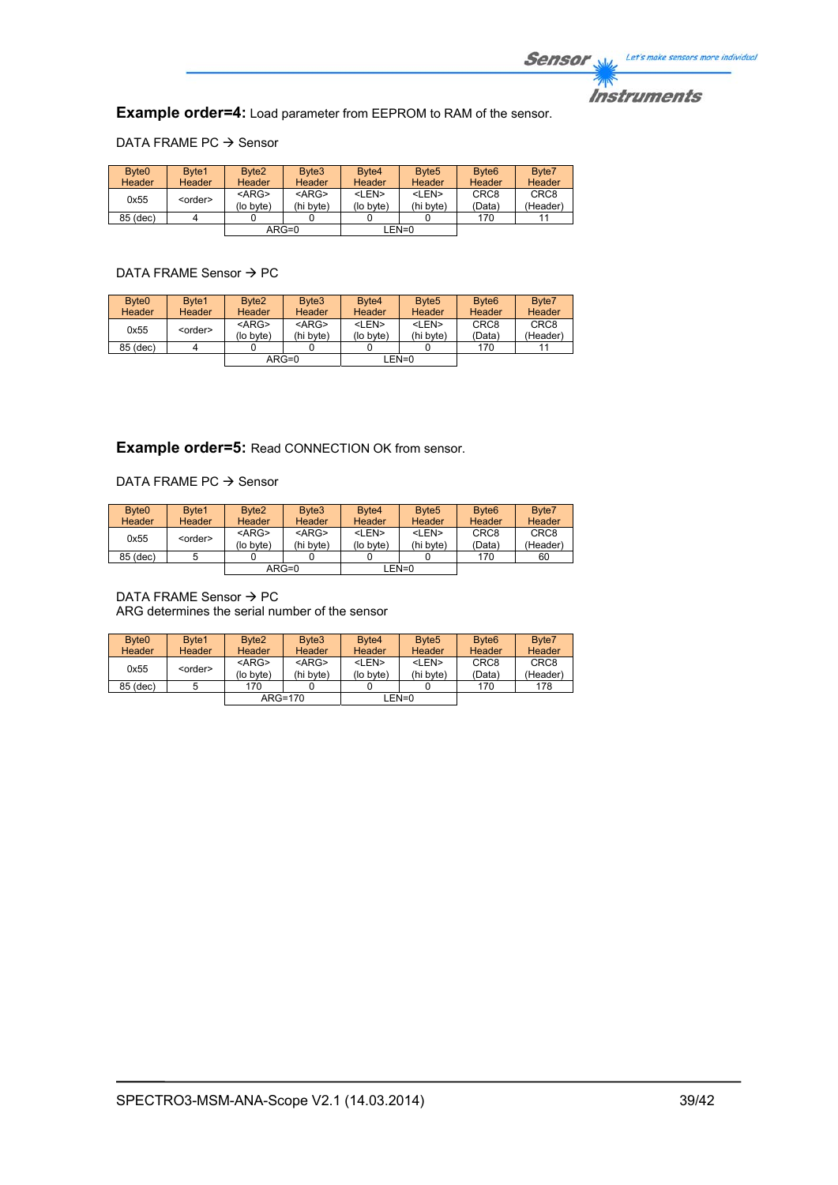

**Example order=4:** Load parameter from EEPROM to RAM of the sensor.

DATA FRAME PC  $\rightarrow$  Sensor

| Byte <sub>0</sub> | Byte1           | Byte <sub>2</sub> | Byte3       | Byte4         | Byte <sub>5</sub> | Byte <sub>6</sub> | Byte7            |
|-------------------|-----------------|-------------------|-------------|---------------|-------------------|-------------------|------------------|
| Header            | Header          | <b>Header</b>     | Header      | <b>Header</b> | <b>Header</b>     | <b>Header</b>     | <b>Header</b>    |
| 0x55              | <order></order> | $<$ ARG>          | $<$ ARG $>$ | <len></len>   | <len></len>       | CRC <sub>8</sub>  | CRC <sub>8</sub> |
|                   |                 | (lo byte)         | (hi byte)   | (lo byte)     | (hi byte)         | (Data)            | (Header)         |
| 85 (dec)          |                 |                   |             |               |                   | 170               | 11               |
|                   |                 |                   | $ARG=0$     |               | LEN=0             |                   |                  |

## DATA FRAME Sensor  $\rightarrow$  PC

| Byte <sub>0</sub> | Byte1           | Byte <sub>2</sub> | Byte3       | Byte4         | Byte <sub>5</sub> | Byte <sub>6</sub> | Byte7            |
|-------------------|-----------------|-------------------|-------------|---------------|-------------------|-------------------|------------------|
| <b>Header</b>     | Header          | <b>Header</b>     | Header      | <b>Header</b> | Header            | <b>Header</b>     | Header           |
| 0x55              | <order></order> | $<$ ARG $>$       | $<$ ARG $>$ | <len></len>   | <len></len>       | CRC <sub>8</sub>  | CRC <sub>8</sub> |
|                   |                 | (lo byte)         | (hi byte)   | (lo byte)     | (hi byte)         | (Data)            | (Header)         |
| 85 (dec)          |                 |                   |             |               |                   | 170               | 11               |
|                   |                 |                   | $ARG=0$     |               | LEN=0             |                   |                  |

## **Example order=5:** Read CONNECTION OK from sensor.

#### DATA FRAME PC  $\rightarrow$  Sensor

| Byte <sub>0</sub> | Byte1           | Byte <sub>2</sub>        | Byte3                    | Byte4                     | Byte <sub>5</sub>         | Byte <sub>6</sub>          | Byte7                        |
|-------------------|-----------------|--------------------------|--------------------------|---------------------------|---------------------------|----------------------------|------------------------------|
| <b>Header</b>     | Header          | <b>Header</b>            | Header                   | <b>Header</b>             | <b>Header</b>             | Header                     | Header                       |
| 0x55              | <order></order> | $<$ ARG $>$<br>(lo byte) | $<$ ARG $>$<br>(hi byte) | <len><br/>(lo byte)</len> | <len><br/>(hi byte)</len> | CRC <sub>8</sub><br>(Data) | CRC <sub>8</sub><br>(Header) |
| 85 (dec)          |                 |                          |                          |                           |                           | 170                        | 60                           |
|                   |                 |                          | $ARG=0$                  | $LEN=0$                   |                           |                            |                              |

#### DATA FRAME Sensor  $\rightarrow$  PC ARG determines the serial number of the sensor

| Byte <sub>0</sub> | Byte1           | Byte <sub>2</sub>     | Byte3                    | Byte4                     | Byte <sub>5</sub>         | Byte <sub>6</sub>          | Byte7                        |
|-------------------|-----------------|-----------------------|--------------------------|---------------------------|---------------------------|----------------------------|------------------------------|
| Header            | <b>Header</b>   | <b>Header</b>         | Header                   | <b>Header</b>             | <b>Header</b>             | Header                     | <b>Header</b>                |
| 0x55              | <order></order> | $<$ ARG><br>(lo byte) | $<$ ARG $>$<br>(hi byte) | <len><br/>(lo byte)</len> | <len><br/>(hi byte)</len> | CRC <sub>8</sub><br>(Data) | CRC <sub>8</sub><br>(Header) |
| 85 (dec)          |                 | 170                   |                          |                           |                           | 170                        | 178                          |
|                   |                 |                       | $ARG=170$                |                           | LEN=0                     |                            |                              |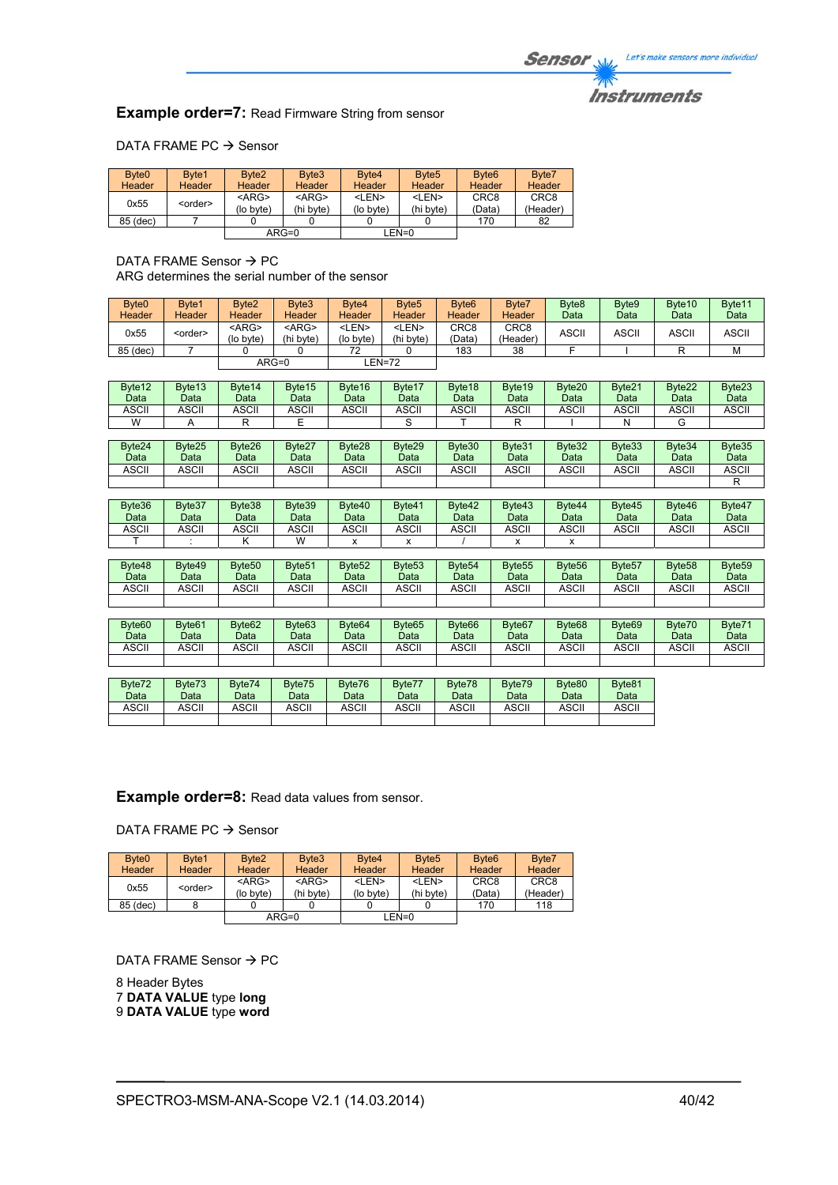## **Instruments**

## **Example order=7:** Read Firmware String from sensor

## DATA FRAME PC  $\rightarrow$  Sensor

| Byte <sub>0</sub> | Byte1           | Byte <sub>2</sub>        | Byte3                    | Byte4                     | Byte <sub>5</sub>         | Byte <sub>6</sub>          | Byte7                        |
|-------------------|-----------------|--------------------------|--------------------------|---------------------------|---------------------------|----------------------------|------------------------------|
| Header            | Header          | <b>Header</b>            | Header                   | <b>Header</b>             | <b>Header</b>             | Header                     | Header                       |
| 0x55              | <order></order> | $<$ ARG $>$<br>(lo byte) | $<$ ARG $>$<br>(hi byte) | <len><br/>(lo byte)</len> | <len><br/>(hi byte)</len> | CRC <sub>8</sub><br>(Data) | CRC <sub>8</sub><br>(Header) |
| 85 (dec)          |                 |                          |                          |                           |                           | 170                        | 82                           |
|                   |                 |                          | $ARG=0$                  |                           | LEN=0                     |                            |                              |

# DATA FRAME Sensor  $\rightarrow$  PC

ARG determines the serial number of the sensor

| Byte <sub>0</sub> | Byte1           | Byte2                    | Byte3                     | Byte4                     | Byte <sub>5</sub>         | Byte <sub>6</sub>          | Byte7                        | Byte <sub>8</sub> | Byte9 | Byte <sub>10</sub> | Byte <sub>11</sub> |
|-------------------|-----------------|--------------------------|---------------------------|---------------------------|---------------------------|----------------------------|------------------------------|-------------------|-------|--------------------|--------------------|
| <b>Header</b>     | <b>Header</b>   | <b>Header</b>            | Header                    | <b>Header</b>             | Header                    | Header                     | Header                       | Data              | Data  | Data               | Data               |
| 0x55              | <order></order> | $<$ ARG $>$<br>(lo byte) | <arg><br/>(hi byte)</arg> | <len><br/>(lo bvte)</len> | <len><br/>(hi byte)</len> | CRC <sub>8</sub><br>(Data) | CRC <sub>8</sub><br>(Header) | <b>ASCII</b>      | ASCII | ASCII              | ASCII              |
| 85 (dec)          |                 |                          |                           | 72                        |                           | 183                        | 38                           |                   |       |                    |                    |
|                   |                 |                          | $ARG=0$                   |                           | EN=72-                    |                            |                              |                   |       |                    |                    |

| Byte12       | Byte13       | Byte14             | Byte15             | Byte16             | Byte17             | Byte18             | Byte 19            | Byte20             | Byte21             | Byte22             | Byte23       |
|--------------|--------------|--------------------|--------------------|--------------------|--------------------|--------------------|--------------------|--------------------|--------------------|--------------------|--------------|
| Data         | Data         | Data               | Data               | Data               | Data               | Data               | Data               | Data               | Data               | Data               | Data         |
| <b>ASCII</b> | <b>ASCII</b> | ASCII              | ASCII              | ASCII              | ASCII              | <b>ASCII</b>       | <b>ASCII</b>       | ASCII              | ASCII              | ASCII              | ASCII        |
| W            | A            | R                  | Е                  |                    | S                  |                    | R                  |                    | N                  | G                  |              |
|              |              |                    |                    |                    |                    |                    |                    |                    |                    |                    |              |
| Byte24       | Byte25       | Byte26             | Byte27             | Byte28             | Byte29             | Byte30             | Byte31             | Byte32             | Byte33             | Byte34             | Byte35       |
| Data         | Data         | Data               | Data               | Data               | Data               | Data               | Data               | Data               | Data               | Data               | Data         |
| <b>ASCII</b> | <b>ASCII</b> | ASCII              | ASCII              | ASCII              | <b>ASCII</b>       | <b>ASCII</b>       | <b>ASCII</b>       | ASCII              | ASCII              | ASCII              | ASCII        |
|              |              |                    |                    |                    |                    |                    |                    |                    |                    |                    | R            |
|              |              |                    |                    |                    |                    |                    |                    |                    |                    |                    |              |
| Byte36       | Byte37       | Byte38             | Byte39             | Byte40             | Byte41             | Byte42             | Byte43             | Byte44             | Byte45             | Byte46             | Byte47       |
|              |              |                    |                    |                    |                    |                    |                    |                    |                    |                    |              |
| Data         | Data         | Data               | Data               | Data               | Data               | Data               | Data               | Data               | Data               | Data               | Data         |
| <b>ASCII</b> | <b>ASCII</b> | ASCII              | ASCII              | ASCII              | <b>ASCII</b>       | <b>ASCII</b>       | <b>ASCII</b>       | <b>ASCII</b>       | ASCII              | ASCII              | ASCII        |
|              |              | Κ                  | W                  | x                  | x                  |                    | x                  | x                  |                    |                    |              |
|              |              |                    |                    |                    |                    |                    |                    |                    |                    |                    |              |
| Byte48       | Byte49       | Byte <sub>50</sub> | Byte <sub>51</sub> | Byte <sub>52</sub> | Byte <sub>53</sub> | Byte <sub>54</sub> | Byte <sub>55</sub> | Byte <sub>56</sub> | Byte <sub>57</sub> | Byte <sub>58</sub> | Byte59       |
| Data         | Data         | Data               | Data               | Data               | Data               | Data               | Data               | Data               | Data               | Data               | Data         |
| <b>ASCII</b> | <b>ASCII</b> | ASCII              | ASCII              | ASCII              | <b>ASCII</b>       | <b>ASCII</b>       | <b>ASCII</b>       | ASCII              | ASCII              | ASCII              | <b>ASCII</b> |
|              |              |                    |                    |                    |                    |                    |                    |                    |                    |                    |              |

| Byte60 | Bvte61 | Byte <sub>62</sub> | Byte <sub>63</sub> | Byte <sub>64</sub> | Byte <sub>65</sub> | Byte <sub>66</sub> | Byte <sub>67</sub> | Byte <sub>68</sub> | Byte <sub>69</sub> | Byte70 | Byte71 |
|--------|--------|--------------------|--------------------|--------------------|--------------------|--------------------|--------------------|--------------------|--------------------|--------|--------|
| Data   | Data   | Data               | Data               | Data               | Data               | Data               | Data               | Data               | Data               | Data   | Data   |
| ASCII  | ASCII  | ASCII              | <b>ASCII</b>       | <b>ASCII</b>       | ASCII              | ASCII              | <b>ASCII</b>       | ASCII              | ASCII              | ASCII  | ASCII  |
|        |        |                    |                    |                    |                    |                    |                    |                    |                    |        |        |

| Byte72       | Byte73 | Byte74 | Byte75 | Byte76 | Byte77 | Byte78 | Byte79 | Byte80 | Byte81       |
|--------------|--------|--------|--------|--------|--------|--------|--------|--------|--------------|
| Data         | Data   | Data   | Datal  | Datal  | Data   | Data   | Data   | Data   | Data         |
| <b>ASCII</b> | ASCII  | ASCII  | ASCII  | ASCII  | ASCII  | ASCII  | ASCII  | ASCII  | <b>ASCII</b> |
|              |        |        |        |        |        |        |        |        |              |

**Example order=8:** Read data values from sensor.

DATA FRAME PC  $\rightarrow$  Sensor

| Byte <sub>0</sub> | Byte1           | Byte <sub>2</sub> | Byte3         | Byte4       | Byte <sub>5</sub> | Byte <sub>6</sub> | Byte7            |
|-------------------|-----------------|-------------------|---------------|-------------|-------------------|-------------------|------------------|
| <b>Header</b>     | <b>Header</b>   | Header            | <b>Header</b> | Header      | Header            | Header            | Header           |
| 0x55              | <order></order> | $<$ ARG $>$       | $<$ ARG $>$   | <len></len> | <len></len>       | CRC <sub>8</sub>  | CRC <sub>8</sub> |
|                   |                 | (lo byte)         | (hi byte)     | (lo byte)   | (hi byte)         | (Data)            | (Header)         |
| 85 (dec)          |                 |                   |               |             |                   | 170               | 118              |
|                   |                 |                   | $ARG=0$       |             | LEN=0             |                   |                  |

DATA FRAME Sensor  $\rightarrow$  PC

8 Header Bytes 7 **DATA VALUE** type **long** 9 **DATA VALUE** type **word**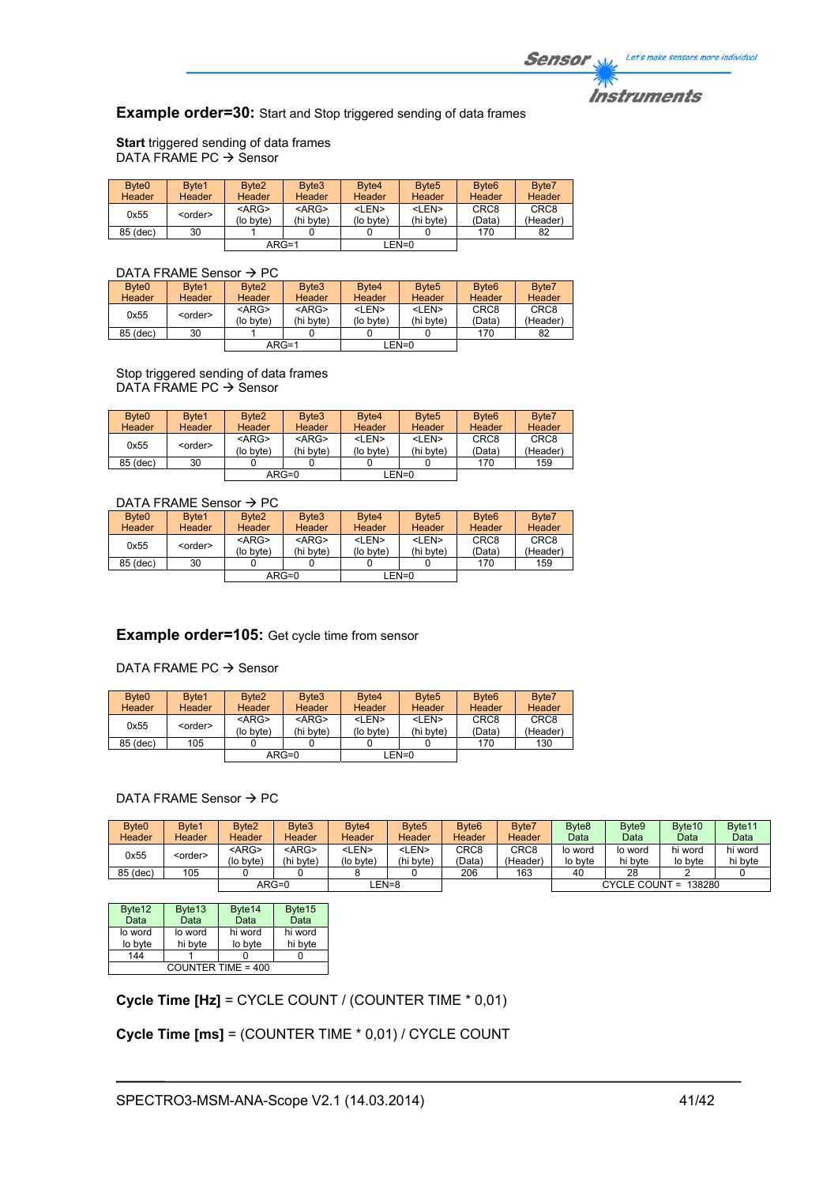## **Instruments**

## **Example order=30:** Start and Stop triggered sending of data frames

**Start** triggered sending of data frames DATA FRAME PC  $\rightarrow$  Sensor

| Byte <sub>0</sub> | Byte1           | Byte <sub>2</sub> | Byte3       | Byte4         | Byte <sub>5</sub> | Byte <sub>6</sub> | Byte7            |
|-------------------|-----------------|-------------------|-------------|---------------|-------------------|-------------------|------------------|
| <b>Header</b>     | Header          | <b>Header</b>     | Header      | <b>Header</b> | <b>Header</b>     | Header            | Header           |
| 0x55              | <order></order> | $<$ ARG $>$       | $<$ ARG $>$ | <len></len>   | <len></len>       | CRC <sub>8</sub>  | CRC <sub>8</sub> |
|                   |                 | (lo byte)         | (hi byte)   | (lo byte)     | (hi byte)         | (Data)            | (Header)         |
| 85 (dec)          | 30              |                   |             |               |                   | 170               | 82               |
|                   |                 | $ARG=1$           |             |               | LEN=0             |                   |                  |

## DATA FRAME Sensor  $\rightarrow$  PC

| Byte <sub>0</sub> | Byte1           | Byte <sub>2</sub>        | Byte3                    | Byte4                     | Byte <sub>5</sub>         | Byte <sub>6</sub>          | Byte7                        |
|-------------------|-----------------|--------------------------|--------------------------|---------------------------|---------------------------|----------------------------|------------------------------|
| Header            | <b>Header</b>   | <b>Header</b>            | <b>Header</b>            | <b>Header</b>             | Header                    | Header                     | Header                       |
| 0x55              | <order></order> | $<$ ARG $>$<br>(lo byte) | $<$ ARG $>$<br>(hi byte) | <len><br/>(lo byte)</len> | <len><br/>(hi byte)</len> | CRC <sub>8</sub><br>(Data) | CRC <sub>8</sub><br>(Header) |
| 85 (dec)          | 30              |                          |                          |                           |                           | 170                        | 82                           |
|                   |                 | $ARG=1$                  |                          |                           | LEN=0                     |                            |                              |

Stop triggered sending of data frames DATA FRAME PC  $\rightarrow$  Sensor

| Byte <sub>0</sub> | Byte1           | Byte <sub>2</sub>        | Byte3                    | Byte4                     | Byte <sub>5</sub>         | Byte <sub>6</sub>          | Byte7                        |
|-------------------|-----------------|--------------------------|--------------------------|---------------------------|---------------------------|----------------------------|------------------------------|
| <b>Header</b>     | Header          | <b>Header</b>            | Header                   | Header                    | <b>Header</b>             | Header                     | Header                       |
| 0x55              | <order></order> | $<$ ARG $>$<br>(lo byte) | $<$ ARG $>$<br>(hi byte) | <len><br/>(lo byte)</len> | <len><br/>(hi byte)</len> | CRC <sub>8</sub><br>(Data) | CRC <sub>8</sub><br>(Header) |
| 85 (dec)          | 30              |                          |                          |                           |                           | 170                        | 159                          |
|                   |                 |                          | $ARG=0$                  |                           | $LEN=0$                   |                            |                              |

### DATA FRAME Sensor  $\rightarrow$  PC

| Byte <sub>0</sub> | Byte1           | Byte <sub>2</sub> | Byte3       | Byte4         | Byte <sub>5</sub> | Byte <sub>6</sub> | Byte7            |  |  |  |
|-------------------|-----------------|-------------------|-------------|---------------|-------------------|-------------------|------------------|--|--|--|
| <b>Header</b>     | Header          | <b>Header</b>     | Header      | <b>Header</b> | <b>Header</b>     | <b>Header</b>     | Header           |  |  |  |
|                   |                 | $<$ ARG $>$       | $<$ ARG $>$ | <len></len>   | <len></len>       | CRC <sub>8</sub>  | CRC <sub>8</sub> |  |  |  |
| 0x55              | <order></order> | (lo byte)         | (hi byte)   | (lo byte)     | (hi byte)         | (Data)            | (Header)         |  |  |  |
| 85 (dec)          | 30              |                   |             |               |                   | 170               | 159              |  |  |  |
|                   |                 |                   | $ARG=0$     |               | LEN=0             |                   |                  |  |  |  |

## **Example order=105:** Get cycle time from sensor

DATA FRAME PC  $\rightarrow$  Sensor

| Byte <sub>0</sub> | Byte1           | Byte <sub>2</sub> | Byte3       | Byte4         | Byte <sub>5</sub> | Byte <sub>6</sub> | Byte7            |
|-------------------|-----------------|-------------------|-------------|---------------|-------------------|-------------------|------------------|
| Header            | Header          | <b>Header</b>     | Header      | <b>Header</b> | <b>Header</b>     | Header            | Header           |
| 0x55              | <order></order> | $<$ ARG $>$       | $<$ ARG $>$ | <len></len>   | <len></len>       | CRC <sub>8</sub>  | CRC <sub>8</sub> |
|                   |                 | (lo byte)         | (hi byte)   | (lo byte)     | (hi byte)         | (Data)            | (Header)         |
| 85 (dec)          | 105             |                   |             |               |                   | 170               | 130              |
|                   |                 |                   | $ARG=0$     |               | $EN=0$            |                   |                  |

#### DATA FRAME Sensor  $\rightarrow$  PC

| Byte <sub>0</sub>       | Byte1  | Byte <sub>2</sub> | Byte3         | Byte4       | Byte <sub>5</sub> | Byte <sub>6</sub> | Byte7    | Byte <sub>8</sub> | Byte9   | Byte <sub>10</sub>   | Byte <sub>11</sub> |
|-------------------------|--------|-------------------|---------------|-------------|-------------------|-------------------|----------|-------------------|---------|----------------------|--------------------|
| Header                  | Header | <b>Header</b>     | <b>Header</b> | Header      | <b>Header</b>     | <b>Header</b>     | Header   | Data              | Data    | Data                 | Data               |
| 0x55<br><order></order> |        | <arg></arg>       | $<$ ARG $>$   | <len></len> | <len></len>       | CRC8              | CRC8     | lo word           | lo word | hi word              | hi word            |
|                         |        | (lo byte)         | (hi byte)     | (lo byte)   | (hi byte)         | 'Data)            | (Header) | lo byte           | hi byte | lo byte              | hi byte            |
| 85 (dec)                | 105    |                   |               |             |                   | 206               | 163      | 40                | 28      |                      |                    |
|                         |        |                   | $ARG=0$       | EN=8        |                   |                   |          |                   |         | CYCLE COUNT = 138280 |                    |

| Byte12             | Byte <sub>13</sub> | Byte14  | Byte15  |  |  |  |
|--------------------|--------------------|---------|---------|--|--|--|
| Data               | Data               | Data    | Data    |  |  |  |
| lo word            | lo word            | hi word | hi word |  |  |  |
| lo byte            | hi byte            | lo byte | hi byte |  |  |  |
| 144                |                    |         |         |  |  |  |
| COUNTER TIME = 400 |                    |         |         |  |  |  |

**Cycle Time [Hz]** = CYCLE COUNT / (COUNTER TIME \* 0,01)

## **Cycle Time [ms]** = (COUNTER TIME \* 0,01) / CYCLE COUNT